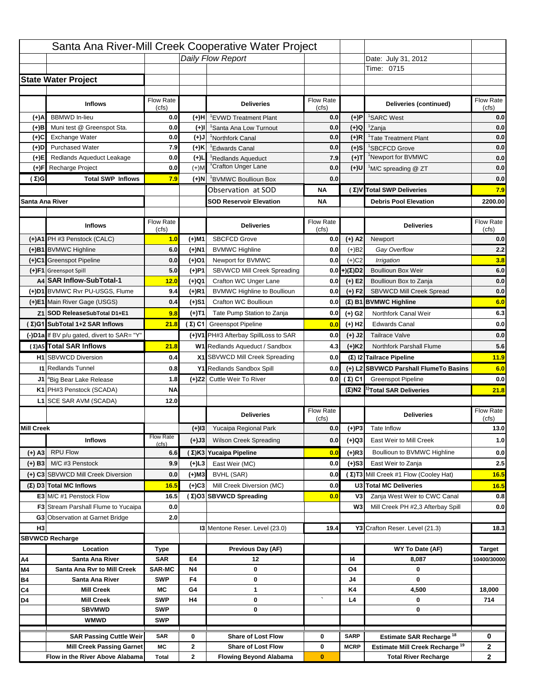|                   |                                            |                    |             | Santa Ana River-Mill Creek Cooperative Water Project |                           |                      |                                                  |                              |
|-------------------|--------------------------------------------|--------------------|-------------|------------------------------------------------------|---------------------------|----------------------|--------------------------------------------------|------------------------------|
|                   |                                            |                    |             | Daily Flow Report                                    |                           |                      | Date: July 31, 2012                              |                              |
|                   |                                            |                    |             |                                                      |                           |                      | Time: 0715                                       |                              |
|                   | <b>State Water Project</b>                 |                    |             |                                                      |                           |                      |                                                  |                              |
|                   |                                            |                    |             |                                                      |                           |                      |                                                  |                              |
|                   | <b>Inflows</b>                             | Flow Rate          |             | <b>Deliveries</b>                                    | <b>Flow Rate</b>          |                      | Deliveries (continued)                           | Flow Rate                    |
| (+)A              | <b>BBMWD</b> In-lieu                       | (cfs)<br>0.0       | (+)H        | 'EVWD Treatment Plant                                | (cfs)<br>0.0              | (+)P                 | <sup>1</sup> SARC West                           | (cfs)<br>0.0                 |
| (+)B              | Muni test @ Greenspot Sta.                 | 0.0                | $(+)$ l     | <sup>1</sup> Santa Ana Low Turnout                   | 0.0                       | $(+)Q$               | <sup>1</sup> Zanja                               | 0.0                          |
| (+)C              | Exchange Water                             | 0.0                | $(L(+)$     | <sup>1</sup> Northfork Canal                         | 0.0                       | $(+)R$               | <sup>1</sup> Tate Treatment Plant                | 0.0                          |
| (+)D              | <b>Purchased Water</b>                     | 7.9                | (+)K        | <sup>1</sup> Edwards Canal                           | 0.0                       | $(+)$ S              | <sup>1</sup> SBCFCD Grove                        | 0.0                          |
| (+)E              | Redlands Aqueduct Leakage                  | 0.0                | $(+)1$      | <sup>1</sup> Redlands Aqueduct                       | 7.9                       | $(+)$ T              | <sup>1</sup> Newport for BVMWC                   | 0.0                          |
| (+)F              | Recharge Project                           | 0.0                | $(+)$ M     | <sup>1</sup> Crafton Unger Lane                      | 0.0                       | $(+)$ U              | <sup>1</sup> M/C spreading @ ZT                  | 0.0                          |
| (Σ)G              | <b>Total SWP Inflows</b>                   | 7.9                | (+)N        | <sup>1</sup> BVMWC Boullioun Box                     | 0.0                       |                      |                                                  | 0.0                          |
|                   |                                            |                    |             | Observation at SOD                                   | ΝA                        |                      | (Σ) V Total SWP Deliveries                       | 7.9                          |
| Santa Ana River   |                                            |                    |             | <b>SOD Reservoir Elevation</b>                       | ΝA                        |                      | <b>Debris Pool Elevation</b>                     | 2200.00                      |
|                   |                                            |                    |             |                                                      |                           |                      |                                                  |                              |
|                   | <b>Inflows</b>                             | Flow Rate          |             | <b>Deliveries</b>                                    | Flow Rate                 |                      | <b>Deliveries</b>                                | Flow Rate<br>(cfs)           |
|                   | (+)A1 PH #3 Penstock (CALC)                | (cfs)<br>1.0       | (+)M1       | <b>SBCFCD Grove</b>                                  | (cfs)<br>0.0              | $(+)$ A2             | Newport                                          | 0.0                          |
|                   | (+)B1 BVMWC Highline                       | 6.0                | (+)N1       | <b>BVMWC Highline</b>                                | 0.0                       | $(+)B2$              | Gay Overflow                                     | 2.2                          |
|                   | (+)C1 Greenspot Pipeline                   | 0.0                | (+)01       | Newport for BVMWC                                    | 0.0                       | $(+)$ C <sub>2</sub> | Irrigation                                       | 3.8                          |
|                   | (+)F1 Greenspot Spill                      | 5.0                | (+)P1       | SBVWCD Mill Creek Spreading                          | 0.0                       | (+)(Σ)D2             | <b>Boullioun Box Weir</b>                        | 6.0                          |
|                   | A4 SAR Inflow-SubTotal-1                   | 12.0               | (+)Q1       | Crafton WC Unger Lane                                | 0.0                       | $(+) E2$             | Boullioun Box to Zanja                           | 0.0                          |
|                   | (+)D1 BVMWC Rvr PU-USGS, Flume             | 9.4                | $(+)$ R1    | <b>BVMWC Highline to Boullioun</b>                   | 0.0                       | $(+) F2$             | SBVWCD Mill Creek Spread                         | 0.0                          |
|                   | (+)E1 Main River Gage (USGS)               | 0.4                | (+)S1       | Crafton WC Boullioun                                 | 0.0                       |                      | $(\Sigma)$ B1 BVMWC Highline                     | 6.0                          |
|                   | Z1 SOD ReleaseSubTotal D1+E1               | 9.8                |             | Tate Pump Station to Zanja                           | 0.0                       |                      | Northfork Canal Weir                             | 6.3                          |
|                   | (Σ)G1 SubTotal 1+2 SAR Inflows             | 21.8               | (+)T1       | (Σ) C1 Greenspot Pipeline                            |                           | (+) G2               | <b>Edwards Canal</b>                             | 0.0                          |
|                   |                                            |                    |             |                                                      | 0.0                       | $(+)$ H <sub>2</sub> |                                                  |                              |
|                   | (-)D1a If BV p/u gated, divert to SAR= "Y" |                    |             | (+)V1 PH#3 Afterbay SpillLoss to SAR                 | 0.0                       | $(+)$ J2             | <b>Tailrace Valve</b>                            | 0.0                          |
|                   | (Σ) A5 Total SAR Inflows                   | 21.8               |             | W1 Redlands Aqueduct / Sandbox                       | 4.3                       | $(+)$ K <sub>2</sub> | <b>Northfork Parshall Flume</b>                  | 5.6                          |
|                   | <b>H1</b> SBVWCD Diversion                 | 0.4                |             | X1 SBVWCD Mill Creek Spreading                       | 0.0                       |                      | (Σ) I2 Tailrace Pipeline                         | 11.9                         |
|                   | <b>11 Redlands Tunnel</b>                  | 0.8                |             | Y1 Redlands Sandbox Spill                            | 0.0                       |                      | (+) L2 SBVWCD Parshall FlumeTo Basins            | 6.0                          |
|                   | J1 <sup>a</sup> Big Bear Lake Release      | 1.8                |             | (+)Z2 Cuttle Weir To River                           |                           | 0.0 $(\Sigma)$ C1    | <b>Greenspot Pipeline</b>                        | 0.0                          |
|                   | K1 PH#3 Penstock (SCADA)                   | <b>NA</b>          |             |                                                      |                           |                      | $(\Sigma)$ N2 <sup>1)</sup> Total SAR Deliveries | 21.8                         |
|                   | L1 SCE SAR AVM (SCADA)                     | 12.0               |             |                                                      |                           |                      |                                                  |                              |
|                   |                                            |                    |             | <b>Deliveries</b>                                    | <b>Flow Rate</b><br>(cfs) |                      | <b>Deliveries</b>                                | Flow Rate<br>(cts)           |
| <b>Mill Creek</b> |                                            |                    | $(+)$ 13    | Yucaipa Regional Park                                | 0.0                       | $(+)P3$              | Tate Inflow                                      | 13.0                         |
|                   | <b>Inflows</b>                             | <b>Flow Rate</b>   | (+)J3       | <b>Wilson Creek Spreading</b>                        | 0.0                       | (+)Q3                | East Weir to Mill Creek                          | 1.0                          |
|                   | <b>RPU Flow</b>                            | (cfs)              |             |                                                      |                           | $(+)$ R3             | Boullioun to BVMWC Highline                      |                              |
| $(+)$ A3          |                                            | 6.6                |             | (Σ)K3 Yucaipa Pipeline                               | 0.0                       |                      |                                                  | 0.0                          |
| $(+)$ B3          | M/C #3 Penstock                            | 9.9                | $(+)$ L3    | East Weir (MC)                                       | 0.0                       | $(+)$ S3             | East Weir to Zanja                               | 2.5                          |
|                   | (+) C3 SBVWCD Mill Creek Diversion         | 0.0                | (+)M3       | BVHL (SAR)                                           | 0.0                       |                      | (Σ) T3 Mill Creek #1 Flow (Cooley Hat)           | 16.5                         |
|                   | (Σ) D3 Total MC Inflows                    | 16.5               | $(+)C3$     | Mill Creek Diversion (MC)                            | 0.0                       |                      | U3 Total MC Deliveries                           | 16.5                         |
|                   | E3 M/C #1 Penstock Flow                    | 16.5               |             | (Σ)O3 SBVWCD Spreading                               | 0.0                       | V3                   | Zanja West Weir to CWC Canal                     | 0.8                          |
|                   | <b>F3</b> Stream Parshall Flume to Yucaipa | 0.0                |             |                                                      |                           | W <sub>3</sub>       | Mill Creek PH #2,3 Afterbay Spill                | 0.0                          |
| H <sub>3</sub>    | G3 Observation at Garnet Bridge            | 2.0                |             | <b>13 Mentone Reser. Level (23.0)</b>                | 19.4                      |                      | Y3 Crafton Reser. Level (21.3)                   | 18.3                         |
|                   |                                            |                    |             |                                                      |                           |                      |                                                  |                              |
|                   | <b>SBVWCD Recharge</b><br>Location         |                    |             | Previous Day (AF)                                    |                           |                      | WY To Date (AF)                                  |                              |
| Α4                | Santa Ana River                            | Type<br><b>SAR</b> | E4          | 12                                                   |                           | 14                   | 8,087                                            | <b>Target</b><br>10400/30000 |
| M4                | Santa Ana Rvr to Mill Creek                | <b>SAR-MC</b>      | <b>N4</b>   | 0                                                    |                           | O4                   | 0                                                |                              |
| Β4                | Santa Ana River                            | <b>SWP</b>         | F4          | 0                                                    |                           | J4                   | 0                                                |                              |
| C4                | <b>Mill Creek</b>                          | МC                 | G4          | 1                                                    |                           | K4                   | 4,500                                            | 18,000                       |
| D4                | <b>Mill Creek</b>                          | <b>SWP</b>         | H4          | 0                                                    |                           | L4                   | 0                                                | 714                          |
|                   | <b>SBVMWD</b>                              | <b>SWP</b>         |             | 0                                                    |                           |                      | 0                                                |                              |
|                   | <b>WMWD</b>                                | <b>SWP</b>         |             |                                                      |                           |                      |                                                  |                              |
|                   | <b>SAR Passing Cuttle Weir</b>             | <b>SAR</b>         | 0           | <b>Share of Lost Flow</b>                            | 0                         | <b>SARP</b>          | <b>Estimate SAR Recharge<sup>18</sup></b>        | 0                            |
|                   |                                            |                    |             |                                                      |                           |                      |                                                  |                              |
|                   | <b>Mill Creek Passing Garnet</b>           | МC                 | $\mathbf 2$ | <b>Share of Lost Flow</b>                            | 0                         | <b>MCRP</b>          | Estimate Mill Creek Recharge <sup>19</sup>       | 2                            |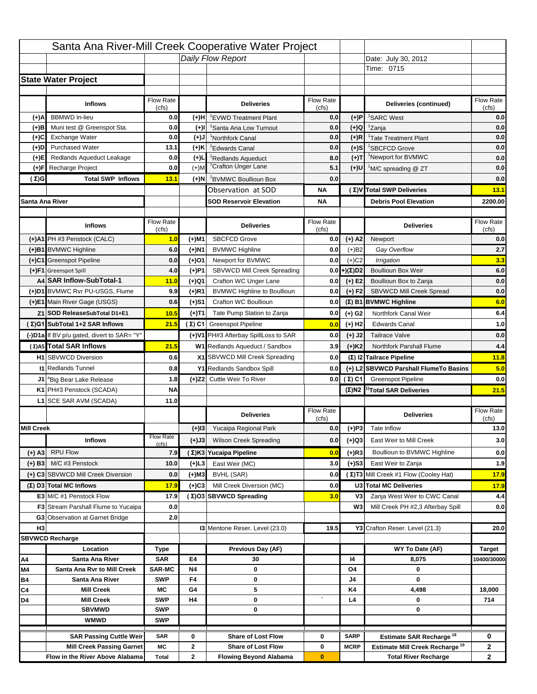|                   |                                                                    |                    |                  | Santa Ana River-Mill Creek Cooperative Water Project   |                           |                            |                                                                                         |                              |
|-------------------|--------------------------------------------------------------------|--------------------|------------------|--------------------------------------------------------|---------------------------|----------------------------|-----------------------------------------------------------------------------------------|------------------------------|
|                   |                                                                    |                    |                  | Daily Flow Report                                      |                           |                            | Date: July 30, 2012                                                                     |                              |
|                   |                                                                    |                    |                  |                                                        |                           |                            | Time: 0715                                                                              |                              |
|                   | <b>State Water Project</b>                                         |                    |                  |                                                        |                           |                            |                                                                                         |                              |
|                   |                                                                    |                    |                  |                                                        |                           |                            |                                                                                         |                              |
|                   | <b>Inflows</b>                                                     | Flow Rate          |                  | <b>Deliveries</b>                                      | <b>Flow Rate</b>          |                            | Deliveries (continued)                                                                  | Flow Rate                    |
| (+)A              | <b>BBMWD</b> In-lieu                                               | (cfs)<br>0.0       | (+)H             | 'EVWD Treatment Plant                                  | (cfs)<br>0.0              | (+)P                       | <sup>1</sup> SARC West                                                                  | (cfs)<br>0.0                 |
| (+)B              | Muni test @ Greenspot Sta.                                         | 0.0                | $(+)$ l          | 'Santa Ana Low Turnout                                 | 0.0                       | $(+)Q$                     | <sup>1</sup> Zanja                                                                      | 0.0                          |
| (+)C              | Exchange Water                                                     | 0.0                | $(L(+)$          | <sup>1</sup> Northfork Canal                           | 0.0                       | $(+)R$                     | <sup>1</sup> Tate Treatment Plant                                                       | 0.0                          |
| (+)D              | <b>Purchased Water</b>                                             | 13.1               | (+)K             | <sup>1</sup> Edwards Canal                             | 0.0                       | $(+)$ S                    | <sup>1</sup> SBCFCD Grove                                                               | 0.0                          |
| (+)E              | Redlands Aqueduct Leakage                                          | 0.0                | $(+)1$           | <sup>1</sup> Redlands Aqueduct                         | 8.0                       | $(+)T$                     | <sup>1</sup> Newport for BVMWC                                                          | 0.0                          |
| (+)F              | Recharge Project                                                   | 0.0                | $(+)$ M          | <sup>1</sup> Crafton Unger Lane                        | 5.1                       | $(+)$ U                    | <sup>1</sup> M/C spreading @ ZT                                                         | 0.0                          |
| (Σ)G              | <b>Total SWP Inflows</b>                                           | 13.1               | $(+)$ N          | <sup>1</sup> BVMWC Boullioun Box                       | 0.0                       |                            |                                                                                         | 0.0                          |
|                   |                                                                    |                    |                  | Observation at SOD                                     | ΝA                        |                            | (Σ) V Total SWP Deliveries                                                              | 13.1                         |
| Santa Ana River   |                                                                    |                    |                  | <b>SOD Reservoir Elevation</b>                         | ΝA                        |                            | <b>Debris Pool Elevation</b>                                                            | 2200.00                      |
|                   |                                                                    |                    |                  |                                                        |                           |                            |                                                                                         |                              |
|                   | <b>Inflows</b>                                                     | Flow Rate          |                  | <b>Deliveries</b>                                      | Flow Rate                 |                            | <b>Deliveries</b>                                                                       | Flow Rate<br>(cfs)           |
|                   | (+)A1 PH #3 Penstock (CALC)                                        | (cfs)<br>1.0       | (+)M1            | <b>SBCFCD Grove</b>                                    | (cfs)<br>0.0              | $(+)$ A2                   | Newport                                                                                 | 0.0                          |
|                   | (+)B1 BVMWC Highline                                               | 6.0                | (+)N1            | <b>BVMWC Highline</b>                                  | 0.0                       | $(+)B2$                    | Gay Overflow                                                                            | 2.7                          |
|                   | (+)C1 Greenspot Pipeline                                           | 0.0                | (+)01            | Newport for BVMWC                                      | 0.0                       | $(+)$ C <sub>2</sub>       | Irrigation                                                                              | 3.3                          |
|                   | (+)F1 Greenspot Spill                                              | 4.0                | (+)P1            | SBVWCD Mill Creek Spreading                            | 0.0                       | (+)(Σ)D2                   | <b>Boullioun Box Weir</b>                                                               | 6.0                          |
|                   | A4 SAR Inflow-SubTotal-1                                           | 11.0               | (+)Q1            | Crafton WC Unger Lane                                  | 0.0                       | $(+) E2$                   | Boullioun Box to Zanja                                                                  | 0.0                          |
|                   | (+)D1 BVMWC Rvr PU-USGS, Flume                                     | 9.9                | $(+)$ R1         | <b>BVMWC Highline to Boullioun</b>                     | 0.0                       | $(+) F2$                   | SBVWCD Mill Creek Spread                                                                | 0.0                          |
|                   | (+)E1 Main River Gage (USGS)                                       | 0.6                | (+)S1            | Crafton WC Boullioun                                   | 0.0                       |                            | $(\Sigma)$ B1 BVMWC Highline                                                            | 6.0                          |
|                   | Z1 SOD ReleaseSubTotal D1+E1                                       | 10.5               |                  | Tate Pump Station to Zanja                             | 0.0                       |                            | Northfork Canal Weir                                                                    | 6.4                          |
|                   | (Σ)G1 SubTotal 1+2 SAR Inflows                                     | 21.5               | (+)T1            | (Σ) C1 Greenspot Pipeline                              |                           | (+) G2                     | <b>Edwards Canal</b>                                                                    | 1.0                          |
|                   |                                                                    |                    |                  |                                                        | 0.0                       | $(+)$ H <sub>2</sub>       |                                                                                         |                              |
|                   | (-)D1a If BV p/u gated, divert to SAR= "Y"                         |                    |                  | (+)V1 PH#3 Afterbay SpillLoss to SAR                   | 0.0                       | $(+)$ J2                   | <b>Tailrace Valve</b>                                                                   | 0.0                          |
|                   | (Σ) A5 Total SAR Inflows                                           | 21.5               |                  | W1 Redlands Aqueduct / Sandbox                         | 3.9                       | $(+)$ K <sub>2</sub>       | <b>Northfork Parshall Flume</b>                                                         | 4.4                          |
|                   | <b>H1</b> SBVWCD Diversion                                         | 0.6                |                  | X1 SBVWCD Mill Creek Spreading                         | 0.0                       |                            | (Σ) I2 Tailrace Pipeline                                                                | 11.8                         |
|                   | <b>11 Redlands Tunnel</b>                                          | 0.8                |                  | Y1 Redlands Sandbox Spill                              | 0.0                       |                            | (+) L2 SBVWCD Parshall FlumeTo Basins                                                   | 5.0                          |
|                   | J1 <sup>a</sup> Big Bear Lake Release                              | 1.8                |                  | (+)Z2 Cuttle Weir To River                             |                           | 0.0 $(\Sigma)$ C1          | <b>Greenspot Pipeline</b>                                                               | 0.0                          |
|                   | K1 PH#3 Penstock (SCADA)                                           | <b>NA</b>          |                  |                                                        |                           |                            | $(\Sigma)$ N2 <sup>1)</sup> Total SAR Deliveries                                        | 21.5                         |
|                   | L1 SCE SAR AVM (SCADA)                                             | 11.0               |                  |                                                        |                           |                            |                                                                                         |                              |
|                   |                                                                    |                    |                  | <b>Deliveries</b>                                      | <b>Flow Rate</b><br>(cfs) |                            | <b>Deliveries</b>                                                                       | Flow Rate<br>(cts)           |
| <b>Mill Creek</b> |                                                                    |                    | $(+)$ 13         | Yucaipa Regional Park                                  | 0.0                       | $(+)P3$                    | Tate Inflow                                                                             | 13.0                         |
|                   | <b>Inflows</b>                                                     | <b>Flow Rate</b>   | (+)J3            | <b>Wilson Creek Spreading</b>                          | 0.0                       | (+)Q3                      | East Weir to Mill Creek                                                                 | 3.0                          |
|                   | <b>RPU Flow</b>                                                    | (cfs)              |                  |                                                        |                           | $(+)$ R3                   | Boullioun to BVMWC Highline                                                             |                              |
| $(+)$ A3          |                                                                    | 7.9                |                  | (Σ)K3 Yucaipa Pipeline                                 | 0.0                       |                            |                                                                                         | 0.0                          |
| $(+)$ B3          | M/C #3 Penstock                                                    | 10.0               | $(+)$ L3         | East Weir (MC)                                         | 3.0                       | $(+)$ S3                   | East Weir to Zanja                                                                      | 1.9                          |
|                   | (+) C3 SBVWCD Mill Creek Diversion                                 | 0.0                | (+)M3            | BVHL (SAR)                                             | 0.0                       |                            | (Σ) T3 Mill Creek #1 Flow (Cooley Hat)                                                  | <b>17.9</b>                  |
|                   | (Σ) D3 Total MC Inflows                                            | 17.9               | $(+)C3$          | Mill Creek Diversion (MC)                              | 0.0                       |                            | U3 Total MC Deliveries                                                                  | 17.9                         |
|                   | E3 M/C #1 Penstock Flow                                            | 17.9               |                  | (Σ)O3 SBVWCD Spreading                                 | 3.0                       | V3                         | Zanja West Weir to CWC Canal                                                            | 4.4                          |
|                   | <b>F3</b> Stream Parshall Flume to Yucaipa                         | 0.0                |                  |                                                        |                           | W <sub>3</sub>             | Mill Creek PH #2,3 Afterbay Spill                                                       | 0.0                          |
| H <sub>3</sub>    | G3 Observation at Garnet Bridge                                    | 2.0                |                  | <b>13 Mentone Reser. Level (23.0)</b>                  | 19.5                      |                            | Y3 Crafton Reser. Level (21.3)                                                          | 20.0                         |
|                   |                                                                    |                    |                  |                                                        |                           |                            |                                                                                         |                              |
|                   | <b>SBVWCD Recharge</b><br>Location                                 |                    |                  | Previous Day (AF)                                      |                           |                            | WY To Date (AF)                                                                         |                              |
|                   |                                                                    | Type<br><b>SAR</b> | E4               |                                                        |                           | 14                         |                                                                                         | <b>Target</b><br>10400/30000 |
| Α4<br>M4          | Santa Ana River<br>Santa Ana Rvr to Mill Creek                     | <b>SAR-MC</b>      | <b>N4</b>        | 30<br>0                                                |                           | O4                         | 8,075<br>0                                                                              |                              |
| Β4                |                                                                    |                    |                  |                                                        |                           |                            |                                                                                         |                              |
| C4                |                                                                    |                    |                  |                                                        |                           |                            |                                                                                         |                              |
| D4                | Santa Ana River                                                    | <b>SWP</b>         | F4               | 0                                                      |                           | J4                         | 0                                                                                       |                              |
|                   | <b>Mill Creek</b><br><b>Mill Creek</b>                             | МC<br><b>SWP</b>   | G4<br>H4         | 5<br>0                                                 |                           | K4<br>L4                   | 4,498<br>0                                                                              | 18,000<br>714                |
|                   | <b>SBVMWD</b>                                                      | <b>SWP</b>         |                  | 0                                                      |                           |                            | 0                                                                                       |                              |
|                   | <b>WMWD</b>                                                        | <b>SWP</b>         |                  |                                                        |                           |                            |                                                                                         |                              |
|                   |                                                                    |                    |                  |                                                        |                           |                            |                                                                                         |                              |
|                   | <b>SAR Passing Cuttle Weir</b><br><b>Mill Creek Passing Garnet</b> | <b>SAR</b><br>МC   | 0<br>$\mathbf 2$ | <b>Share of Lost Flow</b><br><b>Share of Lost Flow</b> | 0<br>0                    | <b>SARP</b><br><b>MCRP</b> | <b>Estimate SAR Recharge<sup>18</sup></b><br>Estimate Mill Creek Recharge <sup>19</sup> | 0<br>2                       |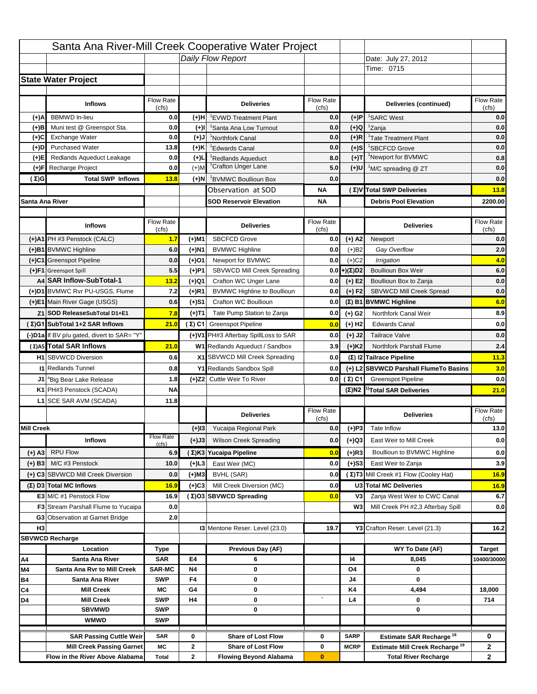|                   |                                            |                    |              | Santa Ana River-Mill Creek Cooperative Water Project |                           |                      |                                                  |                    |
|-------------------|--------------------------------------------|--------------------|--------------|------------------------------------------------------|---------------------------|----------------------|--------------------------------------------------|--------------------|
|                   |                                            |                    |              | Daily Flow Report                                    |                           |                      | Date: July 27, 2012                              |                    |
|                   |                                            |                    |              |                                                      |                           |                      | Time: 0715                                       |                    |
|                   | <b>State Water Project</b>                 |                    |              |                                                      |                           |                      |                                                  |                    |
|                   |                                            |                    |              |                                                      |                           |                      |                                                  |                    |
|                   | <b>Inflows</b>                             | Flow Rate          |              | <b>Deliveries</b>                                    | <b>Flow Rate</b>          |                      | Deliveries (continued)                           | Flow Rate          |
| (+)A              | <b>BBMWD</b> In-lieu                       | (cfs)<br>0.0       | (+)H         | 'EVWD Treatment Plant                                | (cfs)<br>0.0              | (+)P                 | <sup>1</sup> SARC West                           | (cfs)<br>0.0       |
| (+)B              | Muni test @ Greenspot Sta.                 | 0.0                | $(+)$ l      | 'Santa Ana Low Turnout                               | 0.0                       | $(+)Q$               | <sup>1</sup> Zanja                               | 0.0                |
| (+)C              | Exchange Water                             | 0.0                | $(L(+)$      | <sup>1</sup> Northfork Canal                         | 0.0                       | $(+)R$               | <sup>1</sup> Tate Treatment Plant                | 0.0                |
| (+)D              | <b>Purchased Water</b>                     | 13.8               | (+)K         | <sup>1</sup> Edwards Canal                           | 0.0                       | $(+)$ S              | <sup>1</sup> SBCFCD Grove                        | 0.0                |
| (+)E              | Redlands Aqueduct Leakage                  | 0.0                | $(+)1$       | <sup>1</sup> Redlands Aqueduct                       | 8.0                       | $(+)T$               | <sup>1</sup> Newport for BVMWC                   | 0.8                |
| (+)F              | Recharge Project                           | 0.0                | $(+)$ M      | <sup>1</sup> Crafton Unger Lane                      | 5.0                       | $(+)$ U              | <sup>1</sup> M/C spreading @ ZT                  | 0.0                |
| (Σ)G              | <b>Total SWP Inflows</b>                   | 13.8               | $(+)$ N      | <sup>1</sup> BVMWC Boullioun Box                     | 0.0                       |                      |                                                  | 0.0                |
|                   |                                            |                    |              | Observation at SOD                                   | ΝA                        |                      | (Σ) V Total SWP Deliveries                       | 13.8               |
| Santa Ana River   |                                            |                    |              | <b>SOD Reservoir Elevation</b>                       | ΝA                        |                      | <b>Debris Pool Elevation</b>                     | 2200.00            |
|                   |                                            |                    |              |                                                      |                           |                      |                                                  |                    |
|                   | <b>Inflows</b>                             | Flow Rate          |              | <b>Deliveries</b>                                    | Flow Rate                 |                      | <b>Deliveries</b>                                | Flow Rate<br>(cfs) |
|                   | (+)A1 PH #3 Penstock (CALC)                | (cfs)<br>1.7       | (+)M1        | <b>SBCFCD Grove</b>                                  | (cfs)<br>0.0              | $(+)$ A2             | Newport                                          | 0.0                |
|                   | (+)B1 BVMWC Highline                       | 6.0                | (+)N1        | <b>BVMWC Highline</b>                                | 0.0                       | $(+)B2$              | Gay Overflow                                     | 2.0                |
|                   | (+)C1 Greenspot Pipeline                   | 0.0                | (+)01        | Newport for BVMWC                                    | 0.0                       | $(+)$ C <sub>2</sub> | Irrigation                                       | 4.0                |
|                   | (+)F1 Greenspot Spill                      | 5.5                | (+)P1        | SBVWCD Mill Creek Spreading                          | 0.0                       | (+)(Σ)D2             | <b>Boullioun Box Weir</b>                        | 6.0                |
|                   | A4 SAR Inflow-SubTotal-1                   | 13.2               | (+)Q1        | Crafton WC Unger Lane                                | 0.0                       | $(+) E2$             | Boullioun Box to Zanja                           | 0.0                |
|                   | (+)D1 BVMWC Rvr PU-USGS, Flume             | 7.2                | $(+)$ R1     | <b>BVMWC Highline to Boullioun</b>                   | 0.0                       | $(+) F2$             | SBVWCD Mill Creek Spread                         | 0.0                |
|                   | (+)E1 Main River Gage (USGS)               | 0.6                | (+)S1        | Crafton WC Boullioun                                 | 0.0                       |                      | $(\Sigma)$ B1 BVMWC Highline                     | 6.0                |
|                   | Z1 SOD ReleaseSubTotal D1+E1               | 7.8                |              | Tate Pump Station to Zanja                           | 0.0                       |                      | Northfork Canal Weir                             | 8.9                |
|                   | (Σ)G1 SubTotal 1+2 SAR Inflows             | 21.0               | (+)T1        | (Σ) C1 Greenspot Pipeline                            |                           | (+) G2               | <b>Edwards Canal</b>                             | 0.0                |
|                   |                                            |                    |              |                                                      | 0.0                       | $(+)$ H <sub>2</sub> |                                                  |                    |
|                   | (-)D1a If BV p/u gated, divert to SAR= "Y" |                    |              | (+)V1 PH#3 Afterbay SpillLoss to SAR                 | 0.0                       | $(+)$ J2             | <b>Tailrace Valve</b>                            | 0.0                |
|                   | (Σ) A5 Total SAR Inflows                   | 21.0               |              | W1 Redlands Aqueduct / Sandbox                       | 3.9                       | $(+)$ K <sub>2</sub> | <b>Northfork Parshall Flume</b>                  | 2.4                |
|                   | <b>H1</b> SBVWCD Diversion                 | 0.6                |              | X1 SBVWCD Mill Creek Spreading                       | 0.0                       |                      | (Σ) I2 Tailrace Pipeline                         | 11.3               |
|                   | <b>11 Redlands Tunnel</b>                  | 0.8                |              | Y1 Redlands Sandbox Spill                            | 0.0                       |                      | (+) L2 SBVWCD Parshall FlumeTo Basins            | 3.0                |
|                   | J1 <sup>a</sup> Big Bear Lake Release      | 1.8                |              | (+)Z2 Cuttle Weir To River                           |                           | 0.0 $(\Sigma)$ C1    | <b>Greenspot Pipeline</b>                        | 0.0                |
|                   | K1 PH#3 Penstock (SCADA)                   | <b>NA</b>          |              |                                                      |                           |                      | $(\Sigma)$ N2 <sup>1)</sup> Total SAR Deliveries | 21.0               |
|                   | L1 SCE SAR AVM (SCADA)                     | 11.8               |              |                                                      |                           |                      |                                                  |                    |
|                   |                                            |                    |              | <b>Deliveries</b>                                    | <b>Flow Rate</b><br>(cfs) |                      | <b>Deliveries</b>                                | Flow Rate<br>(cts) |
| <b>Mill Creek</b> |                                            |                    | $(+)$ 13     | Yucaipa Regional Park                                | 0.0                       | $(+)P3$              | Tate Inflow                                      | 13.0               |
|                   | <b>Inflows</b>                             | <b>Flow Rate</b>   | (+)J3        | <b>Wilson Creek Spreading</b>                        | 0.0                       | (+)Q3                | East Weir to Mill Creek                          | 0.0                |
|                   | <b>RPU Flow</b>                            | (cfs)              |              |                                                      |                           | $(+)$ R3             | Boullioun to BVMWC Highline                      |                    |
| $(+)$ A3          |                                            | 6.9                |              | (Σ)K3 Yucaipa Pipeline                               | 0.0                       |                      |                                                  | 0.0                |
| $(+)$ B3          | M/C #3 Penstock                            | 10.0               | $(+)$ L3     | East Weir (MC)                                       | 0.0                       | $(+)$ S3             | East Weir to Zanja                               | 3.9                |
|                   | (+) C3 SBVWCD Mill Creek Diversion         | 0.0                | (+)M3        | BVHL (SAR)                                           | 0.0                       |                      | (Σ) T3 Mill Creek #1 Flow (Cooley Hat)           | 16.9               |
|                   | (Σ) D3 Total MC Inflows                    | 16.9               | $(+)C3$      | Mill Creek Diversion (MC)                            | 0.0                       |                      | U3 Total MC Deliveries                           | 16.9               |
|                   | E3 M/C #1 Penstock Flow                    | 16.9               |              | (Σ)O3 SBVWCD Spreading                               | 0.0                       | V3                   | Zanja West Weir to CWC Canal                     | 6.7                |
|                   | <b>F3</b> Stream Parshall Flume to Yucaipa | 0.0                |              |                                                      |                           | W <sub>3</sub>       | Mill Creek PH #2,3 Afterbay Spill                | 0.0                |
| H <sub>3</sub>    | G3 Observation at Garnet Bridge            | 2.0                |              | 13 Mentone Reser. Level (23.0)                       | 19.7                      |                      | Y3 Crafton Reser. Level (21.3)                   | 16.2               |
|                   |                                            |                    |              |                                                      |                           |                      |                                                  |                    |
|                   | <b>SBVWCD Recharge</b><br>Location         |                    |              | Previous Day (AF)                                    |                           |                      | WY To Date (AF)                                  | <b>Target</b>      |
|                   | Santa Ana River                            | Type<br><b>SAR</b> | E4           |                                                      |                           | 14                   | 8,045                                            | 10400/30000        |
| Α4<br>M4          | Santa Ana Rvr to Mill Creek                | <b>SAR-MC</b>      | <b>N4</b>    | 6<br>0                                               |                           | O4                   | 0                                                |                    |
| Β4                | Santa Ana River                            | <b>SWP</b>         | F4           | 0                                                    |                           | J4                   | 0                                                |                    |
| C4                | <b>Mill Creek</b>                          | МC                 | G4           | 0                                                    |                           | K4                   | 4,494                                            | 18,000             |
| D4                | <b>Mill Creek</b>                          | <b>SWP</b>         | H4           | 0                                                    |                           | L4                   | 0                                                | 714                |
|                   | <b>SBVMWD</b>                              | <b>SWP</b>         |              | 0                                                    |                           |                      | 0                                                |                    |
|                   | <b>WMWD</b>                                | <b>SWP</b>         |              |                                                      |                           |                      |                                                  |                    |
|                   | <b>SAR Passing Cuttle Weir</b>             | <b>SAR</b>         | 0            | <b>Share of Lost Flow</b>                            | 0                         | <b>SARP</b>          | <b>Estimate SAR Recharge<sup>18</sup></b>        | 0                  |
|                   | <b>Mill Creek Passing Garnet</b>           | МC                 | $\mathbf 2$  | <b>Share of Lost Flow</b>                            | 0                         | <b>MCRP</b>          | Estimate Mill Creek Recharge <sup>19</sup>       | 2                  |
|                   | Flow in the River Above Alabama            | <b>Total</b>       | $\mathbf{2}$ | <b>Flowing Beyond Alabama</b>                        | $\bf{0}$                  |                      | <b>Total River Recharge</b>                      | 2                  |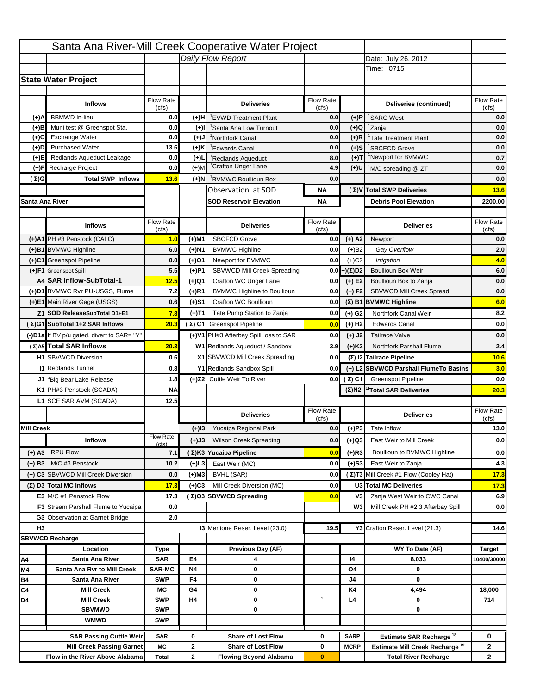|                   |                                            |                    |             | Santa Ana River-Mill Creek Cooperative Water Project |                           |                      |                                                  |                              |
|-------------------|--------------------------------------------|--------------------|-------------|------------------------------------------------------|---------------------------|----------------------|--------------------------------------------------|------------------------------|
|                   |                                            |                    |             | Daily Flow Report                                    |                           |                      | Date: July 26, 2012                              |                              |
|                   |                                            |                    |             |                                                      |                           |                      | Time: 0715                                       |                              |
|                   | <b>State Water Project</b>                 |                    |             |                                                      |                           |                      |                                                  |                              |
|                   |                                            |                    |             |                                                      |                           |                      |                                                  |                              |
|                   | <b>Inflows</b>                             | Flow Rate          |             | <b>Deliveries</b>                                    | <b>Flow Rate</b>          |                      | Deliveries (continued)                           | Flow Rate                    |
| (+)A              | <b>BBMWD</b> In-lieu                       | (cfs)<br>0.0       | (+)H        | 'EVWD Treatment Plant                                | (cfs)<br>0.0              | (+)P                 | <sup>1</sup> SARC West                           | (cfs)<br>0.0                 |
| (+)B              | Muni test @ Greenspot Sta.                 | 0.0                | $(+)$ l     | 'Santa Ana Low Turnout                               | 0.0                       | $(+)Q$               | <sup>1</sup> Zanja                               | 0.0                          |
| (+)C              | Exchange Water                             | 0.0                | $(L(+)$     | <sup>1</sup> Northfork Canal                         | 0.0                       | $(+)R$               | <sup>1</sup> Tate Treatment Plant                | 0.0                          |
| (+)D              | <b>Purchased Water</b>                     | 13.6               | (+)K        | <sup>1</sup> Edwards Canal                           | 0.0                       | $(+)$ S              | <sup>1</sup> SBCFCD Grove                        | 0.0                          |
| (+)E              | Redlands Aqueduct Leakage                  | 0.0                | $(+)1$      | <sup>1</sup> Redlands Aqueduct                       | 8.0                       | $(+)T$               | <sup>1</sup> Newport for BVMWC                   | 0.7                          |
| (+)F              | Recharge Project                           | 0.0                | $(+)$ M     | <sup>1</sup> Crafton Unger Lane                      | 4.9                       | (+)U                 | <sup>1</sup> M/C spreading @ ZT                  | 0.0                          |
| (Σ)G              | <b>Total SWP Inflows</b>                   | 13.6               | $(+)$ N     | <sup>1</sup> BVMWC Boullioun Box                     | 0.0                       |                      |                                                  | 0.0                          |
|                   |                                            |                    |             | Observation at SOD                                   | ΝA                        |                      | (Σ) V Total SWP Deliveries                       | 13.6                         |
| Santa Ana River   |                                            |                    |             | <b>SOD Reservoir Elevation</b>                       | ΝA                        |                      | <b>Debris Pool Elevation</b>                     | 2200.00                      |
|                   |                                            |                    |             |                                                      |                           |                      |                                                  |                              |
|                   | <b>Inflows</b>                             | Flow Rate          |             | <b>Deliveries</b>                                    | Flow Rate                 |                      | <b>Deliveries</b>                                | Flow Rate<br>(cfs)           |
|                   | (+)A1 PH #3 Penstock (CALC)                | (cfs)<br>1.0       | (+)M1       | <b>SBCFCD Grove</b>                                  | (cfs)<br>0.0              | $(+)$ A2             | Newport                                          | 0.0                          |
|                   | (+)B1 BVMWC Highline                       | 6.0                | (+)N1       | <b>BVMWC Highline</b>                                | 0.0                       | $(+)B2$              | Gay Overflow                                     | 2.0                          |
|                   | (+)C1 Greenspot Pipeline                   | 0.0                | (+)01       | Newport for BVMWC                                    | 0.0                       | $(+)$ C <sub>2</sub> | Irrigation                                       | 4.0                          |
|                   | (+)F1 Greenspot Spill                      | 5.5                | (+)P1       | SBVWCD Mill Creek Spreading                          | 0.0                       | (+)(Σ)D2             | <b>Boullioun Box Weir</b>                        | 6.0                          |
|                   | A4 SAR Inflow-SubTotal-1                   | 12.5               | (+)Q1       | Crafton WC Unger Lane                                | 0.0                       | $(+) E2$             | Boullioun Box to Zanja                           | 0.0                          |
|                   | (+)D1 BVMWC Rvr PU-USGS, Flume             | 7.2                | $(+)$ R1    | <b>BVMWC Highline to Boullioun</b>                   | 0.0                       | $(+) F2$             | SBVWCD Mill Creek Spread                         | 0.0                          |
|                   | (+)E1 Main River Gage (USGS)               | 0.6                | (+)S1       | Crafton WC Boullioun                                 | 0.0                       |                      | $(\Sigma)$ B1 BVMWC Highline                     | 6.0                          |
|                   | Z1 SOD ReleaseSubTotal D1+E1               | 7.8                |             | Tate Pump Station to Zanja                           | 0.0                       |                      | Northfork Canal Weir                             | 8.2                          |
|                   | (Σ)G1 SubTotal 1+2 SAR Inflows             | 20.3               | (+)T1       |                                                      |                           | (+) G2               | <b>Edwards Canal</b>                             | 0.0                          |
|                   |                                            |                    |             | (Σ) C1 Greenspot Pipeline                            | 0.0                       | $(+)$ H <sub>2</sub> |                                                  |                              |
|                   | (-)D1a If BV p/u gated, divert to SAR= "Y" |                    |             | (+)V1 PH#3 Afterbay SpillLoss to SAR                 | 0.0                       | $(+)$ J2             | <b>Tailrace Valve</b>                            | 0.0                          |
|                   | (Σ) A5 Total SAR Inflows                   | 20.3               |             | W1 Redlands Aqueduct / Sandbox                       | 3.9                       | $(+)$ K <sub>2</sub> | <b>Northfork Parshall Flume</b>                  | 2.4                          |
|                   | <b>H1</b> SBVWCD Diversion                 | 0.6                |             | X1 SBVWCD Mill Creek Spreading                       | 0.0                       |                      | (Σ) I2 Tailrace Pipeline                         | 10.6                         |
|                   | <b>11 Redlands Tunnel</b>                  | 0.8                |             | Y1 Redlands Sandbox Spill                            | 0.0                       |                      | (+) L2 SBVWCD Parshall FlumeTo Basins            | 3.0                          |
|                   | J1 <sup>a</sup> Big Bear Lake Release      | 1.8                |             | (+)Z2 Cuttle Weir To River                           |                           | 0.0 $(\Sigma)$ C1    | <b>Greenspot Pipeline</b>                        | 0.0                          |
|                   | K1 PH#3 Penstock (SCADA)                   | <b>NA</b>          |             |                                                      |                           |                      | $(\Sigma)$ N2 <sup>1)</sup> Total SAR Deliveries | 20.3                         |
|                   | L1 SCE SAR AVM (SCADA)                     | 12.5               |             |                                                      |                           |                      |                                                  |                              |
|                   |                                            |                    |             | <b>Deliveries</b>                                    | <b>Flow Rate</b><br>(cfs) |                      | <b>Deliveries</b>                                | Flow Rate<br>(cts)           |
| <b>Mill Creek</b> |                                            |                    | $(+)$ 13    | Yucaipa Regional Park                                | 0.0                       | $(+)P3$              | Tate Inflow                                      | 13.0                         |
|                   | <b>Inflows</b>                             | <b>Flow Rate</b>   | (+)J3       | <b>Wilson Creek Spreading</b>                        | 0.0                       | (+)Q3                | East Weir to Mill Creek                          | 0.0                          |
|                   | <b>RPU Flow</b>                            | (cfs)              |             |                                                      |                           | $(+)$ R3             | Boullioun to BVMWC Highline                      |                              |
| $(+)$ A3          |                                            | 7.1                |             | (Σ)K3 Yucaipa Pipeline                               | 0.0                       |                      |                                                  | 0.0                          |
| $(+)$ B3          | M/C #3 Penstock                            | 10.2               | $(+)$ L3    | East Weir (MC)                                       | 0.0                       | $(+)$ S3             | East Weir to Zanja                               | 4.3                          |
|                   | (+) C3 SBVWCD Mill Creek Diversion         | 0.0                | (+)M3       | BVHL (SAR)                                           | 0.0                       |                      | (Σ) T3 Mill Creek #1 Flow (Cooley Hat)           | 17.3                         |
|                   | (Σ) D3 Total MC Inflows                    | 17.3               | $(+)C3$     | Mill Creek Diversion (MC)                            | 0.0                       |                      | U3 Total MC Deliveries                           | 17.3                         |
|                   | E3 M/C #1 Penstock Flow                    | 17.3               |             | (Σ)O3 SBVWCD Spreading                               | 0.0                       | V3                   | Zanja West Weir to CWC Canal                     | 6.9                          |
|                   | <b>F3</b> Stream Parshall Flume to Yucaipa | 0.0                |             |                                                      |                           | W <sub>3</sub>       | Mill Creek PH #2,3 Afterbay Spill                | 0.0                          |
| H <sub>3</sub>    | G3 Observation at Garnet Bridge            | 2.0                |             | <b>13 Mentone Reser. Level (23.0)</b>                |                           |                      |                                                  |                              |
|                   | <b>SBVWCD Recharge</b>                     |                    |             |                                                      | 19.5                      |                      | Y3 Crafton Reser. Level (21.3)                   | 14.6                         |
|                   | Location                                   |                    |             | Previous Day (AF)                                    |                           |                      | WY To Date (AF)                                  |                              |
| Α4                | Santa Ana River                            | Type<br><b>SAR</b> | E4          | 4                                                    |                           | 14                   | 8,033                                            | <b>Target</b><br>10400/30000 |
| M4                | Santa Ana Rvr to Mill Creek                | <b>SAR-MC</b>      | <b>N4</b>   | 0                                                    |                           | O4                   | 0                                                |                              |
| Β4                | Santa Ana River                            | <b>SWP</b>         | F4          | 0                                                    |                           | J4                   | 0                                                |                              |
| C4                | <b>Mill Creek</b>                          | МC                 | G4          | 0                                                    |                           | K4                   | 4,494                                            | 18,000                       |
| D4                | <b>Mill Creek</b>                          | <b>SWP</b>         | H4          | 0                                                    |                           | L4                   | 0                                                | 714                          |
|                   | <b>SBVMWD</b>                              | <b>SWP</b>         |             | 0                                                    |                           |                      | 0                                                |                              |
|                   | <b>WMWD</b>                                | <b>SWP</b>         |             |                                                      |                           |                      |                                                  |                              |
|                   | <b>SAR Passing Cuttle Weir</b>             | <b>SAR</b>         | 0           | <b>Share of Lost Flow</b>                            | 0                         | <b>SARP</b>          | <b>Estimate SAR Recharge<sup>18</sup></b>        | 0                            |
|                   |                                            |                    |             |                                                      |                           |                      |                                                  |                              |
|                   | <b>Mill Creek Passing Garnet</b>           | МC                 | $\mathbf 2$ | <b>Share of Lost Flow</b>                            | 0                         | <b>MCRP</b>          | Estimate Mill Creek Recharge <sup>19</sup>       | 2                            |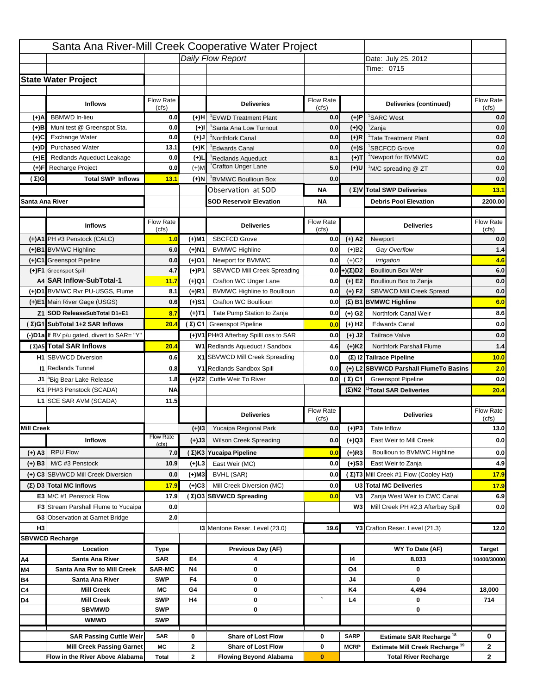|                   |                                                                     |                    |                             | Santa Ana River-Mill Creek Cooperative Water Project       |                  |                      |                                                                           |                           |
|-------------------|---------------------------------------------------------------------|--------------------|-----------------------------|------------------------------------------------------------|------------------|----------------------|---------------------------------------------------------------------------|---------------------------|
|                   |                                                                     |                    |                             | Daily Flow Report                                          |                  |                      | Date: July 25, 2012                                                       |                           |
|                   |                                                                     |                    |                             |                                                            |                  |                      | Time: 0715                                                                |                           |
|                   | <b>State Water Project</b>                                          |                    |                             |                                                            |                  |                      |                                                                           |                           |
|                   |                                                                     |                    |                             |                                                            |                  |                      |                                                                           |                           |
|                   | <b>Inflows</b>                                                      | Flow Rate          |                             | <b>Deliveries</b>                                          | <b>Flow Rate</b> |                      | Deliveries (continued)                                                    | Flow Rate                 |
| (+)A              | <b>BBMWD</b> In-lieu                                                | (cfs)<br>0.0       | (+)H                        | 'EVWD Treatment Plant                                      | (cfs)<br>0.0     | (+)P                 | <sup>1</sup> SARC West                                                    | (cfs)<br>0.0              |
| (+)B              | Muni test @ Greenspot Sta.                                          | 0.0                | $(+)$ l                     | 'Santa Ana Low Turnout                                     | 0.0              | $(+)Q$               | <sup>1</sup> Zanja                                                        | 0.0                       |
| (+)C              | Exchange Water                                                      | 0.0                | $(L(+)$                     | <sup>1</sup> Northfork Canal                               | 0.0              | $(+)R$               | <sup>1</sup> Tate Treatment Plant                                         | 0.0                       |
| (+)D              | <b>Purchased Water</b>                                              | 13.1               | (+)K                        | <sup>1</sup> Edwards Canal                                 | 0.0              | $(+)$ S              | <sup>1</sup> SBCFCD Grove                                                 | 0.0                       |
| (+)E              | Redlands Aqueduct Leakage                                           | 0.0                | $(+)1$                      | <sup>1</sup> Redlands Aqueduct                             | 8.1              | $(+)T$               | <sup>1</sup> Newport for BVMWC                                            | 0.0                       |
| (+)F              | Recharge Project                                                    | 0.0                | $(+)$ M                     | <sup>1</sup> Crafton Unger Lane                            | 5.0              | (+)U                 | <sup>1</sup> M/C spreading @ ZT                                           | 0.0                       |
| (Σ)G              | <b>Total SWP Inflows</b>                                            | 13.1               | $(+)$ N                     | <sup>1</sup> BVMWC Boullioun Box                           | 0.0              |                      |                                                                           | 0.0                       |
|                   |                                                                     |                    |                             | Observation at SOD                                         | ΝA               |                      | (Σ) V Total SWP Deliveries                                                | 13.1                      |
| Santa Ana River   |                                                                     |                    |                             | <b>SOD Reservoir Elevation</b>                             | ΝA               |                      | <b>Debris Pool Elevation</b>                                              | 2200.00                   |
|                   |                                                                     |                    |                             |                                                            |                  |                      |                                                                           |                           |
|                   | <b>Inflows</b>                                                      | Flow Rate          |                             | <b>Deliveries</b>                                          | Flow Rate        |                      | <b>Deliveries</b>                                                         | Flow Rate<br>(cfs)        |
|                   | (+)A1 PH #3 Penstock (CALC)                                         | (cfs)<br>1.0       | (+)M1                       | <b>SBCFCD Grove</b>                                        | (cfs)<br>0.0     | $(+)$ A2             | Newport                                                                   | 0.0                       |
|                   | (+)B1 BVMWC Highline                                                | 6.0                | (+)N1                       | <b>BVMWC Highline</b>                                      | 0.0              | $(+)B2$              | Gay Overflow                                                              | $1.4$                     |
|                   | (+)C1 Greenspot Pipeline                                            | 0.0                | (+)01                       | Newport for BVMWC                                          | 0.0              | $(+)$ C <sub>2</sub> | Irrigation                                                                | 4.6                       |
|                   | (+)F1 Greenspot Spill                                               | 4.7                | (+)P1                       | SBVWCD Mill Creek Spreading                                | 0.0              | (+)(Σ)D2             | <b>Boullioun Box Weir</b>                                                 | 6.0                       |
|                   | A4 SAR Inflow-SubTotal-1                                            | 11.7               | (+)Q1                       | Crafton WC Unger Lane                                      | 0.0              | $(+) E2$             | Boullioun Box to Zanja                                                    | 0.0                       |
|                   | (+)D1 BVMWC Rvr PU-USGS, Flume                                      | 8.1                | $(+)$ R1                    | <b>BVMWC Highline to Boullioun</b>                         | 0.0              | $(+) F2$             | SBVWCD Mill Creek Spread                                                  | 0.0                       |
|                   | (+)E1 Main River Gage (USGS)                                        | 0.6                | (+)S1                       | Crafton WC Boullioun                                       | 0.0              |                      | $(\Sigma)$ B1 BVMWC Highline                                              | 6.0                       |
|                   | Z1 SOD ReleaseSubTotal D1+E1                                        | 8.7                |                             | Tate Pump Station to Zanja                                 | 0.0              |                      | Northfork Canal Weir                                                      | 8.6                       |
|                   |                                                                     |                    | (+)T1                       |                                                            |                  | (+) G2               |                                                                           |                           |
|                   | (Σ)G1 SubTotal 1+2 SAR Inflows                                      | 20.4               |                             | (Σ) C1 Greenspot Pipeline                                  | 0.0              | $(+)$ H <sub>2</sub> | <b>Edwards Canal</b>                                                      | 0.0                       |
|                   | (-)D1a If BV p/u gated, divert to SAR= "Y"                          |                    |                             | (+)V1 PH#3 Afterbay SpillLoss to SAR                       | 0.0              | $(+)$ J2             | <b>Tailrace Valve</b>                                                     | 0.0                       |
|                   | (Σ) A5 Total SAR Inflows                                            | 20.4               |                             | W1 Redlands Aqueduct / Sandbox                             | 4.6              | $(+)$ K <sub>2</sub> | Northfork Parshall Flume                                                  | 1.4                       |
|                   | <b>H1</b> SBVWCD Diversion                                          | 0.6                |                             | X1 SBVWCD Mill Creek Spreading                             | 0.0              |                      | (Σ) I2 Tailrace Pipeline                                                  | 10.0                      |
|                   | <b>11 Redlands Tunnel</b>                                           | 0.8                |                             | Y1 Redlands Sandbox Spill                                  | 0.0              |                      | (+) L2 SBVWCD Parshall FlumeTo Basins                                     | 2.0                       |
|                   | J1 <sup>a</sup> Big Bear Lake Release                               | 1.8                |                             | (+)Z2 Cuttle Weir To River                                 |                  | 0.0 $(\Sigma)$ C1    | <b>Greenspot Pipeline</b>                                                 | 0.0                       |
|                   | K1 PH#3 Penstock (SCADA)                                            | <b>NA</b>          |                             |                                                            |                  |                      | $(\Sigma)$ N2 <sup>1)</sup> Total SAR Deliveries                          | 20.4                      |
|                   |                                                                     |                    |                             |                                                            |                  |                      |                                                                           |                           |
|                   | L1 SCE SAR AVM (SCADA)                                              | 11.5               |                             |                                                            |                  |                      |                                                                           |                           |
|                   |                                                                     |                    |                             | <b>Deliveries</b>                                          | <b>Flow Rate</b> |                      | <b>Deliveries</b>                                                         | Flow Rate                 |
|                   |                                                                     |                    |                             |                                                            | (cfs)            |                      |                                                                           | (cts)                     |
| <b>Mill Creek</b> |                                                                     | <b>Flow Rate</b>   | $(+)$ 13                    | Yucaipa Regional Park                                      | 0.0              | $(+)P3$              | Tate Inflow                                                               |                           |
|                   | <b>Inflows</b>                                                      | (cfs)              | (+)J3                       | <b>Wilson Creek Spreading</b>                              | 0.0              | (+)Q3                | East Weir to Mill Creek                                                   |                           |
| $(+)$ A3          | <b>RPU Flow</b>                                                     | 7.0                |                             | (Σ)K3 Yucaipa Pipeline                                     | 0.0              | $(+)$ R3             | Boullioun to BVMWC Highline                                               |                           |
| $(+)$ B3          | M/C #3 Penstock                                                     | 10.9               | $(+)$ L3                    | East Weir (MC)                                             | 0.0              | $(+)$ S3             | East Weir to Zanja                                                        | 13.0<br>0.0<br>0.0<br>4.9 |
|                   | (+) C3 SBVWCD Mill Creek Diversion                                  | 0.0                | (+)M3                       | BVHL (SAR)                                                 | 0.0              |                      | (Σ) T3 Mill Creek #1 Flow (Cooley Hat)                                    | <b>17.9</b>               |
|                   | (Σ) D3 Total MC Inflows                                             | 17.9               | $(+)C3$                     | Mill Creek Diversion (MC)                                  | 0.0              |                      | U3 Total MC Deliveries                                                    | 17.9                      |
|                   | E3 M/C #1 Penstock Flow                                             | 17.9               |                             | (Σ)O3 SBVWCD Spreading                                     | 0.0              | V3                   | Zanja West Weir to CWC Canal                                              | 6.9                       |
|                   | <b>F3</b> Stream Parshall Flume to Yucaipa                          | 0.0                |                             |                                                            |                  | W <sub>3</sub>       | Mill Creek PH #2,3 Afterbay Spill                                         | 0.0                       |
|                   | G3 Observation at Garnet Bridge                                     | 2.0                |                             |                                                            |                  |                      |                                                                           |                           |
| H <sub>3</sub>    |                                                                     |                    |                             | <b>13 Mentone Reser. Level (23.0)</b>                      | 19.6             |                      | Y3 Crafton Reser. Level (21.3)                                            | 12.0                      |
|                   | <b>SBVWCD Recharge</b>                                              |                    |                             |                                                            |                  |                      |                                                                           |                           |
|                   | Location                                                            | Type               |                             | Previous Day (AF)                                          |                  |                      | WY To Date (AF)                                                           | <b>Target</b>             |
| Α4                | Santa Ana River                                                     | <b>SAR</b>         | E4                          | 4                                                          |                  | 14                   | 8,033                                                                     |                           |
| M4                | Santa Ana Rvr to Mill Creek                                         | <b>SAR-MC</b>      | <b>N4</b>                   | 0                                                          |                  | O4                   | 0                                                                         |                           |
| Β4                | Santa Ana River                                                     | <b>SWP</b>         | F4                          | 0                                                          |                  | J4                   | 0                                                                         |                           |
| C4                | <b>Mill Creek</b>                                                   | МC                 | G4                          | 0                                                          |                  | K4                   | 4,494                                                                     | 18,000                    |
| D4                | <b>Mill Creek</b>                                                   | <b>SWP</b>         | H4                          | 0                                                          |                  | L4                   | 0                                                                         | 10400/30000<br>714        |
|                   | <b>SBVMWD</b>                                                       | <b>SWP</b>         |                             | 0                                                          |                  |                      | 0                                                                         |                           |
|                   | <b>WMWD</b>                                                         | <b>SWP</b>         |                             |                                                            |                  |                      |                                                                           |                           |
|                   | <b>SAR Passing Cuttle Weir</b>                                      | <b>SAR</b>         | 0                           | <b>Share of Lost Flow</b>                                  | 0                | <b>SARP</b>          | <b>Estimate SAR Recharge<sup>18</sup></b>                                 | 0                         |
|                   | <b>Mill Creek Passing Garnet</b><br>Flow in the River Above Alabama | МC<br><b>Total</b> | $\mathbf 2$<br>$\mathbf{2}$ | <b>Share of Lost Flow</b><br><b>Flowing Beyond Alabama</b> | 0<br>$\bf{0}$    | <b>MCRP</b>          | Estimate Mill Creek Recharge <sup>19</sup><br><b>Total River Recharge</b> | 2<br>2                    |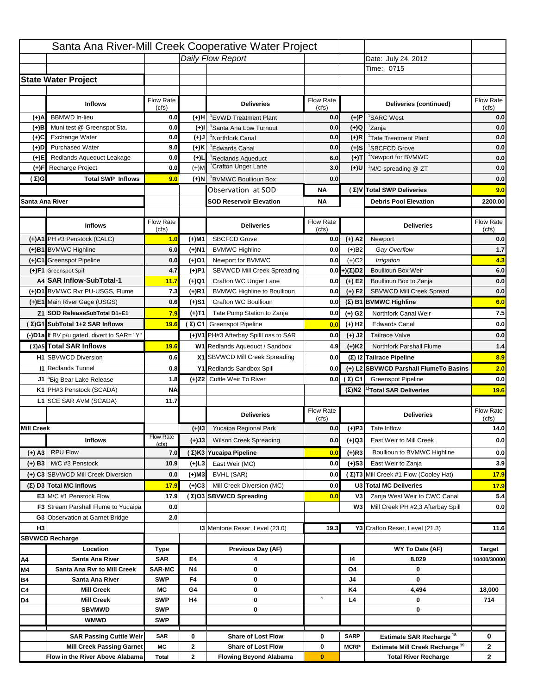|                   |                                                                     |                    |                             | Santa Ana River-Mill Creek Cooperative Water Project       |                           |                      |                                                                           |                    |
|-------------------|---------------------------------------------------------------------|--------------------|-----------------------------|------------------------------------------------------------|---------------------------|----------------------|---------------------------------------------------------------------------|--------------------|
|                   |                                                                     |                    |                             | Daily Flow Report                                          |                           |                      | Date: July 24, 2012                                                       |                    |
|                   |                                                                     |                    |                             |                                                            |                           |                      | Time: 0715                                                                |                    |
|                   | <b>State Water Project</b>                                          |                    |                             |                                                            |                           |                      |                                                                           |                    |
|                   |                                                                     |                    |                             |                                                            |                           |                      |                                                                           |                    |
|                   | <b>Inflows</b>                                                      | Flow Rate          |                             | <b>Deliveries</b>                                          | <b>Flow Rate</b>          |                      | Deliveries (continued)                                                    | Flow Rate          |
| (+)A              | <b>BBMWD</b> In-lieu                                                | (cfs)<br>0.0       | (+)H                        | 'EVWD Treatment Plant                                      | (cfs)<br>0.0              | (+)P                 | <sup>1</sup> SARC West                                                    | (cfs)<br>0.0       |
| (+)B              | Muni test @ Greenspot Sta.                                          | 0.0                | $(+)$ l                     | <sup>1</sup> Santa Ana Low Turnout                         | 0.0                       | $(+)Q$               | <sup>1</sup> Zanja                                                        | 0.0                |
| (+)C              | Exchange Water                                                      | 0.0                | $(L(+)$                     | <sup>1</sup> Northfork Canal                               | 0.0                       | $(+)R$               | <sup>1</sup> Tate Treatment Plant                                         | 0.0                |
| (+)D              | <b>Purchased Water</b>                                              | 9.0                | (+)K                        | <sup>1</sup> Edwards Canal                                 | 0.0                       | $(+)$ S              | <sup>1</sup> SBCFCD Grove                                                 | 0.0                |
| (+)E              | Redlands Aqueduct Leakage                                           | 0.0                | $(+)1$                      | <sup>1</sup> Redlands Aqueduct                             | 6.0                       | $(+)$ T              | <sup>1</sup> Newport for BVMWC                                            | 0.0                |
| (+)F              | Recharge Project                                                    | 0.0                | $(+)$ M                     | <sup>1</sup> Crafton Unger Lane                            | 3.0                       | $(+)$ U              | <sup>1</sup> M/C spreading @ ZT                                           | 0.0                |
| (Σ)G              | <b>Total SWP Inflows</b>                                            | 9.0                | (+)N                        | <sup>1</sup> BVMWC Boullioun Box                           | 0.0                       |                      |                                                                           | 0.0                |
|                   |                                                                     |                    |                             | Observation at SOD                                         | ΝA                        |                      | (Σ) V Total SWP Deliveries                                                | 9.0                |
| Santa Ana River   |                                                                     |                    |                             | <b>SOD Reservoir Elevation</b>                             | ΝA                        |                      | <b>Debris Pool Elevation</b>                                              | 2200.00            |
|                   |                                                                     |                    |                             |                                                            |                           |                      |                                                                           |                    |
|                   | <b>Inflows</b>                                                      | Flow Rate          |                             | <b>Deliveries</b>                                          | Flow Rate                 |                      | <b>Deliveries</b>                                                         | Flow Rate          |
|                   |                                                                     | (cfs)              |                             |                                                            | (cfs)                     |                      |                                                                           | (cfs)              |
|                   | (+)A1 PH #3 Penstock (CALC)                                         | 1.0                | (+)M1                       | <b>SBCFCD Grove</b>                                        | 0.0                       | $(+)$ A2             | Newport                                                                   | 0.0                |
|                   | (+)B1 BVMWC Highline                                                | 6.0                | (+)N1                       | <b>BVMWC Highline</b>                                      | 0.0                       | $(+)B2$              | Gay Overflow                                                              | $1.7$              |
|                   | (+)C1 Greenspot Pipeline                                            | 0.0                | (+)01                       | Newport for BVMWC                                          | 0.0                       | $(+)$ C <sub>2</sub> | Irrigation                                                                | 4.3                |
|                   | (+)F1 Greenspot Spill<br>A4 SAR Inflow-SubTotal-1                   | 4.7                | (+)P1                       | SBVWCD Mill Creek Spreading<br>Crafton WC Unger Lane       | 0.0                       | (+)(Σ)D2             | <b>Boullioun Box Weir</b>                                                 | 6.0                |
|                   | (+)D1 BVMWC Rvr PU-USGS, Flume                                      | 11.7<br>7.3        | (+)Q1<br>$(+)$ R1           | <b>BVMWC Highline to Boullioun</b>                         | 0.0<br>0.0                | $(+) E2$<br>$(+) F2$ | Boullioun Box to Zanja<br>SBVWCD Mill Creek Spread                        | 0.0<br>0.0         |
|                   | (+)E1 Main River Gage (USGS)                                        | 0.6                |                             | Crafton WC Boullioun                                       | 0.0                       |                      |                                                                           | 6.0                |
|                   |                                                                     |                    | (+)S1                       |                                                            |                           |                      | $(\Sigma)$ B1 BVMWC Highline                                              |                    |
|                   | Z1 SOD ReleaseSubTotal D1+E1                                        | 7.9                | (+)T1                       | Tate Pump Station to Zanja                                 | 0.0                       | (+) G2               | Northfork Canal Weir                                                      | 7.5                |
|                   | (Σ)G1 SubTotal 1+2 SAR Inflows                                      | 19.6               |                             | (Σ) C1 Greenspot Pipeline                                  | 0.0                       | $(+)$ H <sub>2</sub> | <b>Edwards Canal</b>                                                      | 0.0                |
|                   | (-)D1a If BV p/u gated, divert to SAR= "Y"                          |                    |                             | (+)V1 PH#3 Afterbay SpillLoss to SAR                       | 0.0                       | $(+)$ J2             | <b>Tailrace Valve</b>                                                     | 0.0                |
|                   | (Σ) A5 Total SAR Inflows                                            | 19.6               |                             | W1 Redlands Aqueduct / Sandbox                             | 4.9                       | $(+)$ K <sub>2</sub> | <b>Northfork Parshall Flume</b>                                           | 1.4                |
|                   | <b>H1</b> SBVWCD Diversion                                          | 0.6                |                             | X1 SBVWCD Mill Creek Spreading                             | 0.0                       |                      | (Σ) I2 Tailrace Pipeline                                                  | 8.9                |
|                   | <b>11 Redlands Tunnel</b>                                           | 0.8                |                             | Y1 Redlands Sandbox Spill                                  | 0.0                       |                      | (+) L2 SBVWCD Parshall FlumeTo Basins                                     | 2.0                |
|                   | J1 <sup>a</sup> Big Bear Lake Release                               | 1.8                |                             | (+)Z2 Cuttle Weir To River                                 |                           | 0.0 $(\Sigma)$ C1    | <b>Greenspot Pipeline</b>                                                 | 0.0                |
|                   | K1 PH#3 Penstock (SCADA)                                            | <b>NA</b>          |                             |                                                            |                           |                      | $(\Sigma)$ N2 <sup>1)</sup> Total SAR Deliveries                          | 19.6               |
|                   | L1 SCE SAR AVM (SCADA)                                              | 11.7               |                             |                                                            |                           |                      |                                                                           |                    |
|                   |                                                                     |                    |                             | <b>Deliveries</b>                                          | <b>Flow Rate</b><br>(cfs) |                      | <b>Deliveries</b>                                                         | Flow Rate<br>(cts) |
| <b>Mill Creek</b> |                                                                     |                    | $(+)$ 13                    | Yucaipa Regional Park                                      | 0.0                       | $(+)P3$              | Tate Inflow                                                               | 14.0               |
|                   | <b>Inflows</b>                                                      | <b>Flow Rate</b>   |                             | <b>Wilson Creek Spreading</b>                              |                           |                      | East Weir to Mill Creek                                                   | 0.0                |
|                   |                                                                     | (cfs)              | (+)J3                       |                                                            | 0.0                       | (+)Q3                |                                                                           |                    |
| $(+)$ A3          | <b>RPU Flow</b>                                                     | 7.0                |                             | (Σ)K3 Yucaipa Pipeline                                     | 0.0                       | $(+)$ R3             | Boullioun to BVMWC Highline                                               | 0.0                |
| $(+)$ B3          | M/C #3 Penstock                                                     | 10.9               | $(+)$ L3                    | East Weir (MC)                                             | 0.0                       | $(+)$ S3             | East Weir to Zanja                                                        | 3.9                |
|                   | (+) C3 SBVWCD Mill Creek Diversion                                  | 0.0                | (+)M3                       | BVHL (SAR)                                                 | 0.0                       |                      | (Σ) T3 Mill Creek #1 Flow (Cooley Hat)                                    | <b>17.9</b>        |
|                   | (Σ) D3 Total MC Inflows                                             | 17.9               | $(+)C3$                     | Mill Creek Diversion (MC)                                  | 0.0                       |                      | U3 Total MC Deliveries                                                    | 17.9               |
|                   | E3 M/C #1 Penstock Flow                                             | 17.9               |                             | (Σ)O3 SBVWCD Spreading                                     | 0.0                       | V3                   | Zanja West Weir to CWC Canal                                              | 5.4                |
|                   | <b>F3</b> Stream Parshall Flume to Yucaipa                          | 0.0                |                             |                                                            |                           | W <sub>3</sub>       | Mill Creek PH #2,3 Afterbay Spill                                         | 0.0                |
|                   | G3 Observation at Garnet Bridge                                     | 2.0                |                             |                                                            |                           |                      |                                                                           |                    |
| H <sub>3</sub>    |                                                                     |                    |                             | <b>13 Mentone Reser. Level (23.0)</b>                      | 19.3                      |                      | Y3 Crafton Reser. Level (21.3)                                            | 11.6               |
|                   | <b>SBVWCD Recharge</b>                                              |                    |                             |                                                            |                           |                      |                                                                           |                    |
|                   | Location                                                            | Type               |                             | Previous Day (AF)                                          |                           |                      | WY To Date (AF)                                                           | <b>Target</b>      |
| Α4                | Santa Ana River                                                     | <b>SAR</b>         | E4                          | 4                                                          |                           | 14                   | 8,029                                                                     | 10400/30000        |
| M4                | Santa Ana Rvr to Mill Creek                                         | <b>SAR-MC</b>      | <b>N4</b>                   | 0                                                          |                           | O4                   | 0<br>0                                                                    |                    |
| Β4<br>C4          | Santa Ana River<br><b>Mill Creek</b>                                | <b>SWP</b><br>МC   | F4<br>G4                    | 0<br>0                                                     |                           | J4<br>K4             | 4,494                                                                     | 18,000             |
| D4                | <b>Mill Creek</b>                                                   | <b>SWP</b>         | H4                          | 0                                                          |                           | L4                   | 0                                                                         | 714                |
|                   | <b>SBVMWD</b>                                                       | <b>SWP</b>         |                             | 0                                                          |                           |                      | 0                                                                         |                    |
|                   | <b>WMWD</b>                                                         | <b>SWP</b>         |                             |                                                            |                           |                      |                                                                           |                    |
|                   |                                                                     |                    |                             |                                                            |                           |                      |                                                                           |                    |
|                   |                                                                     |                    |                             |                                                            |                           |                      |                                                                           |                    |
|                   | <b>SAR Passing Cuttle Weir</b>                                      | <b>SAR</b>         | 0                           | <b>Share of Lost Flow</b>                                  | 0                         | <b>SARP</b>          | <b>Estimate SAR Recharge<sup>18</sup></b>                                 | 0                  |
|                   | <b>Mill Creek Passing Garnet</b><br>Flow in the River Above Alabama | МC<br><b>Total</b> | $\mathbf 2$<br>$\mathbf{2}$ | <b>Share of Lost Flow</b><br><b>Flowing Beyond Alabama</b> | 0<br>$\bf{0}$             | <b>MCRP</b>          | Estimate Mill Creek Recharge <sup>19</sup><br><b>Total River Recharge</b> | 2<br>2             |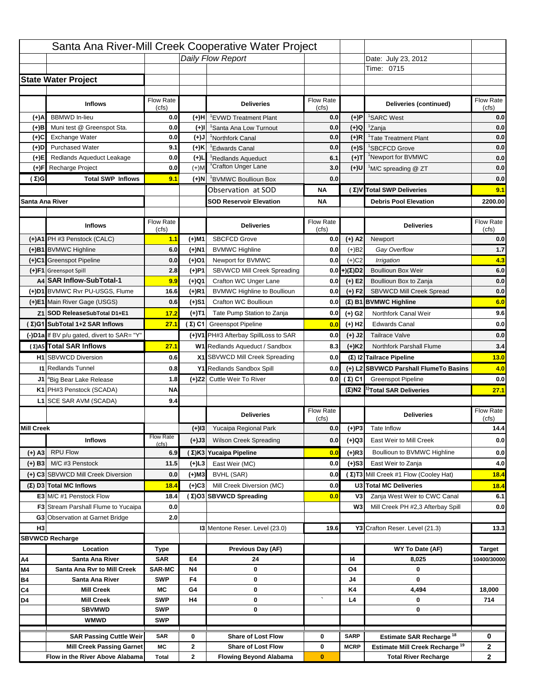|                   |                                                |                    |             | Santa Ana River-Mill Creek Cooperative Water Project |                           |                      |                                                  |                              |
|-------------------|------------------------------------------------|--------------------|-------------|------------------------------------------------------|---------------------------|----------------------|--------------------------------------------------|------------------------------|
|                   |                                                |                    |             | Daily Flow Report                                    |                           |                      | Date: July 23, 2012                              |                              |
|                   |                                                |                    |             |                                                      |                           |                      | Time: 0715                                       |                              |
|                   | <b>State Water Project</b>                     |                    |             |                                                      |                           |                      |                                                  |                              |
|                   |                                                |                    |             |                                                      |                           |                      |                                                  |                              |
|                   | <b>Inflows</b>                                 | Flow Rate<br>(cfs) |             | <b>Deliveries</b>                                    | <b>Flow Rate</b><br>(cfs) |                      | Deliveries (continued)                           | Flow Rate<br>(cfs)           |
| (+)A              | <b>BBMWD</b> In-lieu                           | 0.0                | (+)H        | 'EVWD Treatment Plant                                | 0.0                       | (+)P                 | <sup>1</sup> SARC West                           | 0.0                          |
| (+)B              | Muni test @ Greenspot Sta.                     | 0.0                | $(+)$ l     | 'Santa Ana Low Turnout                               | 0.0                       | $(+)Q$               | <sup>1</sup> Zanja                               | 0.0                          |
| (+)C              | Exchange Water                                 | 0.0                | $(L(+)$     | <sup>1</sup> Northfork Canal                         | 0.0                       | $(+)R$               | <sup>1</sup> Tate Treatment Plant                | 0.0                          |
| (+)D              | <b>Purchased Water</b>                         | 9.1                | (+)K        | <sup>1</sup> Edwards Canal                           | 0.0                       | $(+)$ S              | <sup>1</sup> SBCFCD Grove                        | 0.0                          |
| (+)E              | Redlands Aqueduct Leakage                      | 0.0                | $(+)1$      | <sup>1</sup> Redlands Aqueduct                       | 6.1                       | $(+)T$               | <sup>1</sup> Newport for BVMWC                   | 0.0                          |
| (+)F              | Recharge Project                               | 0.0                | $(+)$ M     | <sup>1</sup> Crafton Unger Lane                      | 3.0                       | $(+)$ U              | <sup>1</sup> M/C spreading @ ZT                  | 0.0                          |
| (Σ)G              | <b>Total SWP Inflows</b>                       | 9.1                | $(+)$ N     | <sup>1</sup> BVMWC Boullioun Box                     | 0.0                       |                      |                                                  | 0.0                          |
|                   |                                                |                    |             | Observation at SOD                                   | ΝA                        |                      | (Σ) V Total SWP Deliveries                       | 9.1                          |
|                   | Santa Ana River                                |                    |             | <b>SOD Reservoir Elevation</b>                       | ΝA                        |                      | <b>Debris Pool Elevation</b>                     | 2200.00                      |
|                   |                                                |                    |             |                                                      |                           |                      |                                                  |                              |
|                   | <b>Inflows</b>                                 | Flow Rate          |             | <b>Deliveries</b>                                    | Flow Rate                 |                      | <b>Deliveries</b>                                | Flow Rate<br>(cfs)           |
|                   | (+)A1 PH #3 Penstock (CALC)                    | (cfs)<br>1.1       | (+)M1       | <b>SBCFCD Grove</b>                                  | (cfs)<br>0.0              | $(+)$ A2             | Newport                                          | 0.0                          |
|                   | (+)B1 BVMWC Highline                           | 6.0                | (+)N1       | <b>BVMWC Highline</b>                                | 0.0                       | $(+)B2$              | Gay Overflow                                     | $1.7$                        |
|                   | (+)C1 Greenspot Pipeline                       | 0.0                | (+)01       | Newport for BVMWC                                    | 0.0                       | $(+)$ C <sub>2</sub> | Irrigation                                       | 4.3                          |
|                   | (+)F1 Greenspot Spill                          | 2.8                | (+)P1       | SBVWCD Mill Creek Spreading                          | 0.0                       | (+)(Σ)D2             | <b>Boullioun Box Weir</b>                        | 6.0                          |
|                   | A4 SAR Inflow-SubTotal-1                       | 9.9                | (+)Q1       | Crafton WC Unger Lane                                | 0.0                       | $(+) E2$             | Boullioun Box to Zanja                           | 0.0                          |
|                   | (+)D1 BVMWC Rvr PU-USGS, Flume                 | 16.6               | $(+)$ R1    | <b>BVMWC Highline to Boullioun</b>                   | 0.0                       | $(+) F2$             | SBVWCD Mill Creek Spread                         | 0.0                          |
|                   | (+)E1 Main River Gage (USGS)                   | 0.6                | (+)S1       | Crafton WC Boullioun                                 | 0.0                       |                      | $(\Sigma)$ B1 BVMWC Highline                     | 6.0                          |
|                   |                                                | 17.2               |             |                                                      |                           |                      | Northfork Canal Weir                             |                              |
|                   | Z1 SOD ReleaseSubTotal D1+E1                   |                    | (+)T1       | Tate Pump Station to Zanja                           | 0.0                       | (+) G2               |                                                  | 9.6                          |
|                   | (Σ)G1 SubTotal 1+2 SAR Inflows                 | 27.1               |             | (Σ) C1 Greenspot Pipeline                            | 0.0                       | $(+)$ H <sub>2</sub> | <b>Edwards Canal</b>                             | 0.0                          |
|                   | (-)D1a If BV p/u gated, divert to SAR= "Y"     |                    |             | (+)V1 PH#3 Afterbay SpillLoss to SAR                 | 0.0                       | $(+)$ J2             | <b>Tailrace Valve</b>                            | 0.0                          |
|                   | (Σ) A5 Total SAR Inflows                       | 27.1               |             | W1 Redlands Aqueduct / Sandbox                       | 8.3                       | $(+)$ K <sub>2</sub> | <b>Northfork Parshall Flume</b>                  | 3.4                          |
|                   | <b>H1</b> SBVWCD Diversion                     | 0.6                |             | X1 SBVWCD Mill Creek Spreading                       | 0.0                       |                      | (Σ) I2 Tailrace Pipeline                         | 13.0                         |
|                   | <b>11 Redlands Tunnel</b>                      | 0.8                |             | Y1 Redlands Sandbox Spill                            | 0.0                       |                      | (+) L2 SBVWCD Parshall FlumeTo Basins            | 4.0                          |
|                   | J1 <sup>a</sup> Big Bear Lake Release          | 1.8                |             | (+)Z2 Cuttle Weir To River                           |                           | 0.0 $(\Sigma)$ C1    | <b>Greenspot Pipeline</b>                        | 0.0                          |
|                   | K1 PH#3 Penstock (SCADA)                       | <b>NA</b>          |             |                                                      |                           |                      | $(\Sigma)$ N2 <sup>1)</sup> Total SAR Deliveries | 27.1                         |
|                   | L1 SCE SAR AVM (SCADA)                         | 9.4                |             |                                                      |                           |                      |                                                  |                              |
|                   |                                                |                    |             | <b>Deliveries</b>                                    | <b>Flow Rate</b><br>(cfs) |                      | <b>Deliveries</b>                                | Flow Rate<br>(cts)           |
| <b>Mill Creek</b> |                                                |                    | $(+)$ 13    | Yucaipa Regional Park                                | 0.0                       | $(+)P3$              | Tate Inflow                                      | 14.4                         |
|                   | <b>Inflows</b>                                 | <b>Flow Rate</b>   | (+)J3       | <b>Wilson Creek Spreading</b>                        | 0.0                       | (+)Q3                | East Weir to Mill Creek                          | 0.0                          |
|                   | <b>RPU Flow</b>                                | (cfs)<br>6.9       |             | (Σ)K3 Yucaipa Pipeline                               | 0.0                       | $(+)$ R3             | Boullioun to BVMWC Highline                      |                              |
| $(+)$ A3          |                                                |                    |             |                                                      |                           |                      |                                                  | 0.0                          |
| $(+)$ B3          | M/C #3 Penstock                                | 11.5               | $(+)$ L3    | East Weir (MC)                                       | 0.0                       | $(+)$ S3             | East Weir to Zanja                               | 4.0                          |
|                   | (+) C3 SBVWCD Mill Creek Diversion             | 0.0                | (+)M3       | BVHL (SAR)                                           | 0.0                       |                      | (Σ) T3 Mill Creek #1 Flow (Cooley Hat)           | 18.4                         |
|                   | (Σ) D3 Total MC Inflows                        | 18.4               | $(+)C3$     | Mill Creek Diversion (MC)                            | 0.0                       |                      | U3 Total MC Deliveries                           | 18.4                         |
|                   | E3 M/C #1 Penstock Flow                        | 18.4               |             | (Σ)O3 SBVWCD Spreading                               | 0.0                       | V3                   | Zanja West Weir to CWC Canal                     | 6.1                          |
|                   | <b>F3</b> Stream Parshall Flume to Yucaipa     | 0.0                |             |                                                      |                           | W <sub>3</sub>       | Mill Creek PH #2,3 Afterbay Spill                | 0.0                          |
| H <sub>3</sub>    | G3 Observation at Garnet Bridge                | 2.0                |             | <b>13 Mentone Reser. Level (23.0)</b>                |                           |                      |                                                  |                              |
|                   |                                                |                    |             |                                                      | 19.6                      |                      | Y3 Crafton Reser. Level (21.3)                   | 13.3                         |
|                   | <b>SBVWCD Recharge</b><br>Location             |                    |             | Previous Day (AF)                                    |                           |                      | WY To Date (AF)                                  |                              |
|                   |                                                | Type<br><b>SAR</b> | E4          |                                                      |                           | 14                   |                                                  | <b>Target</b><br>10400/30000 |
| Α4<br>M4          | Santa Ana River<br>Santa Ana Rvr to Mill Creek | <b>SAR-MC</b>      | <b>N4</b>   | 24<br>0                                              |                           | O4                   | 8,025<br>0                                       |                              |
| Β4                | Santa Ana River                                | <b>SWP</b>         | F4          | 0                                                    |                           | J4                   | 0                                                |                              |
| C4                | <b>Mill Creek</b>                              | МC                 | G4          | 0                                                    |                           | K4                   | 4,494                                            | 18,000                       |
| D4                | <b>Mill Creek</b>                              | <b>SWP</b>         | H4          | 0                                                    |                           | L4                   | 0                                                | 714                          |
|                   | <b>SBVMWD</b>                                  | <b>SWP</b>         |             | 0                                                    |                           |                      | 0                                                |                              |
|                   | <b>WMWD</b>                                    | <b>SWP</b>         |             |                                                      |                           |                      |                                                  |                              |
|                   | <b>SAR Passing Cuttle Weir</b>                 | <b>SAR</b>         | 0           | <b>Share of Lost Flow</b>                            | 0                         | <b>SARP</b>          | <b>Estimate SAR Recharge<sup>18</sup></b>        | 0                            |
|                   |                                                |                    |             | <b>Share of Lost Flow</b>                            |                           | <b>MCRP</b>          | Estimate Mill Creek Recharge <sup>19</sup>       |                              |
|                   | <b>Mill Creek Passing Garnet</b>               | МC                 | $\mathbf 2$ |                                                      | 0                         |                      |                                                  | 2                            |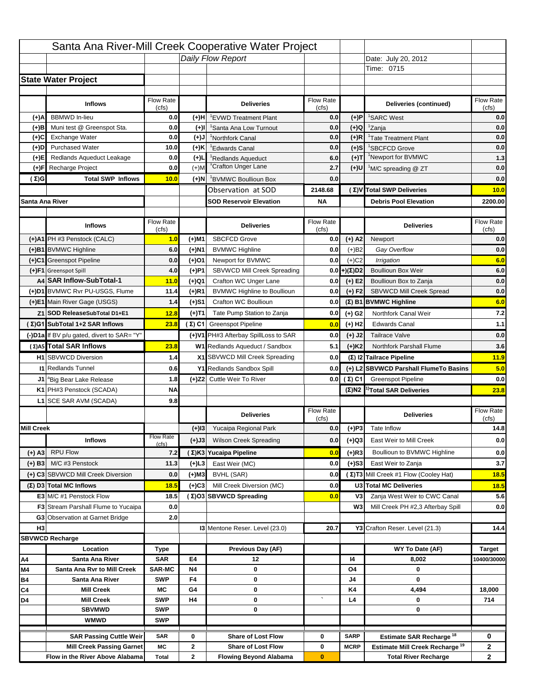|                   |                                                                    |                    |                | Santa Ana River-Mill Creek Cooperative Water Project |                           |                                 |                                                  |                              |
|-------------------|--------------------------------------------------------------------|--------------------|----------------|------------------------------------------------------|---------------------------|---------------------------------|--------------------------------------------------|------------------------------|
|                   |                                                                    |                    |                | Daily Flow Report                                    |                           |                                 | Date: July 20, 2012                              |                              |
|                   |                                                                    |                    |                |                                                      |                           |                                 | Time: 0715                                       |                              |
|                   | <b>State Water Project</b>                                         |                    |                |                                                      |                           |                                 |                                                  |                              |
|                   |                                                                    |                    |                |                                                      |                           |                                 |                                                  |                              |
|                   | <b>Inflows</b>                                                     | Flow Rate<br>(cfs) |                | <b>Deliveries</b>                                    | <b>Flow Rate</b><br>(cfs) |                                 | Deliveries (continued)                           | Flow Rate<br>(cts)           |
| (+)A              | <b>BBMWD</b> In-lieu                                               | 0.0                | (+)H           | 'EVWD Treatment Plant                                | 0.0                       | (+)P                            | <sup>1</sup> SARC West                           | 0.0                          |
| (+)B              | Muni test @ Greenspot Sta.                                         | 0.0                | $(+)$ l        | <sup>1</sup> Santa Ana Low Turnout                   | 0.0                       | $(+)Q$                          | <sup>1</sup> Zanja                               | 0.0                          |
| (+)C              | Exchange Water                                                     | 0.0                | $(L(+)$        | <sup>1</sup> Northfork Canal                         | 0.0                       | $(+)R$                          | <sup>1</sup> Tate Treatment Plant                | 0.0                          |
| (+)D              | <b>Purchased Water</b>                                             | 10.0               | (+)K           | <sup>1</sup> Edwards Canal                           | 0.0                       | $(+)$ S                         | <sup>1</sup> SBCFCD Grove                        | 0.0                          |
| (+)E              | Redlands Aqueduct Leakage                                          | 0.0                | $(+)1$         | <sup>1</sup> Redlands Aqueduct                       | 6.0                       | $(+)T$                          | <sup>1</sup> Newport for BVMWC                   | 1.3                          |
| (+)F              | Recharge Project                                                   | 0.0                | $(+)$ M        | <sup>1</sup> Crafton Unger Lane                      | 2.7                       | (+)U                            | <sup>1</sup> M/C spreading @ ZT                  | 0.0                          |
| (Σ)G              | <b>Total SWP Inflows</b>                                           | 10.0               | $(+)$ N        | <sup>1</sup> BVMWC Boullioun Box                     | 0.0                       |                                 |                                                  | 0.0                          |
|                   |                                                                    |                    |                | Observation at SOD                                   | 2148.68                   |                                 | (Σ)V Total SWP Deliveries                        | 10.0                         |
| Santa Ana River   |                                                                    |                    |                | <b>SOD Reservoir Elevation</b>                       | <b>NA</b>                 |                                 | <b>Debris Pool Elevation</b>                     | 2200.00                      |
|                   |                                                                    |                    |                |                                                      |                           |                                 |                                                  |                              |
|                   | <b>Inflows</b>                                                     | Flow Rate          |                | <b>Deliveries</b>                                    | Flow Rate                 |                                 | <b>Deliveries</b>                                | Flow Rate                    |
|                   | (+)A1 PH #3 Penstock (CALC)                                        | (cfs)<br>1.0       | (+)M1          | <b>SBCFCD Grove</b>                                  | (cfs)<br>0.0              | $(+)$ A2                        | Newport                                          | (cfs)<br>0.0                 |
|                   | (+)B1 BVMWC Highline                                               | 6.0                |                |                                                      | 0.0                       |                                 | Gay Overflow                                     | 0.0                          |
|                   | (+)C1 Greenspot Pipeline                                           | 0.0                | (+)N1<br>(+)01 | <b>BVMWC Highline</b><br>Newport for BVMWC           | 0.0                       | $(+)B2$<br>$(+)$ C <sub>2</sub> | Irrigation                                       | 6.0                          |
|                   | (+)F1 Greenspot Spill                                              | 4.0                | (+)P1          | SBVWCD Mill Creek Spreading                          | 0.0                       | (+)(Σ)D2                        | <b>Boullioun Box Weir</b>                        | 6.0                          |
|                   | A4 SAR Inflow-SubTotal-1                                           | 11.0               | (+)Q1          | Crafton WC Unger Lane                                | 0.0                       | $(+) E2$                        | Boullioun Box to Zanja                           | 0.0                          |
|                   | (+)D1 BVMWC Rvr PU-USGS, Flume                                     | 11.4               | $(+)$ R1       | <b>BVMWC Highline to Boullioun</b>                   | 0.0                       | $(+) F2$                        | SBVWCD Mill Creek Spread                         | 0.0                          |
|                   | (+)E1 Main River Gage (USGS)                                       | 1.4                | (+)S1          | Crafton WC Boullioun                                 | 0.0                       |                                 | $(\Sigma)$ B1 BVMWC Highline                     | 6.0                          |
|                   | Z1 SOD ReleaseSubTotal D1+E1                                       | 12.8               | (+)T1          | Tate Pump Station to Zanja                           | 0.0                       | (+) G2                          | Northfork Canal Weir                             | 7.2                          |
|                   | (Σ)G1 SubTotal 1+2 SAR Inflows                                     | 23.8               |                | (Σ) C1 Greenspot Pipeline                            | 0.0                       | $(+)$ H <sub>2</sub>            | <b>Edwards Canal</b>                             | $1.1$                        |
|                   |                                                                    |                    |                |                                                      |                           |                                 |                                                  |                              |
|                   | (-)D1a If BV p/u gated, divert to SAR= "Y"                         |                    |                | (+)V1 PH#3 Afterbay SpillLoss to SAR                 | 0.0                       | $(+)$ J2                        | <b>Tailrace Valve</b>                            | 0.0                          |
|                   | (Σ) A5 Total SAR Inflows                                           | 23.8               |                | W1 Redlands Aqueduct / Sandbox                       | 5.1                       | $(+)$ K <sub>2</sub>            | Northfork Parshall Flume                         | 3.6                          |
|                   | <b>H1</b> SBVWCD Diversion                                         | 1.4                |                | X1 SBVWCD Mill Creek Spreading                       | 0.0                       |                                 | (Σ) I2 Tailrace Pipeline                         | 11.9                         |
|                   | <b>11 Redlands Tunnel</b>                                          | 0.6                |                | Y1 Redlands Sandbox Spill                            | 0.0                       |                                 | (+) L2 SBVWCD Parshall FlumeTo Basins            | 5.0                          |
|                   | J1 <sup>a</sup> Big Bear Lake Release                              | 1.8                |                | (+)Z2 Cuttle Weir To River                           |                           | 0.0 $(\Sigma)$ C1               | <b>Greenspot Pipeline</b>                        | 0.0                          |
|                   | K1 PH#3 Penstock (SCADA)                                           | <b>NA</b>          |                |                                                      |                           |                                 | $(\Sigma)$ N2 <sup>1)</sup> Total SAR Deliveries | 23.8                         |
|                   | L1 SCE SAR AVM (SCADA)                                             | 9.8                |                |                                                      |                           |                                 |                                                  |                              |
|                   |                                                                    |                    |                | <b>Deliveries</b>                                    | <b>Flow Rate</b><br>(cfs) |                                 | <b>Deliveries</b>                                | Flow Rate<br>(cts)           |
| <b>Mill Creek</b> |                                                                    |                    | $(+)$ 13       | Yucaipa Regional Park                                | 0.0                       | $(+)P3$                         | Tate Inflow                                      | 14.8                         |
|                   | <b>Inflows</b>                                                     | <b>Flow Rate</b>   | (+)J3          | <b>Wilson Creek Spreading</b>                        | 0.0                       | (+)Q3                           | East Weir to Mill Creek                          | 0.0                          |
|                   | <b>RPU Flow</b>                                                    | (cfs)              |                |                                                      |                           | $(+)$ R3                        | Boullioun to BVMWC Highline                      |                              |
| $(+)$ A3          |                                                                    | 7.2                |                | (Σ)K3 Yucaipa Pipeline                               | 0.0                       |                                 |                                                  | 0.0                          |
| $(+)$ B3          | M/C #3 Penstock                                                    | 11.3               | $(+)$ L3       | East Weir (MC)                                       | 0.0                       | $(+)$ S3                        | East Weir to Zanja                               | 3.7                          |
|                   | (+) C3 SBVWCD Mill Creek Diversion                                 | 0.0                | (+)M3          | BVHL (SAR)                                           | 0.0                       |                                 | (Σ) T3 Mill Creek #1 Flow (Cooley Hat)           | <b>18.5</b>                  |
|                   | (Σ) D3 Total MC Inflows                                            | 18.5               | $(+)C3$        | Mill Creek Diversion (MC)                            | 0.0                       |                                 | U3 Total MC Deliveries                           | <b>18.5</b>                  |
|                   | E3 M/C #1 Penstock Flow                                            | 18.5               |                | (Σ)O3 SBVWCD Spreading                               | 0.0                       | V3                              | Zanja West Weir to CWC Canal                     | 5.6                          |
|                   | <b>F3</b> Stream Parshall Flume to Yucaipa                         | 0.0                |                |                                                      |                           | W <sub>3</sub>                  | Mill Creek PH #2,3 Afterbay Spill                | 0.0                          |
| H <sub>3</sub>    | G3 Observation at Garnet Bridge                                    | 2.0                |                | <b>13 Mentone Reser. Level (23.0)</b>                | 20.7                      |                                 | Y3 Crafton Reser. Level (21.3)                   | 14.4                         |
|                   |                                                                    |                    |                |                                                      |                           |                                 |                                                  |                              |
|                   | <b>SBVWCD Recharge</b><br>Location                                 |                    |                | Previous Day (AF)                                    |                           |                                 | WY To Date (AF)                                  |                              |
| Α4                | Santa Ana River                                                    | Type<br><b>SAR</b> | E4             | 12                                                   |                           | 14                              | 8,002                                            | <b>Target</b><br>10400/30000 |
| M4                | Santa Ana Rvr to Mill Creek                                        | <b>SAR-MC</b>      | <b>N4</b>      | 0                                                    |                           | O4                              | 0                                                |                              |
| Β4                | Santa Ana River                                                    | <b>SWP</b>         | F4             | 0                                                    |                           | J4                              | 0                                                |                              |
| C4                | <b>Mill Creek</b>                                                  | МC                 | G4             | 0                                                    |                           | K4                              | 4,494                                            | 18,000                       |
| D4                | <b>Mill Creek</b>                                                  | <b>SWP</b>         | H4             | 0                                                    |                           | L4                              | 0                                                | 714                          |
|                   | <b>SBVMWD</b>                                                      | <b>SWP</b>         |                | 0                                                    |                           |                                 | 0                                                |                              |
|                   | <b>WMWD</b>                                                        | <b>SWP</b>         |                |                                                      |                           |                                 |                                                  |                              |
|                   |                                                                    | <b>SAR</b>         | 0              | <b>Share of Lost Flow</b>                            | 0                         | <b>SARP</b>                     | <b>Estimate SAR Recharge<sup>18</sup></b>        | 0                            |
|                   |                                                                    |                    |                |                                                      |                           |                                 |                                                  |                              |
|                   | <b>SAR Passing Cuttle Weir</b><br><b>Mill Creek Passing Garnet</b> | МC                 | $\mathbf 2$    | <b>Share of Lost Flow</b>                            | 0                         | <b>MCRP</b>                     | Estimate Mill Creek Recharge <sup>19</sup>       | 2                            |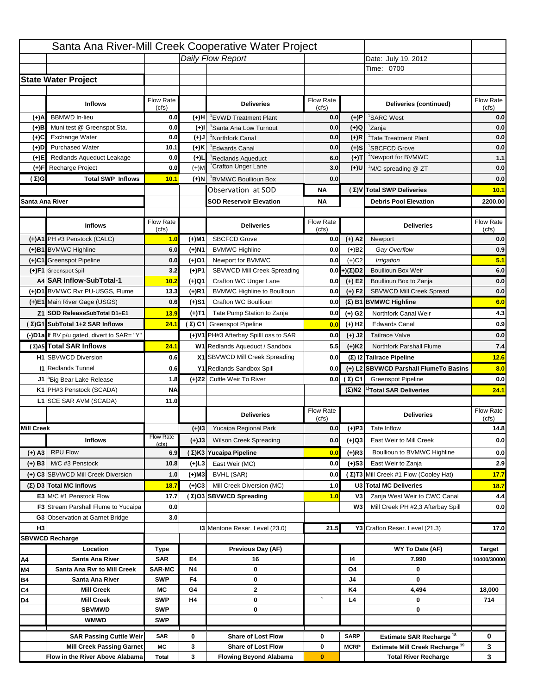|                   |                                                                    |                    |           | Santa Ana River-Mill Creek Cooperative Water Project   |                           |                            |                                                                                         |                    |
|-------------------|--------------------------------------------------------------------|--------------------|-----------|--------------------------------------------------------|---------------------------|----------------------------|-----------------------------------------------------------------------------------------|--------------------|
|                   |                                                                    |                    |           | Daily Flow Report                                      |                           |                            | Date: July 19, 2012                                                                     |                    |
|                   |                                                                    |                    |           |                                                        |                           |                            | Time: 0700                                                                              |                    |
|                   | <b>State Water Project</b>                                         |                    |           |                                                        |                           |                            |                                                                                         |                    |
|                   |                                                                    |                    |           |                                                        |                           |                            |                                                                                         |                    |
|                   | <b>Inflows</b>                                                     | Flow Rate<br>(cfs) |           | <b>Deliveries</b>                                      | <b>Flow Rate</b><br>(cfs) |                            | Deliveries (continued)                                                                  | Flow Rate<br>(cfs) |
| (+)A              | <b>BBMWD</b> In-lieu                                               | 0.0                | (+)H      | 'EVWD Treatment Plant                                  | 0.0                       | (+)P                       | <sup>1</sup> SARC West                                                                  | 0.0                |
| (+)B              | Muni test @ Greenspot Sta.                                         | 0.0                | $(+)$ l   | <sup>1</sup> Santa Ana Low Turnout                     | 0.0                       | $(+)Q$                     | <sup>1</sup> Zanja                                                                      | 0.0                |
| (+)C              | Exchange Water                                                     | 0.0                | $(L(+)$   | <sup>1</sup> Northfork Canal                           | 0.0                       | $(+)R$                     | <sup>1</sup> Tate Treatment Plant                                                       | 0.0                |
| (+)D              | <b>Purchased Water</b>                                             | 10.1               | (+)K      | <sup>1</sup> Edwards Canal                             | 0.0                       | $(+)$ S                    | <sup>1</sup> SBCFCD Grove                                                               | 0.0                |
| (+)E              | Redlands Aqueduct Leakage                                          | 0.0                | $(+)1$    | <sup>1</sup> Redlands Aqueduct                         | 6.0                       | $(+)T$                     | <sup>1</sup> Newport for BVMWC                                                          | 1.1                |
| (+)F              | Recharge Project                                                   | 0.0                | $(+)$ M   | <sup>1</sup> Crafton Unger Lane                        | 3.0                       | $(+)$ U                    | <sup>1</sup> M/C spreading @ ZT                                                         | 0.0                |
| (Σ)G              | <b>Total SWP Inflows</b>                                           | 10.1               | $(+)$ N   | <sup>1</sup> BVMWC Boullioun Box                       | 0.0                       |                            |                                                                                         | 0.0                |
|                   |                                                                    |                    |           | Observation at SOD                                     | ΝA                        |                            | (Σ) V Total SWP Deliveries                                                              | 10.1               |
| Santa Ana River   |                                                                    |                    |           | <b>SOD Reservoir Elevation</b>                         | ΝA                        |                            | <b>Debris Pool Elevation</b>                                                            | 2200.00            |
|                   |                                                                    |                    |           |                                                        |                           |                            |                                                                                         |                    |
|                   | <b>Inflows</b>                                                     | Flow Rate<br>(cfs) |           | <b>Deliveries</b>                                      | Flow Rate<br>(cfs)        |                            | <b>Deliveries</b>                                                                       | Flow Rate<br>(cfs) |
|                   | (+)A1 PH #3 Penstock (CALC)                                        | 1.0                | (+)M1     | <b>SBCFCD Grove</b>                                    | 0.0                       | $(+)$ A2                   | Newport                                                                                 | 0.0                |
|                   | (+)B1 BVMWC Highline                                               | 6.0                | (+)N1     | <b>BVMWC Highline</b>                                  | 0.0                       | $(+)B2$                    | Gay Overflow                                                                            | 0.9                |
|                   | (+)C1 Greenspot Pipeline                                           | 0.0                | (+)01     | Newport for BVMWC                                      | 0.0                       | $(+)$ C <sub>2</sub>       | Irrigation                                                                              | 5.1                |
|                   | (+)F1 Greenspot Spill                                              | 3.2                | (+)P1     | SBVWCD Mill Creek Spreading                            | 0.0                       | (+)(Σ)D2                   | <b>Boullioun Box Weir</b>                                                               | 6.0                |
|                   | A4 SAR Inflow-SubTotal-1                                           | 10.2               | (+)Q1     | Crafton WC Unger Lane                                  | 0.0                       | $(+) E2$                   | Boullioun Box to Zanja                                                                  | 0.0                |
|                   | (+)D1 BVMWC Rvr PU-USGS, Flume                                     | 13.3               | $(+)$ R1  | <b>BVMWC Highline to Boullioun</b>                     | 0.0                       | $(+) F2$                   | SBVWCD Mill Creek Spread                                                                | 0.0                |
|                   | (+)E1 Main River Gage (USGS)                                       | 0.6                | $(+)S1$   | Crafton WC Boullioun                                   | 0.0                       |                            | $(\Sigma)$ B1 BVMWC Highline                                                            | 6.0                |
|                   | Z1 SOD ReleaseSubTotal D1+E1                                       | 13.9               | (+)T1     | Tate Pump Station to Zanja                             | 0.0                       | (+) G2                     | Northfork Canal Weir                                                                    | 4.3                |
|                   | (Σ)G1 SubTotal 1+2 SAR Inflows                                     | 24.1               |           | (Σ) C1 Greenspot Pipeline                              | 0.0                       | $(+)$ H <sub>2</sub>       | <b>Edwards Canal</b>                                                                    | 0.9                |
|                   | (-)D1a If BV p/u gated, divert to SAR= "Y"                         |                    |           | (+)V1 PH#3 Afterbay SpillLoss to SAR                   | 0.0                       | $(+)$ J2                   | <b>Tailrace Valve</b>                                                                   | 0.0                |
|                   | (Σ) A5 Total SAR Inflows                                           |                    |           | W1 Redlands Aqueduct / Sandbox                         |                           |                            | Northfork Parshall Flume                                                                |                    |
|                   |                                                                    | 24.1               |           |                                                        | 5.5                       | $(+)$ K <sub>2</sub>       |                                                                                         | 7.4                |
|                   | <b>H1</b> SBVWCD Diversion                                         | 0.6                |           | X1 SBVWCD Mill Creek Spreading                         | 0.0                       |                            | (Σ) I2 Tailrace Pipeline                                                                | 12.6               |
|                   | <b>11 Redlands Tunnel</b>                                          | 0.6                |           | Y1 Redlands Sandbox Spill                              | 0.0                       |                            | (+) L2 SBVWCD Parshall FlumeTo Basins                                                   | 8.0                |
|                   | J1 <sup>a</sup> Big Bear Lake Release                              | 1.8                |           | (+)Z2 Cuttle Weir To River                             |                           | 0.0 $(\Sigma)$ C1          | <b>Greenspot Pipeline</b>                                                               | 0.0                |
|                   | K1 PH#3 Penstock (SCADA)                                           | <b>NA</b>          |           |                                                        |                           |                            | $(\Sigma)$ N2 <sup>1)</sup> Total SAR Deliveries                                        | 24.1               |
|                   | L1 SCE SAR AVM (SCADA)                                             | 11.0               |           |                                                        |                           |                            |                                                                                         |                    |
|                   |                                                                    |                    |           | <b>Deliveries</b>                                      | <b>Flow Rate</b><br>(cfs) |                            | <b>Deliveries</b>                                                                       | Flow Rate<br>(cts) |
| <b>Mill Creek</b> |                                                                    |                    | $(+)$ 13  | Yucaipa Regional Park                                  | 0.0                       | $(+)P3$                    | Tate Inflow                                                                             | 14.8               |
|                   | <b>Inflows</b>                                                     | <b>Flow Rate</b>   | (+)J3     | <b>Wilson Creek Spreading</b>                          | 0.0                       | (+)Q3                      | East Weir to Mill Creek                                                                 | 0.0                |
|                   | <b>RPU Flow</b>                                                    | (cfs)<br>6.9       |           | (Σ)K3 Yucaipa Pipeline                                 | 0.0                       | $(+)$ R3                   | Boullioun to BVMWC Highline                                                             |                    |
| $(+)$ A3          |                                                                    |                    |           |                                                        |                           |                            |                                                                                         | 0.0                |
| $(+)$ B3          | M/C #3 Penstock                                                    | 10.8               | $(+)$ L3  | East Weir (MC)                                         | 0.0                       | $(+)$ S3                   | East Weir to Zanja                                                                      | 2.9                |
|                   | (+) C3 SBVWCD Mill Creek Diversion                                 | 1.0                | (+)M3     | BVHL (SAR)                                             | 0.0                       |                            | (Σ) T3 Mill Creek #1 Flow (Cooley Hat)                                                  | 17.7               |
|                   | (Σ) D3 Total MC Inflows                                            | 18.7               | $(+)C3$   | Mill Creek Diversion (MC)                              | 1.0                       |                            | U3 Total MC Deliveries                                                                  | 18.7               |
|                   | E3 M/C #1 Penstock Flow                                            | 17.7               |           | (Σ)O3 SBVWCD Spreading                                 | 1.0                       | V3                         | Zanja West Weir to CWC Canal                                                            | 4.4                |
|                   | <b>F3</b> Stream Parshall Flume to Yucaipa                         | 0.0                |           |                                                        |                           | W <sub>3</sub>             | Mill Creek PH #2,3 Afterbay Spill                                                       | 0.0                |
| H <sub>3</sub>    | G3 Observation at Garnet Bridge                                    | 3.0                |           | <b>13 Mentone Reser. Level (23.0)</b>                  | 21.5                      |                            | Y3 Crafton Reser. Level (21.3)                                                          | 17.0               |
|                   |                                                                    |                    |           |                                                        |                           |                            |                                                                                         |                    |
|                   | <b>SBVWCD Recharge</b>                                             | Type               |           | Previous Day (AF)                                      |                           |                            | WY To Date (AF)                                                                         |                    |
|                   |                                                                    |                    |           |                                                        |                           |                            |                                                                                         | <b>Target</b>      |
|                   | Location                                                           |                    |           |                                                        |                           |                            |                                                                                         |                    |
| Α4                | Santa Ana River                                                    | <b>SAR</b>         | E4        | 16                                                     |                           | 14                         | 7,990                                                                                   |                    |
| M4                | Santa Ana Rvr to Mill Creek                                        | <b>SAR-MC</b>      | <b>N4</b> | 0                                                      |                           | O4                         | 0                                                                                       |                    |
| Β4                | Santa Ana River<br><b>Mill Creek</b>                               | <b>SWP</b><br>МC   | F4<br>G4  | 0<br>2                                                 |                           | J4<br>K4                   | 0<br>4,494                                                                              | 18,000             |
| C4<br>D4          | <b>Mill Creek</b>                                                  | <b>SWP</b>         | H4        | 0                                                      |                           | L4                         | 0                                                                                       | 714                |
|                   | <b>SBVMWD</b>                                                      | <b>SWP</b>         |           | 0                                                      |                           |                            | 0                                                                                       | 10400/30000        |
|                   | <b>WMWD</b>                                                        | <b>SWP</b>         |           |                                                        |                           |                            |                                                                                         |                    |
|                   |                                                                    |                    |           |                                                        |                           |                            |                                                                                         |                    |
|                   | <b>SAR Passing Cuttle Weir</b><br><b>Mill Creek Passing Garnet</b> | <b>SAR</b><br>МC   | 0<br>3    | <b>Share of Lost Flow</b><br><b>Share of Lost Flow</b> | 0<br>0                    | <b>SARP</b><br><b>MCRP</b> | <b>Estimate SAR Recharge<sup>18</sup></b><br>Estimate Mill Creek Recharge <sup>19</sup> | 0<br>3             |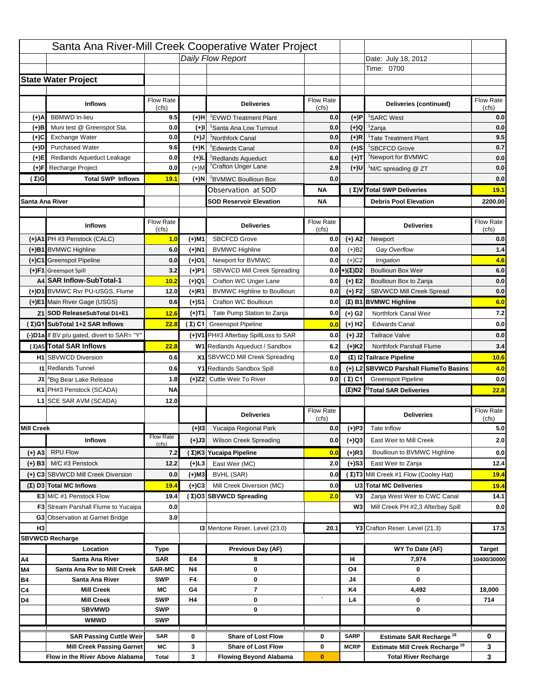|                   |                                                                    |                             |                 | Santa Ana River-Mill Creek Cooperative Water Project |                    |                            |                                                                                         |                                                         |
|-------------------|--------------------------------------------------------------------|-----------------------------|-----------------|------------------------------------------------------|--------------------|----------------------------|-----------------------------------------------------------------------------------------|---------------------------------------------------------|
|                   |                                                                    |                             |                 | Daily Flow Report                                    |                    |                            | Date: July 18, 2012                                                                     |                                                         |
|                   |                                                                    |                             |                 |                                                      |                    |                            | Time: 0700                                                                              |                                                         |
|                   | <b>State Water Project</b>                                         |                             |                 |                                                      |                    |                            |                                                                                         |                                                         |
|                   |                                                                    |                             |                 |                                                      |                    |                            |                                                                                         |                                                         |
|                   | <b>Inflows</b>                                                     | Flow Rate                   |                 | <b>Deliveries</b>                                    | <b>Flow Rate</b>   |                            | Deliveries (continued)                                                                  | Flow Rate                                               |
| (+)A              | <b>BBMWD</b> In-lieu                                               | (cfs)<br>9.5                | (+)H            | 'EVWD Treatment Plant                                | (cfs)<br>0.0       | (+)P                       | <sup>1</sup> SARC West                                                                  | (cfs)<br>0.0                                            |
| (+)B              | Muni test @ Greenspot Sta.                                         | 0.0                         | $(+)$ l         | 'Santa Ana Low Turnout                               | 0.0                | $(+)Q$                     | <sup>1</sup> Zanja                                                                      | 0.0                                                     |
| (+)C              | Exchange Water                                                     | 0.0                         | $(L(+)$         | <sup>1</sup> Northfork Canal                         | 0.0                | $(+)R$                     | <sup>1</sup> Tate Treatment Plant                                                       | 9.5                                                     |
| (+)D              | <b>Purchased Water</b>                                             | 9.6                         | (+)K            | <sup>1</sup> Edwards Canal                           | 0.0                | $(+)$ S                    | <sup>1</sup> SBCFCD Grove                                                               | 0.7                                                     |
| (+)E              | Redlands Aqueduct Leakage                                          | 0.0                         | $(+)1$          | <sup>1</sup> Redlands Aqueduct                       | 6.0                | $(+)T$                     | <sup>1</sup> Newport for BVMWC                                                          | 0.0                                                     |
| (+)F              | Recharge Project                                                   | 0.0                         | $(+)$ M         | <sup>1</sup> Crafton Unger Lane                      | 2.9                | $(+)$ U                    | <sup>1</sup> M/C spreading @ ZT                                                         | 0.0                                                     |
| (Σ)G              | <b>Total SWP Inflows</b>                                           | 19.1                        | $(+)$ N         | <sup>1</sup> BVMWC Boullioun Box                     | 0.0                |                            |                                                                                         | 0.0                                                     |
|                   |                                                                    |                             |                 | Observation at SOD                                   | ΝA                 |                            | (Σ) V Total SWP Deliveries                                                              | 19.1                                                    |
| Santa Ana River   |                                                                    |                             |                 | <b>SOD Reservoir Elevation</b>                       | ΝA                 |                            | <b>Debris Pool Elevation</b>                                                            | 2200.00                                                 |
|                   |                                                                    |                             |                 |                                                      |                    |                            |                                                                                         |                                                         |
|                   | <b>Inflows</b>                                                     | Flow Rate<br>(cfs)          |                 | <b>Deliveries</b>                                    | Flow Rate<br>(cfs) |                            | <b>Deliveries</b>                                                                       | Flow Rate<br>(cfs)                                      |
|                   | (+)A1 PH #3 Penstock (CALC)                                        | 1.0                         | (+)M1           | <b>SBCFCD Grove</b>                                  | 0.0                | $(+)$ A2                   | Newport                                                                                 | 0.0                                                     |
|                   | (+)B1 BVMWC Highline                                               | 6.0                         | (+)N1           | <b>BVMWC Highline</b>                                | 0.0                | $(+)B2$                    | Gay Overflow                                                                            | $1.4$                                                   |
|                   | (+)C1 Greenspot Pipeline                                           | 0.0                         | (+)01           | Newport for BVMWC                                    | 0.0                | $(+)$ C <sub>2</sub>       | Irrigation                                                                              | 4.6                                                     |
|                   | (+)F1 Greenspot Spill                                              | 3.2                         | (+)P1           | SBVWCD Mill Creek Spreading                          | 0.0                | (+)(Σ)D2                   | <b>Boullioun Box Weir</b>                                                               | 6.0                                                     |
|                   | A4 SAR Inflow-SubTotal-1                                           | 10.2                        | (+)Q1           | Crafton WC Unger Lane                                | 0.0                | $(+) E2$                   | Boullioun Box to Zanja                                                                  | 0.0                                                     |
|                   | (+)D1 BVMWC Rvr PU-USGS, Flume                                     | 12.0                        | $(+)$ R1        | <b>BVMWC Highline to Boullioun</b>                   | 0.0                | $(+) F2$                   | SBVWCD Mill Creek Spread                                                                | 0.0                                                     |
|                   | (+)E1 Main River Gage (USGS)                                       | 0.6                         | (+)S1           | Crafton WC Boullioun                                 | 0.0                |                            | $(\Sigma)$ B1 BVMWC Highline                                                            | 6.0                                                     |
|                   | Z1 SOD ReleaseSubTotal D1+E1                                       | 12.6                        |                 | Tate Pump Station to Zanja                           | 0.0                |                            | Northfork Canal Weir                                                                    | 7.2                                                     |
|                   | (Σ)G1 SubTotal 1+2 SAR Inflows                                     | 22.8                        | (+)T1           |                                                      |                    | (+) G2                     | <b>Edwards Canal</b>                                                                    | 0.0                                                     |
|                   |                                                                    |                             |                 | (Σ) C1 Greenspot Pipeline                            | 0.0                | $(+)$ H <sub>2</sub>       |                                                                                         |                                                         |
|                   | (-)D1a If BV p/u gated, divert to SAR= "Y"                         |                             |                 | (+)V1 PH#3 Afterbay SpillLoss to SAR                 | 0.0                | $(+)$ J2                   | <b>Tailrace Valve</b>                                                                   | 0.0                                                     |
|                   | (Σ) A5 Total SAR Inflows                                           | 22.8                        |                 | W1 Redlands Aqueduct / Sandbox                       | 6.2                | $(+)$ K <sub>2</sub>       | Northfork Parshall Flume                                                                | 3.4                                                     |
|                   |                                                                    |                             |                 |                                                      |                    |                            |                                                                                         |                                                         |
|                   | <b>H1</b> SBVWCD Diversion                                         | 0.6                         |                 | X1 SBVWCD Mill Creek Spreading                       | 0.0                |                            | (Σ) I2 Tailrace Pipeline                                                                |                                                         |
|                   | <b>11 Redlands Tunnel</b>                                          | 0.6                         |                 | Y1 Redlands Sandbox Spill                            | 0.0                |                            | (+) L2 SBVWCD Parshall FlumeTo Basins                                                   |                                                         |
|                   | J1 <sup>a</sup> Big Bear Lake Release                              | 1.8                         |                 | (+)Z2 Cuttle Weir To River                           |                    | 0.0 $(Σ) C1$               | <b>Greenspot Pipeline</b>                                                               |                                                         |
|                   | K1 PH#3 Penstock (SCADA)                                           | <b>NA</b>                   |                 |                                                      |                    |                            | $(\Sigma)$ N2 <sup>1)</sup> Total SAR Deliveries                                        |                                                         |
|                   | L1 SCE SAR AVM (SCADA)                                             | 12.0                        |                 |                                                      |                    |                            |                                                                                         |                                                         |
|                   |                                                                    |                             |                 | <b>Deliveries</b>                                    | <b>Flow Rate</b>   |                            | <b>Deliveries</b>                                                                       | Flow Rate                                               |
| <b>Mill Creek</b> |                                                                    |                             | $(+)$ 13        | Yucaipa Regional Park                                | (cfs)<br>0.0       |                            | Tate Inflow                                                                             | (cfs)                                                   |
|                   |                                                                    | <b>Flow Rate</b>            |                 |                                                      |                    | $(+)P3$                    |                                                                                         |                                                         |
|                   | <b>Inflows</b>                                                     | (cfs)                       | (+)J3           | <b>Wilson Creek Spreading</b>                        | 0.0                | (+)Q3                      | East Weir to Mill Creek                                                                 |                                                         |
| $(+)$ A3          | <b>RPU Flow</b>                                                    | 7.2                         |                 | (Σ)K3 Yucaipa Pipeline                               | 0.0                | $(+)$ R3                   | Boullioun to BVMWC Highline                                                             |                                                         |
| $(+)$ B3          | M/C #3 Penstock                                                    | 12.2                        | $(+)$ L3        | East Weir (MC)                                       | 2.0                | $(+)$ S3                   | East Weir to Zanja                                                                      | 10.6<br>4.0<br>0.0<br>22.8<br>5.0<br>2.0<br>0.0<br>12.4 |
|                   | (+) C3 SBVWCD Mill Creek Diversion                                 | 0.0                         | (+)M3           | BVHL (SAR)                                           | 0.0                |                            | (Σ) T3 Mill Creek #1 Flow (Cooley Hat)                                                  | 19.4                                                    |
|                   | (Σ) D3 Total MC Inflows                                            | 19.4                        | $(+)C3$         | Mill Creek Diversion (MC)                            | 0.0                |                            | U3 Total MC Deliveries                                                                  | 19.4                                                    |
|                   | E3 M/C #1 Penstock Flow                                            | 19.4                        |                 | (Σ)O3 SBVWCD Spreading                               | 2.0                | V3                         | Zanja West Weir to CWC Canal                                                            | 14.1                                                    |
|                   | <b>F3</b> Stream Parshall Flume to Yucaipa                         | 0.0                         |                 |                                                      |                    | W <sub>3</sub>             | Mill Creek PH #2,3 Afterbay Spill                                                       | 0.0                                                     |
|                   | G3 Observation at Garnet Bridge                                    | 3.0                         |                 |                                                      |                    |                            |                                                                                         |                                                         |
| H <sub>3</sub>    |                                                                    |                             |                 | <b>13 Mentone Reser. Level (23.0)</b>                | 20.1               |                            | Y3 Crafton Reser. Level (21.3)                                                          | 17.5                                                    |
|                   | <b>SBVWCD Recharge</b>                                             |                             |                 |                                                      |                    |                            |                                                                                         |                                                         |
|                   | Location                                                           | Type                        |                 | Previous Day (AF)                                    |                    |                            | WY To Date (AF)                                                                         | <b>Target</b>                                           |
| Α4                | Santa Ana River                                                    | <b>SAR</b>                  | E4              | 8                                                    |                    | 14                         | 7,974<br>0                                                                              |                                                         |
| M4                | Santa Ana Rvr to Mill Creek                                        | <b>SAR-MC</b><br><b>SWP</b> | <b>N4</b><br>F4 | 0<br>0                                               |                    | O4<br>J4                   | 0                                                                                       |                                                         |
| Β4<br>C4          | Santa Ana River<br><b>Mill Creek</b>                               | МC                          | G4              | 7                                                    |                    | K4                         | 4,492                                                                                   | 18,000                                                  |
| D4                | <b>Mill Creek</b>                                                  | <b>SWP</b>                  | H4              | 0                                                    |                    | L4                         | 0                                                                                       | 714                                                     |
|                   | <b>SBVMWD</b>                                                      | <b>SWP</b>                  |                 | 0                                                    |                    |                            | 0                                                                                       |                                                         |
|                   | <b>WMWD</b>                                                        | <b>SWP</b>                  |                 |                                                      |                    |                            |                                                                                         | 10400/30000                                             |
|                   |                                                                    |                             | 0               | <b>Share of Lost Flow</b>                            |                    |                            |                                                                                         | 0                                                       |
|                   | <b>SAR Passing Cuttle Weir</b><br><b>Mill Creek Passing Garnet</b> | <b>SAR</b><br>МC            | 3               | <b>Share of Lost Flow</b>                            | 0<br>0             | <b>SARP</b><br><b>MCRP</b> | <b>Estimate SAR Recharge<sup>18</sup></b><br>Estimate Mill Creek Recharge <sup>19</sup> | 3                                                       |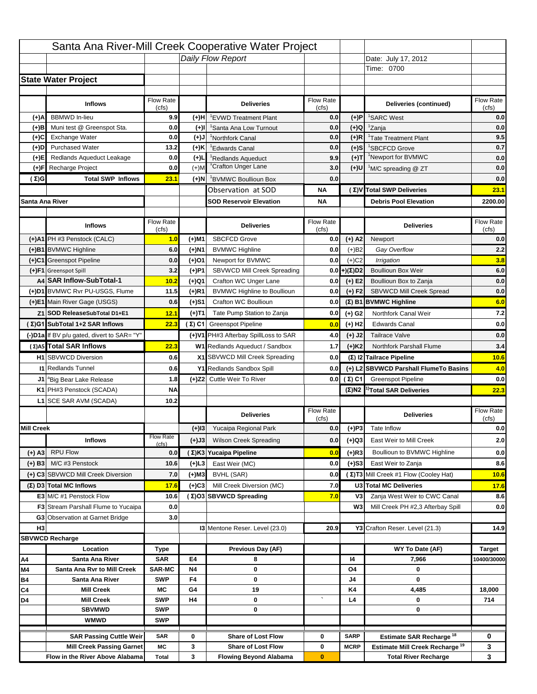|                   |                                                                    |                    |           | Santa Ana River-Mill Creek Cooperative Water Project   |                           |                            |                                                                                   |                              |
|-------------------|--------------------------------------------------------------------|--------------------|-----------|--------------------------------------------------------|---------------------------|----------------------------|-----------------------------------------------------------------------------------|------------------------------|
|                   |                                                                    |                    |           | Daily Flow Report                                      |                           |                            | Date: July 17, 2012                                                               |                              |
|                   |                                                                    |                    |           |                                                        |                           |                            | Time: 0700                                                                        |                              |
|                   | <b>State Water Project</b>                                         |                    |           |                                                        |                           |                            |                                                                                   |                              |
|                   |                                                                    |                    |           |                                                        |                           |                            |                                                                                   |                              |
|                   | <b>Inflows</b>                                                     | Flow Rate          |           | <b>Deliveries</b>                                      | <b>Flow Rate</b>          |                            | Deliveries (continued)                                                            | Flow Rate                    |
| (+)A              | <b>BBMWD</b> In-lieu                                               | (cfs)<br>9.9       | (+)H      | 'EVWD Treatment Plant                                  | (cfs)<br>0.0              | (+)P                       | <sup>1</sup> SARC West                                                            | (cfs)<br>0.0                 |
| (+)B              | Muni test @ Greenspot Sta.                                         | 0.0                | $(+)$ l   | 'Santa Ana Low Turnout                                 | 0.0                       | $(+)Q$                     | <sup>1</sup> Zanja                                                                | 0.0                          |
| (+)C              | Exchange Water                                                     | 0.0                | $(L(+)$   | <sup>1</sup> Northfork Canal                           | 0.0                       | $(+)R$                     | <sup>1</sup> Tate Treatment Plant                                                 | 9.5                          |
| (+)D              | <b>Purchased Water</b>                                             | 13.2               | (+)K      | <sup>1</sup> Edwards Canal                             | 0.0                       | $(+)$ S                    | <sup>1</sup> SBCFCD Grove                                                         | 0.7                          |
| (+)E              | Redlands Aqueduct Leakage                                          | 0.0                | $(+)1$    | <sup>1</sup> Redlands Aqueduct                         | 9.9                       | $(+)$ T                    | <sup>1</sup> Newport for BVMWC                                                    | 0.0                          |
| (+)F              | Recharge Project                                                   | 0.0                | $(+)$ M   | <sup>1</sup> Crafton Unger Lane                        | 3.0                       | $(+)$ U                    | <sup>1</sup> M/C spreading @ ZT                                                   | 0.0                          |
| (Σ)G              | <b>Total SWP Inflows</b>                                           | 23.1               | $(+)$ N   | <sup>1</sup> BVMWC Boullioun Box                       | 0.0                       |                            |                                                                                   | 0.0                          |
|                   |                                                                    |                    |           | Observation at SOD                                     | ΝA                        |                            | (Σ) V Total SWP Deliveries                                                        | 23.1                         |
| Santa Ana River   |                                                                    |                    |           | <b>SOD Reservoir Elevation</b>                         | ΝA                        |                            | <b>Debris Pool Elevation</b>                                                      | 2200.00                      |
|                   |                                                                    |                    |           |                                                        |                           |                            |                                                                                   |                              |
|                   | <b>Inflows</b>                                                     | Flow Rate          |           | <b>Deliveries</b>                                      | Flow Rate                 |                            | <b>Deliveries</b>                                                                 | Flow Rate<br>(cfs)           |
|                   | (+)A1 PH #3 Penstock (CALC)                                        | (cfs)<br>1.0       | (+)M1     | <b>SBCFCD Grove</b>                                    | (cfs)<br>0.0              | $(+)$ A2                   | Newport                                                                           | 0.0                          |
|                   | (+)B1 BVMWC Highline                                               | 6.0                | (+)N1     | <b>BVMWC Highline</b>                                  | 0.0                       | $(+)B2$                    | Gay Overflow                                                                      | 2.2                          |
|                   | (+)C1 Greenspot Pipeline                                           | 0.0                | (+)01     | Newport for BVMWC                                      | 0.0                       | $(+)$ C <sub>2</sub>       | Irrigation                                                                        | 3.8                          |
|                   | (+)F1 Greenspot Spill                                              | 3.2                | (+)P1     | SBVWCD Mill Creek Spreading                            | 0.0                       | (+)(Σ)D2                   | <b>Boullioun Box Weir</b>                                                         | 6.0                          |
|                   | A4 SAR Inflow-SubTotal-1                                           | 10.2               | (+)Q1     | Crafton WC Unger Lane                                  | 0.0                       | $(+) E2$                   | Boullioun Box to Zanja                                                            | 0.0                          |
|                   | (+)D1 BVMWC Rvr PU-USGS, Flume                                     | 11.5               | $(+)$ R1  | <b>BVMWC Highline to Boullioun</b>                     | 0.0                       | $(+) F2$                   | SBVWCD Mill Creek Spread                                                          | 0.0                          |
|                   | (+)E1 Main River Gage (USGS)                                       | 0.6                | (+)S1     | Crafton WC Boullioun                                   | 0.0                       |                            | $(\Sigma)$ B1 BVMWC Highline                                                      | 6.0                          |
|                   | Z1 SOD ReleaseSubTotal D1+E1                                       | 12.1               |           | Tate Pump Station to Zanja                             | 0.0                       |                            | Northfork Canal Weir                                                              | 7.2                          |
|                   | (Σ)G1 SubTotal 1+2 SAR Inflows                                     | 22.3               | (+)T1     | (Σ) C1 Greenspot Pipeline                              |                           | (+) G2                     | <b>Edwards Canal</b>                                                              | 0.0                          |
|                   |                                                                    |                    |           |                                                        | 0.0                       | $(+)$ H <sub>2</sub>       |                                                                                   |                              |
|                   | (-)D1a If BV p/u gated, divert to SAR= "Y"                         |                    |           | (+)V1 PH#3 Afterbay SpillLoss to SAR                   | 4.0                       | $(+)$ J2                   | <b>Tailrace Valve</b>                                                             | 0.0                          |
|                   | (Σ) A5 Total SAR Inflows                                           | 22.3               |           | W1 Redlands Aqueduct / Sandbox                         | 1.7                       | $(+)$ K <sub>2</sub>       | <b>Northfork Parshall Flume</b>                                                   | 3.4                          |
|                   | <b>H1</b> SBVWCD Diversion                                         | 0.6                |           | X1 SBVWCD Mill Creek Spreading                         | 0.0                       |                            | (Σ) I2 Tailrace Pipeline                                                          | 10.6                         |
|                   | <b>11 Redlands Tunnel</b>                                          | 0.6                |           | Y1 Redlands Sandbox Spill                              | 0.0                       |                            | (+) L2 SBVWCD Parshall FlumeTo Basins                                             | 4.0                          |
|                   | J1 <sup>a</sup> Big Bear Lake Release                              | 1.8                |           | (+)Z2 Cuttle Weir To River                             |                           | 0.0 $(Σ) C1$               | <b>Greenspot Pipeline</b>                                                         | 0.0                          |
|                   | K1 PH#3 Penstock (SCADA)                                           | <b>NA</b>          |           |                                                        |                           |                            | $(\Sigma)$ N2 <sup>1)</sup> Total SAR Deliveries                                  | 22.3                         |
|                   | L1 SCE SAR AVM (SCADA)                                             | 10.2               |           |                                                        |                           |                            |                                                                                   |                              |
|                   |                                                                    |                    |           | <b>Deliveries</b>                                      | <b>Flow Rate</b><br>(cfs) |                            | <b>Deliveries</b>                                                                 | Flow Rate<br>(cfs)           |
| <b>Mill Creek</b> |                                                                    |                    | $(+)$ 13  | Yucaipa Regional Park                                  | 0.0                       | $(+)P3$                    | Tate Inflow                                                                       | 0.0                          |
|                   | <b>Inflows</b>                                                     | <b>Flow Rate</b>   | (+)J3     | <b>Wilson Creek Spreading</b>                          | 0.0                       | (+)Q3                      | East Weir to Mill Creek                                                           | 2.0                          |
|                   | <b>RPU Flow</b>                                                    | (cfs)<br>0.0       |           | (Σ)K3 Yucaipa Pipeline                                 | 0.0                       |                            | Boullioun to BVMWC Highline                                                       | 0.0                          |
| $(+)$ A3          |                                                                    |                    |           |                                                        |                           | $(+)$ R3                   |                                                                                   |                              |
| $(+)$ B3          | M/C #3 Penstock                                                    | 10.6               | $(+)$ L3  | East Weir (MC)                                         | 0.0                       | $(+)$ S3                   | East Weir to Zanja                                                                | 8.6                          |
|                   | (+) C3 SBVWCD Mill Creek Diversion                                 | 7.0                | (+)M3     | BVHL (SAR)                                             | 0.0                       |                            | (Σ) T3 Mill Creek #1 Flow (Cooley Hat)                                            | 10.6                         |
|                   | (Σ) D3 Total MC Inflows                                            | 17.6               | $(+)C3$   | Mill Creek Diversion (MC)                              | 7.0                       |                            | U3 Total MC Deliveries                                                            | 17.6                         |
|                   | E3 M/C #1 Penstock Flow                                            | 10.6               |           | (Σ)O3 SBVWCD Spreading                                 | 7.0                       | V3                         | Zanja West Weir to CWC Canal                                                      | 8.6                          |
|                   | <b>F3</b> Stream Parshall Flume to Yucaipa                         | 0.0                |           |                                                        |                           | W <sub>3</sub>             | Mill Creek PH #2,3 Afterbay Spill                                                 | 0.0                          |
| H <sub>3</sub>    | G3 Observation at Garnet Bridge                                    | 3.0                |           | <b>13 Mentone Reser. Level (23.0)</b>                  |                           |                            |                                                                                   |                              |
|                   |                                                                    |                    |           |                                                        | 20.9                      |                            | Y3 Crafton Reser. Level (21.3)                                                    | 14.9                         |
|                   | <b>SBVWCD Recharge</b><br>Location                                 |                    |           | Previous Day (AF)                                      |                           |                            | WY To Date (AF)                                                                   |                              |
| Α4                | Santa Ana River                                                    | Type<br><b>SAR</b> | E4        | 8                                                      |                           | 14                         | 7,966                                                                             | <b>Target</b><br>10400/30000 |
| M4                | Santa Ana Rvr to Mill Creek                                        | <b>SAR-MC</b>      | <b>N4</b> | 0                                                      |                           | O4                         | 0                                                                                 |                              |
| Β4                | Santa Ana River                                                    | <b>SWP</b>         | F4        | 0                                                      |                           | J4                         | 0                                                                                 |                              |
| C4                | <b>Mill Creek</b>                                                  | МC                 | G4        | 19                                                     |                           | K4                         | 4,485                                                                             | 18,000                       |
| D4                | <b>Mill Creek</b>                                                  | <b>SWP</b>         | H4        | 0                                                      |                           | L4                         | 0                                                                                 | 714                          |
|                   | <b>SBVMWD</b>                                                      | <b>SWP</b>         |           | 0                                                      |                           |                            | 0                                                                                 |                              |
|                   | <b>WMWD</b>                                                        | <b>SWP</b>         |           |                                                        |                           |                            |                                                                                   |                              |
|                   |                                                                    |                    |           |                                                        |                           |                            |                                                                                   |                              |
|                   |                                                                    |                    |           |                                                        |                           |                            |                                                                                   |                              |
|                   | <b>SAR Passing Cuttle Weir</b><br><b>Mill Creek Passing Garnet</b> | <b>SAR</b><br>МC   | 0<br>3    | <b>Share of Lost Flow</b><br><b>Share of Lost Flow</b> | 0<br>0                    | <b>SARP</b><br><b>MCRP</b> | Estimate SAR Recharge <sup>18</sup><br>Estimate Mill Creek Recharge <sup>19</sup> | 0<br>3                       |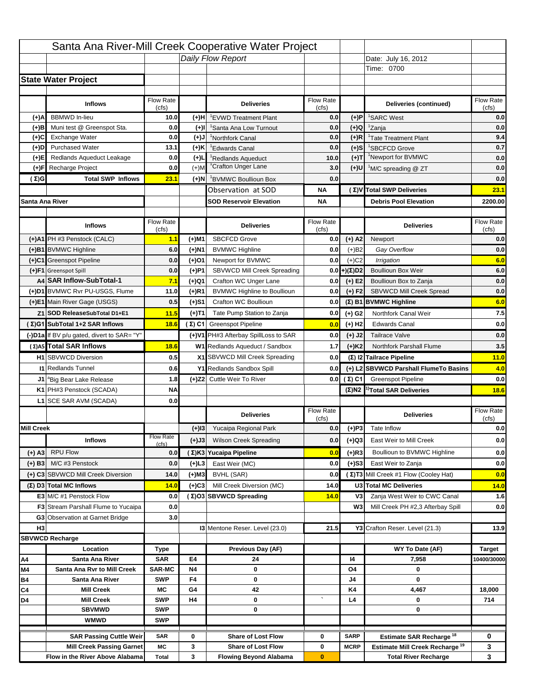|                   |                                                                    |                    |           | Santa Ana River-Mill Creek Cooperative Water Project |                           |                      |                                                  |                    |
|-------------------|--------------------------------------------------------------------|--------------------|-----------|------------------------------------------------------|---------------------------|----------------------|--------------------------------------------------|--------------------|
|                   |                                                                    |                    |           | Daily Flow Report                                    |                           |                      | Date: July 16, 2012                              |                    |
|                   |                                                                    |                    |           |                                                      |                           |                      | Time: 0700                                       |                    |
|                   | <b>State Water Project</b>                                         |                    |           |                                                      |                           |                      |                                                  |                    |
|                   |                                                                    |                    |           |                                                      |                           |                      |                                                  |                    |
|                   | <b>Inflows</b>                                                     | Flow Rate          |           | <b>Deliveries</b>                                    | <b>Flow Rate</b>          |                      | Deliveries (continued)                           | Flow Rate          |
| (+)A              | <b>BBMWD</b> In-lieu                                               | (cfs)<br>10.0      | (+)H      | 'EVWD Treatment Plant                                | (cfs)<br>0.0              | (+)P                 | <sup>1</sup> SARC West                           | (cfs)<br>0.0       |
| (+)B              | Muni test @ Greenspot Sta.                                         | 0.0                | $(+)$ l   | 'Santa Ana Low Turnout                               | 0.0                       | $(+)Q$               | <sup>1</sup> Zanja                               | 0.0                |
| (+)C              | Exchange Water                                                     | 0.0                | $(L(+)$   | <sup>1</sup> Northfork Canal                         | 0.0                       | $(+)R$               | <sup>1</sup> Tate Treatment Plant                | 9.4                |
| (+)D              | <b>Purchased Water</b>                                             | 13.1               | (+)K      | <sup>1</sup> Edwards Canal                           | 0.0                       | $(+)$ S              | <sup>1</sup> SBCFCD Grove                        | 0.7                |
| (+)E              | Redlands Aqueduct Leakage                                          | 0.0                | $(+)1$    | <sup>1</sup> Redlands Aqueduct                       | 10.0                      | $(+)T$               | <sup>1</sup> Newport for BVMWC                   | 0.0                |
| (+)F              | Recharge Project                                                   | 0.0                | $(+)$ M   | <sup>1</sup> Crafton Unger Lane                      | 3.0                       | $(+)$ U              | <sup>1</sup> M/C spreading @ ZT                  | 0.0                |
| (Σ)G              | <b>Total SWP Inflows</b>                                           | 23.1               | $(+)$ N   | <sup>1</sup> BVMWC Boullioun Box                     | 0.0                       |                      |                                                  | 0.0                |
|                   |                                                                    |                    |           | Observation at SOD                                   | ΝA                        |                      | (Σ) V Total SWP Deliveries                       | 23.1               |
| Santa Ana River   |                                                                    |                    |           | <b>SOD Reservoir Elevation</b>                       | ΝA                        |                      | <b>Debris Pool Elevation</b>                     | 2200.00            |
|                   |                                                                    |                    |           |                                                      |                           |                      |                                                  |                    |
|                   | <b>Inflows</b>                                                     | Flow Rate          |           | <b>Deliveries</b>                                    | Flow Rate                 |                      | <b>Deliveries</b>                                | Flow Rate<br>(cfs) |
|                   | (+)A1 PH #3 Penstock (CALC)                                        | (cfs)<br>1.1       | (+)M1     | <b>SBCFCD Grove</b>                                  | (cfs)<br>0.0              | $(+)$ A2             | Newport                                          | 0.0                |
|                   | (+)B1 BVMWC Highline                                               | 6.0                | (+)N1     | <b>BVMWC Highline</b>                                | 0.0                       | $(+)B2$              | Gay Overflow                                     | 0.0                |
|                   | (+)C1 Greenspot Pipeline                                           | 0.0                | (+)01     | Newport for BVMWC                                    | 0.0                       | $(+)$ C <sub>2</sub> | Irrigation                                       | 6.0                |
|                   | (+)F1 Greenspot Spill                                              | 0.0                | (+)P1     | SBVWCD Mill Creek Spreading                          | 0.0                       | (+)(Σ)D2             | <b>Boullioun Box Weir</b>                        | 6.0                |
|                   | A4 SAR Inflow-SubTotal-1                                           | 7.1                | (+)Q1     | Crafton WC Unger Lane                                | 0.0                       | $(+) E2$             | Boullioun Box to Zanja                           | 0.0                |
|                   | (+)D1 BVMWC Rvr PU-USGS, Flume                                     | 11.0               | $(+)$ R1  | <b>BVMWC Highline to Boullioun</b>                   | 0.0                       | $(+) F2$             | SBVWCD Mill Creek Spread                         | 0.0                |
|                   | (+)E1 Main River Gage (USGS)                                       | 0.5                | (+)S1     | Crafton WC Boullioun                                 | 0.0                       |                      | $(\Sigma)$ B1 BVMWC Highline                     | 6.0                |
|                   | Z1 SOD ReleaseSubTotal D1+E1                                       | 11.5               |           | Tate Pump Station to Zanja                           | 0.0                       |                      | Northfork Canal Weir                             | 7.5                |
|                   | (Σ)G1 SubTotal 1+2 SAR Inflows                                     |                    | (+)T1     |                                                      |                           | (+) G2               | <b>Edwards Canal</b>                             | 0.0                |
|                   |                                                                    | 18.6               |           | (Σ) C1 Greenspot Pipeline                            | 0.0                       | $(+)$ H <sub>2</sub> |                                                  |                    |
|                   | (-)D1a If BV p/u gated, divert to SAR= "Y"                         |                    |           | (+)V1 PH#3 Afterbay SpillLoss to SAR                 | 0.0                       | $(+)$ J2             | <b>Tailrace Valve</b>                            | 0.0                |
|                   | (Σ) A5 Total SAR Inflows                                           | 18.6               |           | W1 Redlands Aqueduct / Sandbox                       | 1.7                       | $(+)$ K <sub>2</sub> | Northfork Parshall Flume                         | 3.5                |
|                   | <b>H1</b> SBVWCD Diversion                                         | 0.5                |           | X1 SBVWCD Mill Creek Spreading                       | 0.0                       |                      | (Σ) I2 Tailrace Pipeline                         | 11.0               |
|                   | <b>11 Redlands Tunnel</b>                                          | 0.6                |           | Y1 Redlands Sandbox Spill                            | 0.0                       |                      | (+) L2 SBVWCD Parshall FlumeTo Basins            | 4.0                |
|                   | J1 <sup>a</sup> Big Bear Lake Release                              | 1.8                |           | (+)Z2 Cuttle Weir To River                           |                           | 0.0 $(\Sigma)$ C1    | <b>Greenspot Pipeline</b>                        | 0.0                |
|                   | K1 PH#3 Penstock (SCADA)                                           | <b>NA</b>          |           |                                                      |                           |                      | $(\Sigma)$ N2 <sup>1)</sup> Total SAR Deliveries | 18.6               |
|                   | L1 SCE SAR AVM (SCADA)                                             | 0.0                |           |                                                      |                           |                      |                                                  |                    |
|                   |                                                                    |                    |           | <b>Deliveries</b>                                    | <b>Flow Rate</b><br>(cfs) |                      | <b>Deliveries</b>                                | Flow Rate<br>(cfs) |
| <b>Mill Creek</b> |                                                                    |                    | $(+)$ 13  | Yucaipa Regional Park                                | 0.0                       | $(+)P3$              | Tate Inflow                                      | 0.0                |
|                   | <b>Inflows</b>                                                     | <b>Flow Rate</b>   | (+)J3     | <b>Wilson Creek Spreading</b>                        | 0.0                       | (+)Q3                | East Weir to Mill Creek                          | 0.0                |
| $(+)$ A3          | <b>RPU Flow</b>                                                    | (cfs)<br>0.0       |           | (Σ)K3 Yucaipa Pipeline                               | 0.0                       | $(+)$ R3             | Boullioun to BVMWC Highline                      | 0.0                |
|                   | M/C #3 Penstock                                                    | 0.0                | $(+)$ L3  | East Weir (MC)                                       | 0.0                       | $(+)$ S3             | East Weir to Zanja                               | 0.0                |
| $(+)$ B3          |                                                                    |                    |           |                                                      |                           |                      | (Σ) T3 Mill Creek #1 Flow (Cooley Hat)           |                    |
|                   | (+) C3 SBVWCD Mill Creek Diversion                                 | 14.0               | (+)M3     | BVHL (SAR)                                           | 0.0                       |                      |                                                  | 0.0                |
|                   | (Σ) D3 Total MC Inflows                                            | 14.0               | $(+)C3$   | Mill Creek Diversion (MC)                            | 14.0                      |                      | U3 Total MC Deliveries                           | 14.0               |
|                   | E3 M/C #1 Penstock Flow                                            | 0.0                |           | (Σ)O3 SBVWCD Spreading                               | 14.0                      | V3                   | Zanja West Weir to CWC Canal                     | 1.6                |
|                   | <b>F3</b> Stream Parshall Flume to Yucaipa                         | 0.0<br>3.0         |           |                                                      |                           | W <sub>3</sub>       | Mill Creek PH #2,3 Afterbay Spill                | 0.0                |
| H <sub>3</sub>    | G3 Observation at Garnet Bridge                                    |                    |           | <b>13 Mentone Reser. Level (23.0)</b>                | 21.5                      |                      | Y3 Crafton Reser. Level (21.3)                   | 13.9               |
|                   |                                                                    |                    |           |                                                      |                           |                      |                                                  |                    |
|                   | <b>SBVWCD Recharge</b><br>Location                                 |                    |           | Previous Day (AF)                                    |                           |                      | WY To Date (AF)                                  | <b>Target</b>      |
|                   | Santa Ana River                                                    | Type<br><b>SAR</b> | E4        | 24                                                   |                           | 14                   | 7,958                                            | 10400/30000        |
| Α4<br>M4          | Santa Ana Rvr to Mill Creek                                        | <b>SAR-MC</b>      | <b>N4</b> | 0                                                    |                           | O4                   | 0                                                |                    |
| Β4                | Santa Ana River                                                    | <b>SWP</b>         | F4        | 0                                                    |                           | J4                   | 0                                                |                    |
| C4                | <b>Mill Creek</b>                                                  | МC                 | G4        | 42                                                   |                           | K4                   | 4,467                                            | 18,000             |
| D4                | <b>Mill Creek</b>                                                  | <b>SWP</b>         | H4        | 0                                                    |                           | L4                   | 0                                                | 714                |
|                   | <b>SBVMWD</b>                                                      | <b>SWP</b>         |           | 0                                                    |                           |                      | 0                                                |                    |
|                   | <b>WMWD</b>                                                        | <b>SWP</b>         |           |                                                      |                           |                      |                                                  |                    |
|                   |                                                                    | <b>SAR</b>         | 0         | <b>Share of Lost Flow</b>                            | 0                         | <b>SARP</b>          | Estimate SAR Recharge <sup>18</sup>              | 0                  |
|                   |                                                                    |                    |           |                                                      |                           |                      |                                                  |                    |
|                   | <b>SAR Passing Cuttle Weir</b><br><b>Mill Creek Passing Garnet</b> | МC                 | 3         | <b>Share of Lost Flow</b>                            | 0                         | <b>MCRP</b>          | Estimate Mill Creek Recharge <sup>19</sup>       | 3                  |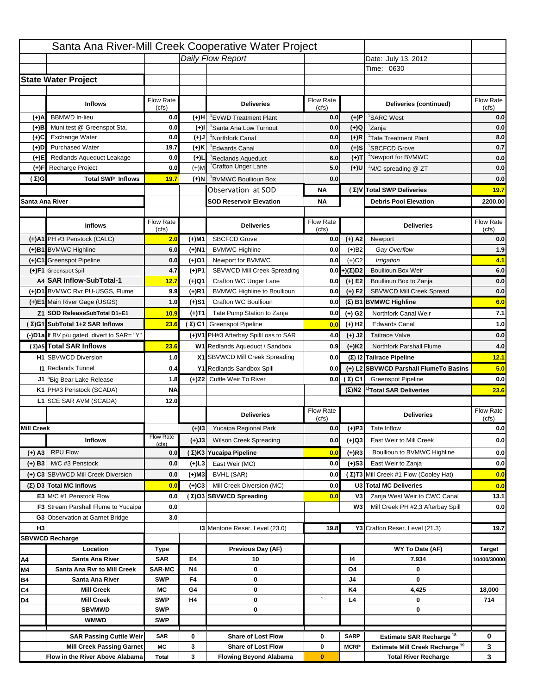|                   |                                            |                           |           | Santa Ana River-Mill Creek Cooperative Water Project |                           |                       |                                                                                   |                              |
|-------------------|--------------------------------------------|---------------------------|-----------|------------------------------------------------------|---------------------------|-----------------------|-----------------------------------------------------------------------------------|------------------------------|
|                   |                                            |                           |           | Daily Flow Report                                    |                           |                       | Date: July 13, 2012                                                               |                              |
|                   |                                            |                           |           |                                                      |                           |                       | Time: 0630                                                                        |                              |
|                   | <b>State Water Project</b>                 |                           |           |                                                      |                           |                       |                                                                                   |                              |
|                   |                                            |                           |           |                                                      |                           |                       |                                                                                   |                              |
|                   | <b>Inflows</b>                             | Flow Rate                 |           | <b>Deliveries</b>                                    | <b>Flow Rate</b>          |                       | Deliveries (continued)                                                            | Flow Rate                    |
| (+)A              | <b>BBMWD</b> In-lieu                       | (cts)<br>0.0              | (+)H      | 'EVWD Treatment Plant                                | (cfs)<br>0.0              | (+)P                  | <sup>1</sup> SARC West                                                            | (cfs)<br>0.0                 |
| (+)B              | Muni test @ Greenspot Sta.                 | 0.0                       | (+)I      | 'Santa Ana Low Turnout                               | 0.0                       | (+)Q                  | <sup>1</sup> Zanja                                                                | 0.0                          |
| (+)C              | Exchange Water                             | 0.0                       | (+)J      | <sup>1</sup> Northfork Canal                         | 0.0                       | $(+)R$                | <sup>1</sup> Tate Treatment Plant                                                 | 8.0                          |
| (+)D              | <b>Purchased Water</b>                     | 19.7                      | (+)K      | <sup>1</sup> Edwards Canal                           | 0.0                       | $(+)S$                | <sup>1</sup> SBCFCD Grove                                                         | 0.7                          |
| (+)E              | Redlands Aqueduct Leakage                  | 0.0                       | $(+)$ L   | <sup>1</sup> Redlands Aqueduct                       | 6.0                       | (+)T                  | <sup>1</sup> Newport for BVMWC                                                    | 0.0                          |
| (+)F              | Recharge Project                           | 0.0                       | $(+)$ M   | <sup>1</sup> Crafton Unger Lane                      | 5.0                       | (+)U                  | <sup>1</sup> M/C spreading @ ZT                                                   | 0.0                          |
| ( Σ)G             | <b>Total SWP Inflows</b>                   | 19.7                      | (+)N      | BVMWC Boullioun Box                                  | 0.0                       |                       |                                                                                   | 0.0                          |
|                   |                                            |                           |           | Observation at SOD                                   | ΝA                        |                       | (Σ) V Total SWP Deliveries                                                        | 19.7                         |
| Santa Ana River   |                                            |                           |           | <b>SOD Reservoir Elevation</b>                       | <b>NA</b>                 |                       | <b>Debris Pool Elevation</b>                                                      | 2200.00                      |
|                   |                                            |                           |           |                                                      |                           |                       |                                                                                   |                              |
|                   | <b>Inflows</b>                             | Flow Rate<br>(cts)        |           | <b>Deliveries</b>                                    | <b>Flow Rate</b><br>(cts) |                       | <b>Deliveries</b>                                                                 | Flow Rate<br>(cfs)           |
|                   | (+)A1 PH #3 Penstock (CALC)                | 2.0                       | (+)M1     | <b>SBCFCD Grove</b>                                  | 0.0                       | $(+)$ A2              | Newport                                                                           | 0.0                          |
|                   | (+)B1 BVMWC Highline                       | 6.0                       | (+)N1     | <b>BVMWC Highline</b>                                | 0.0                       | $(+)B2$               | Gay Overflow                                                                      | 1.9                          |
|                   | (+)C1 Greenspot Pipeline                   | 0.0                       | (+)O1     | Newport for BVMWC                                    | 0.0                       | $(+)$ C2              | Irrigation                                                                        | 4.1                          |
|                   | (+)F1 Greenspot Spill                      | 4.7                       | (+)P1     | SBVWCD Mill Creek Spreading                          |                           | $0.0$ + $(\Sigma)$ D2 | <b>Boullioun Box Weir</b>                                                         | 6.0                          |
|                   | A4 SAR Inflow-SubTotal-1                   | 12.7                      | (+)Q1     | Crafton WC Unger Lane                                | 0.0                       | $(+)$ E2              | Boullioun Box to Zanja                                                            | 0.0                          |
|                   | (+)D1 BVMWC Rvr PU-USGS, Flume             | 9.9                       | $(+)R1$   | <b>BVMWC Highline to Boullioun</b>                   | 0.0                       | $(+) F2$              | SBVWCD Mill Creek Spread                                                          | 0.0                          |
|                   | (+)E1 Main River Gage (USGS)               | 1.0                       | $(+)S1$   | Crafton WC Boullioun                                 | 0.0                       |                       | $(\Sigma)$ B1 BVMWC Highline                                                      | 6.0                          |
|                   | Z1 SOD ReleaseSubTotal D1+E1               | 10.9                      | (+)T1     | Tate Pump Station to Zanja                           | 0.0                       | (+) G2                | Northfork Canal Weir                                                              | 7.1                          |
|                   | (Σ)G1 SubTotal 1+2 SAR Inflows             | 23.6                      |           | $(Σ) C1$ Greenspot Pipeline                          | 0.0                       | $(+)$ H <sub>2</sub>  | <b>Edwards Canal</b>                                                              | 1.0                          |
|                   | (-)D1a If BV p/u gated, divert to SAR= "Y" |                           |           | (+)V1 PH#3 Afterbay SpillLoss to SAR                 | 4.0                       | $(+)$ J2              | <b>Tailrace Valve</b>                                                             | 0.0                          |
|                   | (Σ) A5 Total SAR Inflows                   | 23.6                      |           | W1 Redlands Aqueduct / Sandbox                       | 0.9                       | $(+)$ K2              | Northfork Parshall Flume                                                          | 4.0                          |
|                   |                                            |                           |           |                                                      |                           |                       |                                                                                   |                              |
|                   |                                            |                           |           |                                                      |                           |                       |                                                                                   |                              |
|                   | <b>H1</b> SBVWCD Diversion                 | 1.0                       |           | X1 SBVWCD Mill Creek Spreading                       | 0.0                       |                       | (Σ) I2 Tailrace Pipeline                                                          | 12.1                         |
|                   | <b>11 Redlands Tunnel</b>                  | 0.4                       |           | Y1 Redlands Sandbox Spill                            | 0.0                       |                       | (+) L2 SBVWCD Parshall Flume To Basins                                            | 5.0                          |
|                   | J1 <sup>a</sup> Big Bear Lake Release      | 1.8                       |           | (+)Z2 Cuttle Weir To River                           | 0.0                       | (Σ) C1                | <b>Greenspot Pipeline</b>                                                         | 0.0                          |
|                   | K1 PH#3 Penstock (SCADA)                   | <b>NA</b>                 |           |                                                      |                           |                       | $(\Sigma)$ N2 <sup>1</sup> Total SAR Deliveries                                   | 23.6                         |
|                   | L1 SCE SAR AVM (SCADA)                     | 12.0                      |           |                                                      |                           |                       |                                                                                   |                              |
|                   |                                            |                           |           | <b>Deliveries</b>                                    | <b>Flow Rate</b>          |                       | <b>Deliveries</b>                                                                 | <b>Flow Rate</b>             |
| <b>Mill Creek</b> |                                            |                           | $(+)$  3  | Yucaipa Regional Park                                | (cts)<br>0.0              |                       | Tate Inflow                                                                       | (cts)                        |
|                   |                                            | <b>Flow Rate</b>          |           |                                                      |                           | $(+)$ P3              | East Weir to Mill Creek                                                           |                              |
|                   | <b>Inflows</b>                             | (cfs)                     | (+)J3     | <b>Wilson Creek Spreading</b>                        | 0.0                       | (+)Q3                 |                                                                                   |                              |
| $(+)$ A3          | <b>RPU Flow</b>                            | 0.0                       |           | (Σ)K3 Yucaipa Pipeline                               | 0.0                       | (+)R3                 | Boullioun to BVMWC Highline                                                       | 0.0<br>0.0<br>0.0            |
| $(+)$ B3          | M/C #3 Penstock                            | 0.0                       | $(+)$ L3  | East Weir (MC)                                       | 0.0                       | $(+)$ S3              | East Weir to Zanja                                                                | 0.0                          |
|                   | (+) C3 SBVWCD Mill Creek Diversion         | 0.0                       | (+)M3     | BVHL (SAR)                                           | 0.0                       |                       | (Σ) T3 Mill Creek #1 Flow (Cooley Hat)                                            | 0.0                          |
|                   | $(\Sigma)$ D3 Total MC Inflows             | 0.0                       | $(+)$ C3  | Mill Creek Diversion (MC)                            | 0.0                       |                       | U3 Total MC Deliveries                                                            | 0.0                          |
|                   | E3 M/C #1 Penstock Flow                    | 0.0                       |           | (Σ)O3 SBVWCD Spreading                               | 0.0                       | V <sub>3</sub>        | Zanja West Weir to CWC Canal                                                      | 13.1                         |
|                   | <b>F3</b> Stream Parshall Flume to Yucaipa | 0.0                       |           |                                                      |                           | W3                    | Mill Creek PH #2,3 Afterbay Spill                                                 |                              |
|                   | G3 Observation at Garnet Bridge            | 3.0                       |           |                                                      |                           |                       |                                                                                   | 0.0                          |
| H <sub>3</sub>    |                                            |                           |           | 13 Mentone Reser. Level (23.0)                       | 19.8                      |                       | Y3 Crafton Reser. Level (21.3)                                                    | 19.7                         |
|                   | <b>SBVWCD Recharge</b>                     |                           |           |                                                      |                           |                       |                                                                                   |                              |
| Α4                | Location<br>Santa Ana River                | <b>Type</b><br><b>SAR</b> | E4        | Previous Day (AF)<br>10                              |                           | 14                    | WY To Date (AF)<br>7,934                                                          | <b>Target</b><br>10400/30000 |
| M4                | Santa Ana Rvr to Mill Creek                | <b>SAR-MC</b>             | <b>N4</b> | 0                                                    |                           | O4                    | 0                                                                                 |                              |
| Β4                | Santa Ana River                            | <b>SWP</b>                | F4        | 0                                                    |                           | J4                    | 0                                                                                 |                              |
| C4                | <b>Mill Creek</b>                          | МC                        | G4        | 0                                                    |                           | K4                    | 4,425                                                                             | 18,000                       |
| D4                | <b>Mill Creek</b>                          | <b>SWP</b>                | H4        | 0                                                    |                           | L4                    | 0                                                                                 | 714                          |
|                   | <b>SBVMWD</b>                              | <b>SWP</b>                |           | 0                                                    |                           |                       | 0                                                                                 |                              |
|                   | <b>WMWD</b>                                | <b>SWP</b>                |           |                                                      |                           |                       |                                                                                   |                              |
|                   | <b>SAR Passing Cuttle Weir</b>             | <b>SAR</b>                | 0         | <b>Share of Lost Flow</b>                            | 0                         | <b>SARP</b>           |                                                                                   | 0                            |
|                   | <b>Mill Creek Passing Garnet</b>           | МC                        | 3         | <b>Share of Lost Flow</b>                            | 0                         | <b>MCRP</b>           | Estimate SAR Recharge <sup>18</sup><br>Estimate Mill Creek Recharge <sup>19</sup> | 3                            |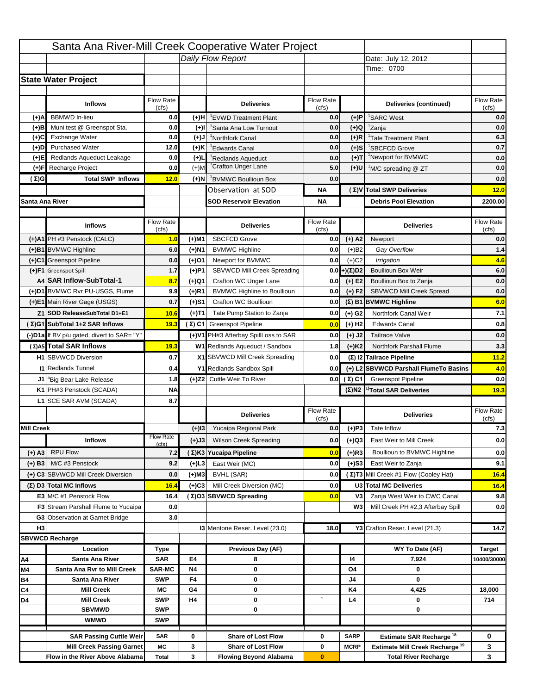|                   |                                                   |                           |           | Santa Ana River-Mill Creek Cooperative Water Project |                  |                      |                                                  |                          |
|-------------------|---------------------------------------------------|---------------------------|-----------|------------------------------------------------------|------------------|----------------------|--------------------------------------------------|--------------------------|
|                   |                                                   |                           |           | Daily Flow Report                                    |                  |                      | Date: July 12, 2012                              |                          |
|                   |                                                   |                           |           |                                                      |                  |                      | Time: 0700                                       |                          |
|                   | <b>State Water Project</b>                        |                           |           |                                                      |                  |                      |                                                  |                          |
|                   |                                                   |                           |           |                                                      |                  |                      |                                                  |                          |
|                   | <b>Inflows</b>                                    | Flow Rate                 |           | <b>Deliveries</b>                                    | <b>Flow Rate</b> |                      | Deliveries (continued)                           | Flow Rate                |
| (+)A              | <b>BBMWD</b> In-lieu                              | (cfs)<br>0.0              | (+)H      | 'EVWD Treatment Plant                                | (cfs)<br>0.0     | (+)P                 | <sup>1</sup> SARC West                           | (cfs)<br>0.0             |
| (+)B              | Muni test @ Greenspot Sta.                        | 0.0                       | $(+)$ l   | 'Santa Ana Low Turnout                               | 0.0              | $(+)Q$               | <sup>1</sup> Zanja                               | 0.0                      |
| (+)C              | Exchange Water                                    | 0.0                       | $(L(+)$   | <sup>1</sup> Northfork Canal                         | 0.0              | $(+)R$               | <sup>1</sup> Tate Treatment Plant                | 6.3                      |
| (+)D              | <b>Purchased Water</b>                            | 12.0                      | (+)K      | <sup>1</sup> Edwards Canal                           | 0.0              | $(+)$ S              | <sup>1</sup> SBCFCD Grove                        | 0.7                      |
| (+)E              | Redlands Aqueduct Leakage                         | 0.0                       | $(+)1$    | <sup>1</sup> Redlands Aqueduct                       | 0.0              | $(+)$ T              | <sup>1</sup> Newport for BVMWC                   | 0.0                      |
| (+)F              | Recharge Project                                  | 0.0                       | $(+)$ M   | <sup>1</sup> Crafton Unger Lane                      | 5.0              | $(+)$ U              | <sup>1</sup> M/C spreading @ ZT                  | 0.0                      |
| (Σ)G              | <b>Total SWP Inflows</b>                          | 12.0                      | $(+)$ N   | <sup>1</sup> BVMWC Boullioun Box                     | 0.0              |                      |                                                  | 0.0                      |
|                   |                                                   |                           |           | Observation at SOD                                   | ΝA               |                      | (Σ) V Total SWP Deliveries                       | 12.0                     |
| Santa Ana River   |                                                   |                           |           | <b>SOD Reservoir Elevation</b>                       | ΝA               |                      | <b>Debris Pool Elevation</b>                     | 2200.00                  |
|                   |                                                   |                           |           |                                                      |                  |                      |                                                  |                          |
|                   | <b>Inflows</b>                                    | Flow Rate                 |           | <b>Deliveries</b>                                    | Flow Rate        |                      | <b>Deliveries</b>                                | Flow Rate                |
|                   |                                                   | (cfs)                     |           |                                                      | (cfs)            |                      |                                                  | (cfs)                    |
|                   | (+)A1 PH #3 Penstock (CALC)                       | 1.0                       | (+)M1     | <b>SBCFCD Grove</b>                                  | 0.0              | $(+)$ A2             | Newport                                          | 0.0                      |
|                   | (+)B1 BVMWC Highline                              | 6.0                       | (+)N1     | <b>BVMWC Highline</b>                                | 0.0              | $(+)B2$              | Gay Overflow                                     | $1.4$                    |
|                   | (+)C1 Greenspot Pipeline                          | 0.0                       | (+)01     | Newport for BVMWC                                    | 0.0              | $(+)$ C <sub>2</sub> | Irrigation                                       | 4.6                      |
|                   | (+)F1 Greenspot Spill<br>A4 SAR Inflow-SubTotal-1 | 1.7                       | (+)P1     | SBVWCD Mill Creek Spreading                          | 0.0              | (+)(Σ)D2             | <b>Boullioun Box Weir</b>                        | 6.0                      |
|                   | (+)D1 BVMWC Rvr PU-USGS, Flume                    | 8.7                       | (+)Q1     | Crafton WC Unger Lane                                | 0.0              | $(+) E2$             | Boullioun Box to Zanja                           | 0.0                      |
|                   |                                                   | 9.9                       | $(+)$ R1  | <b>BVMWC Highline to Boullioun</b>                   | 0.0              | $(+) F2$             | SBVWCD Mill Creek Spread                         | 0.0                      |
|                   | (+)E1 Main River Gage (USGS)                      | 0.7                       | (+)S1     | Crafton WC Boullioun                                 | 0.0              |                      | $(\Sigma)$ B1 BVMWC Highline                     | 6.0                      |
|                   | Z1 SOD ReleaseSubTotal D1+E1                      | 10.6                      | (+)T1     | Tate Pump Station to Zanja                           | 0.0              | (+) G2               | Northfork Canal Weir                             | 7.1                      |
|                   | (Σ)G1 SubTotal 1+2 SAR Inflows                    | 19.3                      |           | (Σ) C1 Greenspot Pipeline                            | 0.0              | $(+)$ H <sub>2</sub> | <b>Edwards Canal</b>                             | 0.8                      |
|                   | (-)D1a If BV p/u gated, divert to SAR= "Y"        |                           |           | (+)V1 PH#3 Afterbay SpillLoss to SAR                 | 0.0              | $(+)$ J2             | <b>Tailrace Valve</b>                            | 0.0                      |
|                   | (Σ) A5 Total SAR Inflows                          | 19.3                      |           | W1 Redlands Aqueduct / Sandbox                       | 1.8              | $(+)$ K <sub>2</sub> | <b>Northfork Parshall Flume</b>                  | 3.3                      |
|                   | <b>H1</b> SBVWCD Diversion                        | 0.7                       |           | X1 SBVWCD Mill Creek Spreading                       | 0.0              |                      | (Σ) I2 Tailrace Pipeline                         | 11.2                     |
|                   | <b>11 Redlands Tunnel</b>                         | 0.4                       |           | Y1 Redlands Sandbox Spill                            | 0.0              |                      | (+) L2 SBVWCD Parshall FlumeTo Basins            | 4.0                      |
|                   | J1 <sup>a</sup> Big Bear Lake Release             | 1.8                       |           | (+)Z2 Cuttle Weir To River                           |                  | 0.0 $(\Sigma)$ C1    | <b>Greenspot Pipeline</b>                        | 0.0                      |
|                   | K1 PH#3 Penstock (SCADA)                          | NA                        |           |                                                      |                  |                      | $(\Sigma)$ N2 <sup>1)</sup> Total SAR Deliveries | 19.3                     |
|                   |                                                   |                           |           |                                                      |                  |                      |                                                  |                          |
|                   | L1 SCE SAR AVM (SCADA)                            | 8.7                       |           |                                                      |                  |                      |                                                  |                          |
|                   |                                                   |                           |           | <b>Deliveries</b>                                    | <b>Flow Rate</b> |                      | <b>Deliveries</b>                                | Flow Rate                |
|                   |                                                   |                           |           |                                                      | (cfs)            |                      |                                                  | (cts)                    |
| <b>Mill Creek</b> |                                                   |                           | $(+)$ 13  | Yucaipa Regional Park                                | 0.0              | $(+)P3$              | Tate Inflow                                      |                          |
|                   | <b>Inflows</b>                                    | <b>Flow Rate</b><br>(cfs) | (+)J3     | <b>Wilson Creek Spreading</b>                        | 0.0              | (+)Q3                | East Weir to Mill Creek                          |                          |
| $(+)$ A3          | <b>RPU Flow</b>                                   | 7.2                       |           | (Σ)K3 Yucaipa Pipeline                               | 0.0              | $(+)$ R3             | Boullioun to BVMWC Highline                      |                          |
| $(+)$ B3          | M/C #3 Penstock                                   | 9.2                       | (+)L3     | East Weir (MC)                                       | 0.0              | $(+)$ S3             | East Weir to Zanja                               | 7.3<br>0.0<br>0.0<br>9.1 |
|                   | (+) C3 SBVWCD Mill Creek Diversion                | 0.0                       | (+)M3     | BVHL (SAR)                                           | 0.0              |                      | (Σ) T3 Mill Creek #1 Flow (Cooley Hat)           | 16.4                     |
|                   | (Σ) D3 Total MC Inflows                           | 16.4                      | $(+)C3$   | Mill Creek Diversion (MC)                            | 0.0              |                      | U3 Total MC Deliveries                           | 16.4                     |
|                   | E3 M/C #1 Penstock Flow                           | 16.4                      |           | (Σ)O3 SBVWCD Spreading                               | 0.0              | V3                   | Zanja West Weir to CWC Canal                     | 9.8                      |
|                   | <b>F3</b> Stream Parshall Flume to Yucaipa        | 0.0                       |           |                                                      |                  | W <sub>3</sub>       | Mill Creek PH #2,3 Afterbay Spill                | 0.0                      |
|                   | G3 Observation at Garnet Bridge                   | 3.0                       |           |                                                      |                  |                      |                                                  |                          |
| H <sub>3</sub>    |                                                   |                           |           | <b>13 Mentone Reser. Level (23.0)</b>                | 18.0             |                      | Y3 Crafton Reser. Level (21.3)                   | 14.7                     |
|                   | <b>SBVWCD Recharge</b>                            |                           |           |                                                      |                  |                      |                                                  |                          |
|                   | Location                                          | Type                      |           | Previous Day (AF)                                    |                  |                      | WY To Date (AF)                                  | <b>Target</b>            |
| Α4                | Santa Ana River                                   | <b>SAR</b>                | E4        | 8                                                    |                  | 14                   | 7,924                                            |                          |
| M4                | Santa Ana Rvr to Mill Creek                       | <b>SAR-MC</b>             | <b>N4</b> | 0                                                    |                  | O4                   | 0                                                |                          |
| Β4                | Santa Ana River                                   | <b>SWP</b>                | F4        | 0                                                    |                  | J4                   | 0                                                |                          |
| C4                | <b>Mill Creek</b>                                 | МC                        | G4        | 0                                                    |                  | K4                   | 4,425                                            | 18,000                   |
| D4                | <b>Mill Creek</b>                                 | <b>SWP</b>                | H4        | 0                                                    |                  | L4                   | 0                                                | 714                      |
|                   | <b>SBVMWD</b>                                     | <b>SWP</b>                |           | 0                                                    |                  |                      | 0                                                | 10400/30000              |
|                   | <b>WMWD</b>                                       | <b>SWP</b>                |           |                                                      |                  |                      |                                                  |                          |
|                   | <b>SAR Passing Cuttle Weir</b>                    | <b>SAR</b>                | 0         | <b>Share of Lost Flow</b>                            | 0                | <b>SARP</b>          | Estimate SAR Recharge <sup>18</sup>              | 0                        |
|                   | <b>Mill Creek Passing Garnet</b>                  | МC                        | 3         | <b>Share of Lost Flow</b>                            | 0                | <b>MCRP</b>          | Estimate Mill Creek Recharge <sup>19</sup>       | 3                        |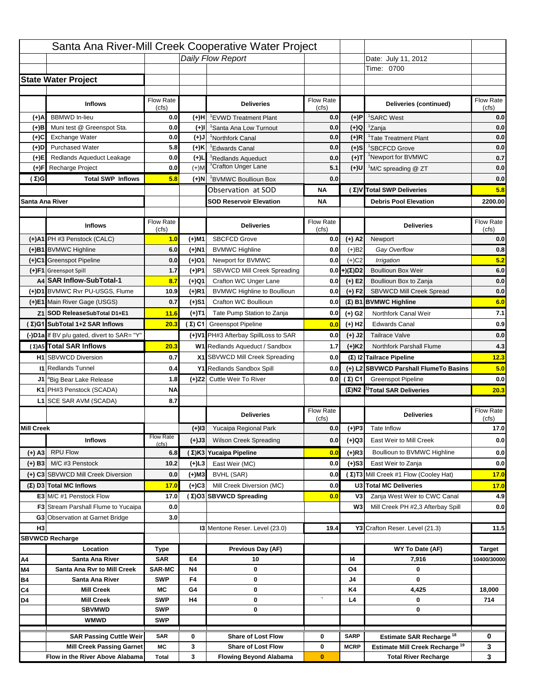|                   |                                            |                    |                | Santa Ana River-Mill Creek Cooperative Water Project |                           |                                 |                                                  |                    |
|-------------------|--------------------------------------------|--------------------|----------------|------------------------------------------------------|---------------------------|---------------------------------|--------------------------------------------------|--------------------|
|                   |                                            |                    |                | Daily Flow Report                                    |                           |                                 | Date: July 11, 2012                              |                    |
|                   |                                            |                    |                |                                                      |                           |                                 | Time: 0700                                       |                    |
|                   | <b>State Water Project</b>                 |                    |                |                                                      |                           |                                 |                                                  |                    |
|                   |                                            |                    |                |                                                      |                           |                                 |                                                  |                    |
|                   | <b>Inflows</b>                             | Flow Rate          |                | <b>Deliveries</b>                                    | <b>Flow Rate</b>          |                                 | Deliveries (continued)                           | Flow Rate          |
| (+)A              | <b>BBMWD</b> In-lieu                       | (cfs)<br>0.0       | (+)H           | 'EVWD Treatment Plant                                | (cfs)<br>0.0              | (+)P                            | <sup>1</sup> SARC West                           | (cfs)<br>0.0       |
| (+)B              | Muni test @ Greenspot Sta.                 | 0.0                | $(+)$ l        | 'Santa Ana Low Turnout                               | 0.0                       | $(+)Q$                          | <sup>1</sup> Zanja                               | 0.0                |
| (+)C              | Exchange Water                             | 0.0                | $(L(+)$        | <sup>1</sup> Northfork Canal                         | 0.0                       | $(+)R$                          | <sup>1</sup> Tate Treatment Plant                | 0.0                |
| (+)D              | <b>Purchased Water</b>                     | 5.8                | (+)K           | <sup>1</sup> Edwards Canal                           | 0.0                       | $(+)$ S                         | <sup>1</sup> SBCFCD Grove                        | 0.0                |
| (+)E              | Redlands Aqueduct Leakage                  | 0.0                | $(+)1$         | <sup>1</sup> Redlands Aqueduct                       | 0.0                       | $(+)T$                          | <sup>1</sup> Newport for BVMWC                   | 0.7                |
| (+)F              | Recharge Project                           | 0.0                | $(+)$ M        | <sup>1</sup> Crafton Unger Lane                      | 5.1                       | $(+)$ U                         | <sup>1</sup> M/C spreading @ ZT                  | 0.0                |
| (Σ)G              | <b>Total SWP Inflows</b>                   | 5.8                | (+)N           | <sup>1</sup> BVMWC Boullioun Box                     | 0.0                       |                                 |                                                  | 0.0                |
|                   |                                            |                    |                | Observation at SOD                                   | ΝA                        |                                 | (Σ) V Total SWP Deliveries                       | 5.8                |
| Santa Ana River   |                                            |                    |                | <b>SOD Reservoir Elevation</b>                       | ΝA                        |                                 | <b>Debris Pool Elevation</b>                     | 2200.00            |
|                   |                                            |                    |                |                                                      |                           |                                 |                                                  |                    |
|                   | <b>Inflows</b>                             | Flow Rate          |                | <b>Deliveries</b>                                    | Flow Rate                 |                                 | <b>Deliveries</b>                                | Flow Rate          |
|                   | (+)A1 PH #3 Penstock (CALC)                | (cfs)<br>1.0       | (+)M1          | <b>SBCFCD Grove</b>                                  | (cfs)<br>0.0              | $(+)$ A2                        | Newport                                          | (cfs)<br>0.0       |
|                   | (+)B1 BVMWC Highline                       | 6.0                |                |                                                      | 0.0                       |                                 | Gay Overflow                                     | 0.8                |
|                   | (+)C1 Greenspot Pipeline                   | 0.0                | (+)N1<br>(+)01 | <b>BVMWC Highline</b><br>Newport for BVMWC           | 0.0                       | $(+)B2$<br>$(+)$ C <sub>2</sub> | Irrigation                                       | 5.2                |
|                   | (+)F1 Greenspot Spill                      | 1.7                | (+)P1          | SBVWCD Mill Creek Spreading                          | 0.0                       | (+)(Σ)D2                        | <b>Boullioun Box Weir</b>                        | 6.0                |
|                   | A4 SAR Inflow-SubTotal-1                   | 8.7                | (+)Q1          | Crafton WC Unger Lane                                | 0.0                       | $(+) E2$                        | Boullioun Box to Zanja                           | 0.0                |
|                   | (+)D1 BVMWC Rvr PU-USGS, Flume             | 10.9               | $(+)$ R1       | <b>BVMWC Highline to Boullioun</b>                   | 0.0                       | $(+) F2$                        | SBVWCD Mill Creek Spread                         | 0.0                |
|                   | (+)E1 Main River Gage (USGS)               | 0.7                | (+)S1          | Crafton WC Boullioun                                 | 0.0                       |                                 | $(\Sigma)$ B1 BVMWC Highline                     | 6.0                |
|                   | Z1 SOD ReleaseSubTotal D1+E1               | 11.6               | (+)T1          | Tate Pump Station to Zanja                           | 0.0                       | (+) G2                          | Northfork Canal Weir                             | 7.1                |
|                   | (Σ)G1 SubTotal 1+2 SAR Inflows             | 20.3               |                | (Σ) C1 Greenspot Pipeline                            | 0.0                       | $(+)$ H <sub>2</sub>            | <b>Edwards Canal</b>                             | 0.9                |
|                   |                                            |                    |                |                                                      |                           |                                 |                                                  |                    |
|                   | (-)D1a If BV p/u gated, divert to SAR= "Y" |                    |                | (+)V1 PH#3 Afterbay SpillLoss to SAR                 | 0.0                       | $(+)$ J2                        | <b>Tailrace Valve</b>                            | 0.0                |
|                   | (Σ) A5 Total SAR Inflows                   | 20.3               |                | W1 Redlands Aqueduct / Sandbox                       | 1.7                       | $(+)$ K <sub>2</sub>            | Northfork Parshall Flume                         | 4.3                |
|                   | <b>H1</b> SBVWCD Diversion                 | 0.7                |                | X1 SBVWCD Mill Creek Spreading                       | 0.0                       |                                 | (Σ) I2 Tailrace Pipeline                         | 12.3               |
|                   | <b>11 Redlands Tunnel</b>                  | 0.4                |                | Y1 Redlands Sandbox Spill                            | 0.0                       |                                 | (+) L2 SBVWCD Parshall FlumeTo Basins            | 5.0                |
|                   | J1 <sup>a</sup> Big Bear Lake Release      | 1.8                |                | (+)Z2 Cuttle Weir To River                           |                           | 0.0 $(\Sigma)$ C1               | <b>Greenspot Pipeline</b>                        | 0.0                |
|                   | K1 PH#3 Penstock (SCADA)                   | NA                 |                |                                                      |                           |                                 | $(\Sigma)$ N2 <sup>1)</sup> Total SAR Deliveries | 20.3               |
|                   | L1 SCE SAR AVM (SCADA)                     | 8.7                |                |                                                      |                           |                                 |                                                  |                    |
|                   |                                            |                    |                | <b>Deliveries</b>                                    | <b>Flow Rate</b><br>(cfs) |                                 | <b>Deliveries</b>                                | Flow Rate<br>(cts) |
| <b>Mill Creek</b> |                                            |                    | $(+)$ 13       | Yucaipa Regional Park                                | 0.0                       | $(+)P3$                         | Tate Inflow                                      | 17.0               |
|                   | <b>Inflows</b>                             | <b>Flow Rate</b>   | (+)J3          | <b>Wilson Creek Spreading</b>                        | 0.0                       | (+)Q3                           | East Weir to Mill Creek                          | 0.0                |
|                   | <b>RPU Flow</b>                            | (cfs)              |                |                                                      |                           | $(+)$ R3                        | Boullioun to BVMWC Highline                      |                    |
| $(+)$ A3          |                                            | 6.8                |                | (Σ)K3 Yucaipa Pipeline                               | 0.0                       |                                 |                                                  | 0.0                |
| $(+)$ B3          | M/C #3 Penstock                            | 10.2               | $(+)$ L3       | East Weir (MC)                                       | 0.0                       | $(+)$ S3                        | East Weir to Zanja                               | 0.0                |
|                   | (+) C3 SBVWCD Mill Creek Diversion         | 0.0                | (+)M3          | BVHL (SAR)                                           | 0.0                       |                                 | (Σ) T3 Mill Creek #1 Flow (Cooley Hat)           | 17.0               |
|                   | (Σ) D3 Total MC Inflows                    | 17.0               | $(+)C3$        | Mill Creek Diversion (MC)                            | 0.0                       |                                 | U3 Total MC Deliveries                           | 17.0               |
|                   | E3 M/C #1 Penstock Flow                    | 17.0               |                | (Σ)O3 SBVWCD Spreading                               | 0.0                       | V3                              | Zanja West Weir to CWC Canal                     | 4.9                |
|                   | <b>F3</b> Stream Parshall Flume to Yucaipa | 0.0                |                |                                                      |                           | W <sub>3</sub>                  | Mill Creek PH #2,3 Afterbay Spill                | 0.0                |
| H <sub>3</sub>    | G3 Observation at Garnet Bridge            | 3.0                |                | <b>13 Mentone Reser. Level (23.0)</b>                | 19.4                      |                                 | Y3 Crafton Reser. Level (21.3)                   | 11.5               |
|                   |                                            |                    |                |                                                      |                           |                                 |                                                  |                    |
|                   | <b>SBVWCD Recharge</b><br>Location         |                    |                | Previous Day (AF)                                    |                           |                                 | WY To Date (AF)                                  | <b>Target</b>      |
| Α4                | Santa Ana River                            | Type<br><b>SAR</b> | E4             | 10                                                   |                           | 14                              | 7,916                                            | 10400/30000        |
| M4                | Santa Ana Rvr to Mill Creek                | <b>SAR-MC</b>      | <b>N4</b>      | 0                                                    |                           | O4                              | 0                                                |                    |
| Β4                | Santa Ana River                            | <b>SWP</b>         | F4             | 0                                                    |                           | J4                              | 0                                                |                    |
| C4                | <b>Mill Creek</b>                          | МC                 | G4             | 0                                                    |                           | K4                              | 4,425                                            | 18,000             |
| D4                | <b>Mill Creek</b>                          | <b>SWP</b>         | H4             | 0                                                    |                           | L4                              | 0                                                | 714                |
|                   | <b>SBVMWD</b>                              | <b>SWP</b>         |                | 0                                                    |                           |                                 | 0                                                |                    |
|                   | <b>WMWD</b>                                | <b>SWP</b>         |                |                                                      |                           |                                 |                                                  |                    |
|                   | <b>SAR Passing Cuttle Weir</b>             | <b>SAR</b>         | 0              | <b>Share of Lost Flow</b>                            | 0                         | <b>SARP</b>                     | Estimate SAR Recharge <sup>18</sup>              | 0                  |
|                   | <b>Mill Creek Passing Garnet</b>           | МC                 | 3              | <b>Share of Lost Flow</b>                            | 0                         | <b>MCRP</b>                     | Estimate Mill Creek Recharge <sup>19</sup>       | 3                  |
|                   |                                            |                    |                |                                                      |                           |                                 |                                                  |                    |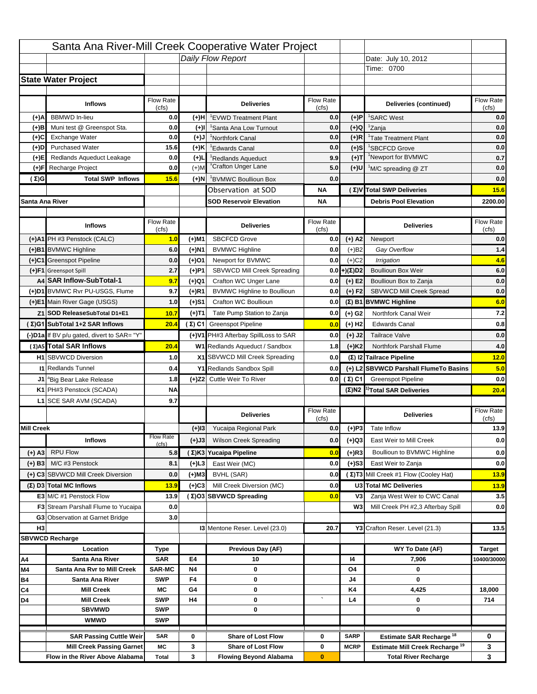|                   |                                                                     |                           |           | Santa Ana River-Mill Creek Cooperative Water Project       |                  |                       |                                                                           |                  |
|-------------------|---------------------------------------------------------------------|---------------------------|-----------|------------------------------------------------------------|------------------|-----------------------|---------------------------------------------------------------------------|------------------|
|                   |                                                                     |                           |           | Daily Flow Report                                          |                  |                       | Date: July 10, 2012                                                       |                  |
|                   |                                                                     |                           |           |                                                            |                  |                       | Time: 0700                                                                |                  |
|                   | <b>State Water Project</b>                                          |                           |           |                                                            |                  |                       |                                                                           |                  |
|                   |                                                                     |                           |           |                                                            |                  |                       |                                                                           |                  |
|                   | <b>Inflows</b>                                                      | Flow Rate                 |           | <b>Deliveries</b>                                          | <b>Flow Rate</b> |                       | Deliveries (continued)                                                    | Flow Rate        |
| (+)A              | <b>BBMWD</b> In-lieu                                                | (cts)<br>0.0              | (+)H      | 'EVWD Treatment Plant                                      | (cfs)<br>0.0     | (+)P                  | <sup>1</sup> SARC West                                                    | (cfs)<br>0.0     |
| (+)B              | Muni test @ Greenspot Sta.                                          | 0.0                       | (+)I      | 'Santa Ana Low Turnout                                     | 0.0              | (+)Q                  | <sup>1</sup> Zanja                                                        | 0.0              |
| (+)C              | Exchange Water                                                      | 0.0                       | (+)J      | <sup>1</sup> Northfork Canal                               | 0.0              | $(+)R$                | <sup>1</sup> Tate Treatment Plant                                         | 0.0              |
| (+)D              | <b>Purchased Water</b>                                              | 15.6                      | (+)K      | <sup>1</sup> Edwards Canal                                 | 0.0              | $(+)S$                | <sup>1</sup> SBCFCD Grove                                                 | 0.0              |
| (+)E              | Redlands Aqueduct Leakage                                           | 0.0                       | $(+)$ L   | <sup>1</sup> Redlands Aqueduct                             | 9.9              | $(+)T$                | <sup>1</sup> Newport for BVMWC                                            | 0.7              |
| (+)F              | Recharge Project                                                    | 0.0                       | $(+)$ M   | <sup>1</sup> Crafton Unger Lane                            | 5.0              | (+)U                  | <sup>1</sup> M/C spreading @ ZT                                           | 0.0              |
| ( Σ)G             | <b>Total SWP Inflows</b>                                            | 15.6                      | (+)N      | BVMWC Boullioun Box                                        | 0.0              |                       |                                                                           | 0.0              |
|                   |                                                                     |                           |           | Observation at SOD                                         | ΝA               |                       | (Σ) V Total SWP Deliveries                                                | 15.6             |
| Santa Ana River   |                                                                     |                           |           | <b>SOD Reservoir Elevation</b>                             | <b>NA</b>        |                       | <b>Debris Pool Elevation</b>                                              | 2200.00          |
|                   |                                                                     |                           |           |                                                            |                  |                       |                                                                           |                  |
|                   | <b>Inflows</b>                                                      | Flow Rate                 |           | <b>Deliveries</b>                                          | <b>Flow Rate</b> |                       | <b>Deliveries</b>                                                         | Flow Rate        |
|                   |                                                                     | (cts)                     |           |                                                            | (cts)            |                       |                                                                           | (cfs)            |
|                   | (+)A1 PH #3 Penstock (CALC)                                         | 1.0                       | (+)M1     | <b>SBCFCD Grove</b>                                        | 0.0              | $(+)$ A2              | Newport                                                                   | 0.0              |
|                   | (+)B1 BVMWC Highline                                                | 6.0                       | (+)N1     | <b>BVMWC Highline</b>                                      | 0.0              | $(+)B2$               | Gay Overflow                                                              | 1.4              |
|                   | (+)C1 Greenspot Pipeline                                            | 0.0                       | (+)O1     | Newport for BVMWC                                          | 0.0              | $(+)$ C2              | Irrigation                                                                | 4.6              |
|                   | (+)F1 Greenspot Spill                                               | 2.7                       | (+)P1     | SBVWCD Mill Creek Spreading                                |                  | $0.0$ + $(\Sigma)$ D2 | <b>Boullioun Box Weir</b>                                                 | 6.0              |
|                   | A4 SAR Inflow-SubTotal-1                                            | 9.7                       | (+)Q1     | Crafton WC Unger Lane                                      | 0.0              | $(+)$ E2              | Boullioun Box to Zanja                                                    | 0.0              |
|                   | (+)D1 BVMWC Rvr PU-USGS, Flume                                      | 9.7                       | $(+)R1$   | <b>BVMWC Highline to Boullioun</b>                         | 0.0              | $(+) F2$              | SBVWCD Mill Creek Spread                                                  | 0.0              |
|                   | (+)E1 Main River Gage (USGS)                                        | 1.0                       | (+)S1     | Crafton WC Boullioun                                       | 0.0              |                       | $(\Sigma)$ B1 BVMWC Highline                                              | 6.0              |
|                   | Z1 SOD ReleaseSubTotal D1+E1                                        | 10.7                      | (+)T1     | Tate Pump Station to Zanja                                 | 0.0              | (+) G2                | Northfork Canal Weir                                                      | 7.2              |
|                   | (Σ)G1 SubTotal 1+2 SAR Inflows                                      | 20.4                      |           | $(Σ) C1$ Greenspot Pipeline                                | 0.0              | $(+)$ H <sub>2</sub>  | <b>Edwards Canal</b>                                                      | 0.8              |
|                   | (-)D1a If BV p/u gated, divert to SAR= "Y"                          |                           |           | (+)V1 PH#3 Afterbay SpillLoss to SAR                       | 0.0              | $(+)$ J2              | <b>Tailrace Valve</b>                                                     | 0.0              |
|                   | (Σ) A5 Total SAR Inflows                                            | 20.4                      |           | W1 Redlands Aqueduct / Sandbox                             | 1.8              | $(+)$ K2              | Northfork Parshall Flume                                                  | 4.0              |
|                   | <b>H1</b> SBVWCD Diversion                                          | 1.0                       |           | X1 SBVWCD Mill Creek Spreading                             | 0.0              |                       | (Σ) I2 Tailrace Pipeline                                                  | 12.0             |
|                   | <b>11 Redlands Tunnel</b>                                           | 0.4                       |           | Y1 Redlands Sandbox Spill                                  | 0.0              |                       | (+) L2 SBVWCD Parshall Flume To Basins                                    | 5.0              |
|                   | J1 <sup>a</sup> Big Bear Lake Release                               | 1.8                       |           | (+)Z2 Cuttle Weir To River                                 | 0.0              | (Σ) C1                | <b>Greenspot Pipeline</b>                                                 | 0.0              |
|                   | K1 PH#3 Penstock (SCADA)                                            | NA                        |           |                                                            |                  |                       | $(\Sigma)$ N2 <sup>1</sup> Total SAR Deliveries                           | 20.4             |
|                   | L1 SCE SAR AVM (SCADA)                                              | 9.7                       |           |                                                            |                  |                       |                                                                           |                  |
|                   |                                                                     |                           |           |                                                            | <b>Flow Rate</b> |                       |                                                                           | <b>Flow Rate</b> |
|                   |                                                                     |                           |           | <b>Deliveries</b>                                          | (cts)            |                       | <b>Deliveries</b>                                                         | (cts)            |
| <b>Mill Creek</b> |                                                                     |                           | $(+)$  3  | Yucaipa Regional Park                                      | 0.0              | $(+)$ P3              | Tate Inflow                                                               | 13.9             |
|                   | <b>Inflows</b>                                                      | <b>Flow Rate</b><br>(cfs) | (+)J3     | <b>Wilson Creek Spreading</b>                              | 0.0              | (+)Q3                 | East Weir to Mill Creek                                                   | 0.0              |
| $(+)$ A3          | <b>RPU Flow</b>                                                     | 5.8                       |           | (Σ)K3 Yucaipa Pipeline                                     | 0.0              | (+)R3                 | Boullioun to BVMWC Highline                                               | $0.0\,$          |
| $(+)$ B3          | M/C #3 Penstock                                                     | 8.1                       | $(+)$ L3  | East Weir (MC)                                             | 0.0              | $(+)$ S3              | East Weir to Zanja                                                        | 0.0              |
|                   | (+) C3 SBVWCD Mill Creek Diversion                                  | 0.0                       | (+)M3     | BVHL (SAR)                                                 | 0.0              |                       | (Σ) T3 Mill Creek #1 Flow (Cooley Hat)                                    | 13.9             |
|                   | $(\Sigma)$ D3 Total MC Inflows                                      | 13.9                      | $(+)C3$   | Mill Creek Diversion (MC)                                  | 0.0              |                       | U3 Total MC Deliveries                                                    | 13.9             |
|                   | E3 M/C #1 Penstock Flow                                             | 13.9                      |           | (Σ)O3 SBVWCD Spreading                                     | 0.0              | V <sub>3</sub>        | Zanja West Weir to CWC Canal                                              | 3.5              |
|                   | <b>F3</b> Stream Parshall Flume to Yucaipa                          | 0.0                       |           |                                                            |                  | W3                    | Mill Creek PH #2,3 Afterbay Spill                                         | 0.0              |
|                   | G3 Observation at Garnet Bridge                                     | 3.0                       |           |                                                            |                  |                       |                                                                           |                  |
| H <sub>3</sub>    |                                                                     |                           |           | 13 Mentone Reser. Level (23.0)                             | 20.7             |                       | Y3 Crafton Reser. Level (21.3)                                            | 13.5             |
|                   | <b>SBVWCD Recharge</b>                                              |                           |           |                                                            |                  |                       |                                                                           |                  |
|                   | Location                                                            | Type                      |           | Previous Day (AF)                                          |                  |                       | WY To Date (AF)                                                           | <b>Target</b>    |
| Α4                | Santa Ana River                                                     | <b>SAR</b>                | E4        | 10                                                         |                  | 14                    | 7,906                                                                     | 10400/30000      |
| M4                | Santa Ana Rvr to Mill Creek                                         | <b>SAR-MC</b>             | <b>N4</b> | 0                                                          |                  | O4                    | 0                                                                         |                  |
| Β4                | Santa Ana River                                                     | <b>SWP</b>                | F4        | 0                                                          |                  | J4                    | 0                                                                         |                  |
| C4                | <b>Mill Creek</b>                                                   | МC                        | G4        | 0                                                          |                  | K4                    | 4,425                                                                     | 18,000           |
| D4                | <b>Mill Creek</b>                                                   | <b>SWP</b>                | H4        | 0                                                          |                  | L4                    | 0                                                                         | 714              |
|                   | <b>SBVMWD</b>                                                       | <b>SWP</b>                |           | 0                                                          |                  |                       | 0                                                                         |                  |
|                   | <b>WMWD</b>                                                         | <b>SWP</b>                |           |                                                            |                  |                       |                                                                           |                  |
|                   | <b>SAR Passing Cuttle Weir</b>                                      |                           |           |                                                            |                  |                       |                                                                           |                  |
|                   |                                                                     | <b>SAR</b>                | 0         | <b>Share of Lost Flow</b>                                  | 0                | <b>SARP</b>           | Estimate SAR Recharge <sup>18</sup>                                       | 0                |
|                   |                                                                     |                           |           |                                                            |                  |                       |                                                                           |                  |
|                   | <b>Mill Creek Passing Garnet</b><br>Flow in the River Above Alabama | МC<br><b>Total</b>        | 3<br>3    | <b>Share of Lost Flow</b><br><b>Flowing Beyond Alabama</b> | 0<br>$\bf{0}$    | <b>MCRP</b>           | Estimate Mill Creek Recharge <sup>19</sup><br><b>Total River Recharge</b> | 3<br>3           |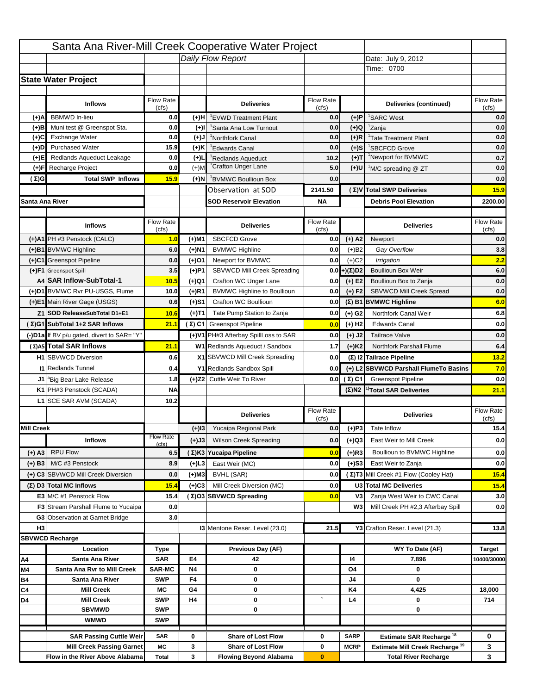|                   |                                                                     |                    |                   | Santa Ana River-Mill Creek Cooperative Water Project       |                  |                      |                                                                           |                                          |
|-------------------|---------------------------------------------------------------------|--------------------|-------------------|------------------------------------------------------------|------------------|----------------------|---------------------------------------------------------------------------|------------------------------------------|
|                   |                                                                     |                    |                   | Daily Flow Report                                          |                  |                      | Date: July 9, 2012                                                        |                                          |
|                   |                                                                     |                    |                   |                                                            |                  |                      | Time: 0700                                                                |                                          |
|                   | <b>State Water Project</b>                                          |                    |                   |                                                            |                  |                      |                                                                           |                                          |
|                   |                                                                     |                    |                   |                                                            |                  |                      |                                                                           |                                          |
|                   | <b>Inflows</b>                                                      | Flow Rate          |                   | <b>Deliveries</b>                                          | <b>Flow Rate</b> |                      | Deliveries (continued)                                                    | Flow Rate                                |
| (+)A              | <b>BBMWD</b> In-lieu                                                | (cfs)<br>0.0       | (+)H              | 'EVWD Treatment Plant                                      | (cfs)<br>0.0     | (+)P                 | <sup>1</sup> SARC West                                                    | (cfs)<br>0.0                             |
| (+)B              | Muni test @ Greenspot Sta.                                          | 0.0                | $(+)$ l           | 'Santa Ana Low Turnout                                     | 0.0              | $(+)Q$               | <sup>1</sup> Zanja                                                        | 0.0                                      |
| (+)C              | Exchange Water                                                      | 0.0                | $(+)$ J           | <sup>1</sup> Northfork Canal                               | 0.0              | $(+)R$               | <sup>1</sup> Tate Treatment Plant                                         | 0.0                                      |
| (+)D              | <b>Purchased Water</b>                                              | 15.9               | (+)K              | <sup>1</sup> Edwards Canal                                 | 0.0              | $(+)$ S              | <sup>1</sup> SBCFCD Grove                                                 | 0.0                                      |
| (+)E              | Redlands Aqueduct Leakage                                           | 0.0                | $(+)1$            | <sup>1</sup> Redlands Aqueduct                             | 10.2             | $(+)T$               | <sup>1</sup> Newport for BVMWC                                            | 0.7                                      |
| (+)F              | Recharge Project                                                    | 0.0                | $(+)$ M           | <sup>1</sup> Crafton Unger Lane                            | 5.0              | $(+)$ U              | <sup>1</sup> M/C spreading @ ZT                                           | 0.0                                      |
| (Σ)G              | <b>Total SWP Inflows</b>                                            | 15.9               | (+)N              | <sup>1</sup> BVMWC Boullioun Box                           | 0.0              |                      |                                                                           | 0.0                                      |
|                   |                                                                     |                    |                   | Observation at SOD                                         | 2141.50          |                      | (Σ)V Total SWP Deliveries                                                 | 15.9                                     |
| Santa Ana River   |                                                                     |                    |                   | <b>SOD Reservoir Elevation</b>                             | <b>NA</b>        |                      | <b>Debris Pool Elevation</b>                                              | 2200.00                                  |
|                   |                                                                     |                    |                   |                                                            |                  |                      |                                                                           |                                          |
|                   | <b>Inflows</b>                                                      | Flow Rate          |                   | <b>Deliveries</b>                                          | Flow Rate        |                      | <b>Deliveries</b>                                                         | Flow Rate                                |
|                   |                                                                     | (cfs)              |                   | <b>SBCFCD Grove</b>                                        | (cfs)            |                      |                                                                           | (cfs)                                    |
|                   | (+)A1 PH #3 Penstock (CALC)                                         | 1.0                | (+)M1             |                                                            | 0.0              | $(+)$ A2             | Newport                                                                   | 0.0                                      |
|                   | (+)B1 BVMWC Highline                                                | 6.0                | (+)N1             | <b>BVMWC Highline</b>                                      | 0.0              | $(+)B2$              | Gay Overflow                                                              | 3.8                                      |
|                   | (+)C1 Greenspot Pipeline                                            | 0.0                | (+)01             | Newport for BVMWC                                          | 0.0              | $(+)$ C <sub>2</sub> | Irrigation                                                                | 2.2                                      |
|                   | (+)F1 Greenspot Spill<br>A4 SAR Inflow-SubTotal-1                   | 3.5                | (+)P1             | SBVWCD Mill Creek Spreading<br>Crafton WC Unger Lane       | 0.0              | (+)(Σ)D2             | <b>Boullioun Box Weir</b>                                                 | 6.0                                      |
|                   | (+)D1 BVMWC Rvr PU-USGS, Flume                                      | 10.5<br>10.0       | (+)Q1<br>$(+)$ R1 | <b>BVMWC Highline to Boullioun</b>                         | 0.0<br>0.0       | $(+) E2$<br>$(+) F2$ | Boullioun Box to Zanja<br>SBVWCD Mill Creek Spread                        | 0.0<br>0.0                               |
|                   | (+)E1 Main River Gage (USGS)                                        | 0.6                |                   | Crafton WC Boullioun                                       | 0.0              |                      |                                                                           | 6.0                                      |
|                   |                                                                     |                    | (+)S1             |                                                            |                  |                      | $(\Sigma)$ B1 BVMWC Highline                                              |                                          |
|                   | Z1 SOD ReleaseSubTotal D1+E1                                        | 10.6               | (+)T1             | Tate Pump Station to Zanja                                 | 0.0              | (+) G2               | Northfork Canal Weir                                                      | 6.8                                      |
|                   | (Σ)G1 SubTotal 1+2 SAR Inflows                                      | 21.1               |                   | (Σ) C1 Greenspot Pipeline                                  | 0.0              | $(+)$ H <sub>2</sub> | <b>Edwards Canal</b>                                                      | 0.0                                      |
|                   | (-)D1a If BV p/u gated, divert to SAR= "Y"                          |                    |                   | (+)V1 PH#3 Afterbay SpillLoss to SAR                       | 0.0              | $(+)$ J2             | <b>Tailrace Valve</b>                                                     | 0.0                                      |
|                   | (Σ) A5 Total SAR Inflows                                            | 21.1               |                   | W1 Redlands Aqueduct / Sandbox                             | 1.7              | $(+)$ K <sub>2</sub> | Northfork Parshall Flume                                                  | 6.4                                      |
|                   | <b>H1</b> SBVWCD Diversion                                          | 0.6                |                   | X1 SBVWCD Mill Creek Spreading                             | 0.0              |                      | (Σ) I2 Tailrace Pipeline                                                  | 13.2                                     |
|                   | <b>11 Redlands Tunnel</b>                                           | 0.4                |                   | Y1 Redlands Sandbox Spill                                  | 0.0              |                      | (+) L2 SBVWCD Parshall FlumeTo Basins                                     | 7.0                                      |
|                   |                                                                     |                    |                   |                                                            |                  |                      |                                                                           |                                          |
|                   | J1 <sup>a</sup> Big Bear Lake Release                               | 1.8                |                   | (+)Z2 Cuttle Weir To River                                 |                  | 0.0 $(\Sigma)$ C1    | <b>Greenspot Pipeline</b>                                                 |                                          |
|                   | K1 PH#3 Penstock (SCADA)                                            | <b>NA</b>          |                   |                                                            |                  |                      | $(\Sigma)$ N2 <sup>1)</sup> Total SAR Deliveries                          |                                          |
|                   | L1 SCE SAR AVM (SCADA)                                              | 10.2               |                   |                                                            |                  |                      |                                                                           |                                          |
|                   |                                                                     |                    |                   | <b>Deliveries</b>                                          | <b>Flow Rate</b> |                      | <b>Deliveries</b>                                                         | Flow Rate                                |
|                   |                                                                     |                    |                   |                                                            | (cfs)            |                      |                                                                           | (cts)                                    |
| <b>Mill Creek</b> |                                                                     | <b>Flow Rate</b>   | $(+)$ 13          | Yucaipa Regional Park                                      | 0.0              | $(+)P3$              | Tate Inflow                                                               |                                          |
|                   | <b>Inflows</b>                                                      | (cfs)              | (+)J3             | <b>Wilson Creek Spreading</b>                              | 0.0              | (+)Q3                | East Weir to Mill Creek                                                   |                                          |
| $(+)$ A3          | <b>RPU Flow</b>                                                     | 6.5                |                   | (Σ)K3 Yucaipa Pipeline                                     | 0.0              | $(+)$ R3             | Boullioun to BVMWC Highline                                               |                                          |
| $(+)$ B3          | M/C #3 Penstock                                                     | 8.9                | $(+)$ L3          | East Weir (MC)                                             | 0.0              | $(+)$ S3             | East Weir to Zanja                                                        | 0.0<br>21.1<br>15.4<br>0.0<br>0.0<br>0.0 |
|                   | (+) C3 SBVWCD Mill Creek Diversion                                  | 0.0                | (+)M3             | BVHL (SAR)                                                 | 0.0              |                      | (Σ) T3 Mill Creek #1 Flow (Cooley Hat)                                    | 15.4                                     |
|                   | (Σ) D3 Total MC Inflows                                             | 15.4               | $(+)C3$           | Mill Creek Diversion (MC)                                  | 0.0              |                      | U3 Total MC Deliveries                                                    | 15.4                                     |
|                   | E3 M/C #1 Penstock Flow                                             | 15.4               |                   | (Σ)O3 SBVWCD Spreading                                     | 0.0              | V3                   | Zanja West Weir to CWC Canal                                              |                                          |
|                   | <b>F3</b> Stream Parshall Flume to Yucaipa                          | 0.0                |                   |                                                            |                  | W <sub>3</sub>       | Mill Creek PH #2,3 Afterbay Spill                                         |                                          |
|                   | G3 Observation at Garnet Bridge                                     | 3.0                |                   |                                                            |                  |                      |                                                                           |                                          |
| H <sub>3</sub>    |                                                                     |                    |                   | <b>13 Mentone Reser. Level (23.0)</b>                      | 21.5             |                      | Y3 Crafton Reser. Level (21.3)                                            |                                          |
|                   | <b>SBVWCD Recharge</b>                                              |                    |                   |                                                            |                  |                      |                                                                           | 3.0<br>0.0<br>13.8                       |
|                   | Location                                                            | Type               |                   | Previous Day (AF)                                          |                  |                      | WY To Date (AF)                                                           | <b>Target</b>                            |
| Α4                | Santa Ana River                                                     | <b>SAR</b>         | E4                | 42                                                         |                  | 14                   | 7,896                                                                     |                                          |
| M4                | Santa Ana Rvr to Mill Creek                                         | <b>SAR-MC</b>      | <b>N4</b>         | 0                                                          |                  | O4                   | 0                                                                         |                                          |
| Β4                | Santa Ana River                                                     | <b>SWP</b>         | F4                | 0                                                          |                  | J4                   | 0                                                                         |                                          |
| C4                | <b>Mill Creek</b>                                                   | МC                 | G4                | 0                                                          |                  | K4                   | 4,425                                                                     | 18,000                                   |
| D4                | <b>Mill Creek</b>                                                   | <b>SWP</b>         | H4                | 0                                                          |                  | L4                   | 0                                                                         | 714                                      |
|                   | <b>SBVMWD</b>                                                       | <b>SWP</b>         |                   | 0                                                          |                  |                      | 0                                                                         |                                          |
|                   | <b>WMWD</b>                                                         | <b>SWP</b>         |                   |                                                            |                  |                      |                                                                           |                                          |
|                   | <b>SAR Passing Cuttle Weir</b>                                      | <b>SAR</b>         | 0                 | <b>Share of Lost Flow</b>                                  | 0                | <b>SARP</b>          | Estimate SAR Recharge <sup>18</sup>                                       | 0                                        |
|                   | <b>Mill Creek Passing Garnet</b><br>Flow in the River Above Alabama | МC<br><b>Total</b> | 3<br>3            | <b>Share of Lost Flow</b><br><b>Flowing Beyond Alabama</b> | 0<br>$\bf{0}$    | <b>MCRP</b>          | Estimate Mill Creek Recharge <sup>19</sup><br><b>Total River Recharge</b> | 10400/30000<br>3<br>3                    |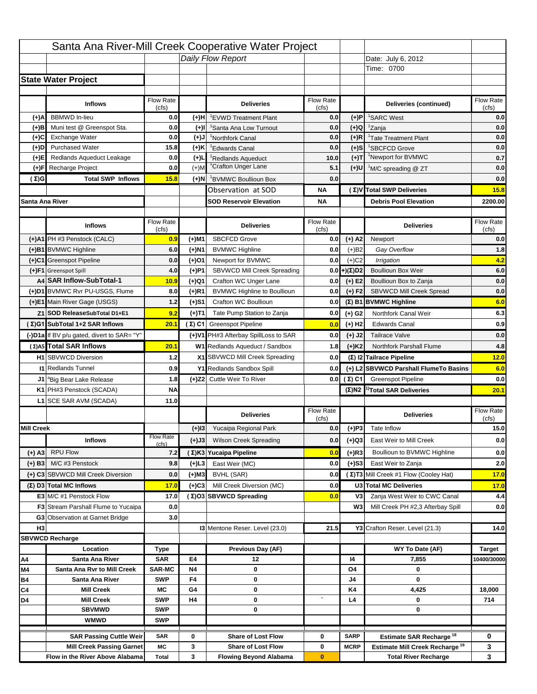|                   |                                                                        |                    |           | Santa Ana River-Mill Creek Cooperative Water Project   |                    |                            |                                                                                   |                                                  |
|-------------------|------------------------------------------------------------------------|--------------------|-----------|--------------------------------------------------------|--------------------|----------------------------|-----------------------------------------------------------------------------------|--------------------------------------------------|
|                   |                                                                        |                    |           | Daily Flow Report                                      |                    |                            | Date: July 6, 2012                                                                |                                                  |
|                   |                                                                        |                    |           |                                                        |                    |                            | Time: 0700                                                                        |                                                  |
|                   | <b>State Water Project</b>                                             |                    |           |                                                        |                    |                            |                                                                                   |                                                  |
|                   |                                                                        |                    |           |                                                        |                    |                            |                                                                                   |                                                  |
|                   | <b>Inflows</b>                                                         | Flow Rate          |           | <b>Deliveries</b>                                      | <b>Flow Rate</b>   |                            | Deliveries (continued)                                                            | Flow Rate                                        |
| (+)A              | <b>BBMWD</b> In-lieu                                                   | (cfs)<br>0.0       | (+)H      | 'EVWD Treatment Plant                                  | (cfs)<br>0.0       | (+)P                       | <sup>1</sup> SARC West                                                            | (cfs)<br>0.0                                     |
| (+)B              | Muni test @ Greenspot Sta.                                             | 0.0                | $(+)$ l   | 'Santa Ana Low Turnout                                 | 0.0                | $(+)Q$                     | <sup>1</sup> Zanja                                                                | 0.0                                              |
| (+)C              | Exchange Water                                                         | 0.0                | $(+)$ J   | <sup>1</sup> Northfork Canal                           | 0.0                | $(+)R$                     | <sup>1</sup> Tate Treatment Plant                                                 | 0.0                                              |
| (+)D              | <b>Purchased Water</b>                                                 | 15.8               | (+)K      | <sup>1</sup> Edwards Canal                             | 0.0                | $(+)$ S                    | <sup>1</sup> SBCFCD Grove                                                         | 0.0                                              |
| (+)E              | Redlands Aqueduct Leakage                                              | 0.0                | $(+)1$    | <sup>1</sup> Redlands Aqueduct                         | 10.0               | $(+)T$                     | <sup>1</sup> Newport for BVMWC                                                    | 0.7                                              |
| (+)F              | Recharge Project                                                       | 0.0                | $(+)$ M   | <sup>1</sup> Crafton Unger Lane                        | 5.1                | (+)U                       | <sup>1</sup> M/C spreading @ ZT                                                   | 0.0                                              |
| (Σ)G              | <b>Total SWP Inflows</b>                                               | 15.8               | (+)N      | <sup>1</sup> BVMWC Boullioun Box                       | 0.0                |                            |                                                                                   | 0.0                                              |
|                   |                                                                        |                    |           | Observation at SOD                                     | ΝA                 |                            | (Σ) V Total SWP Deliveries                                                        | 15.8                                             |
| Santa Ana River   |                                                                        |                    |           | <b>SOD Reservoir Elevation</b>                         | ΝA                 |                            | <b>Debris Pool Elevation</b>                                                      | 2200.00                                          |
|                   |                                                                        |                    |           |                                                        |                    |                            |                                                                                   |                                                  |
|                   | <b>Inflows</b>                                                         | Flow Rate<br>(cfs) |           | <b>Deliveries</b>                                      | Flow Rate<br>(cfs) |                            | <b>Deliveries</b>                                                                 | Flow Rate<br>(cfs)                               |
|                   | (+)A1 PH #3 Penstock (CALC)                                            | 0.9                | (+)M1     | <b>SBCFCD Grove</b>                                    | 0.0                | $(+)$ A2                   | Newport                                                                           | 0.0                                              |
|                   | (+)B1 BVMWC Highline                                                   | 6.0                | (+)N1     | <b>BVMWC Highline</b>                                  | 0.0                | $(+)B2$                    | Gay Overflow                                                                      | 1.8                                              |
|                   | (+)C1 Greenspot Pipeline                                               | 0.0                | (+)01     | Newport for BVMWC                                      | 0.0                | $(+)$ C <sub>2</sub>       | Irrigation                                                                        | 4.2                                              |
|                   | (+)F1 Greenspot Spill                                                  | 4.0                | (+)P1     | SBVWCD Mill Creek Spreading                            | 0.0                | (+)(Σ)D2                   | <b>Boullioun Box Weir</b>                                                         | 6.0                                              |
|                   | A4 SAR Inflow-SubTotal-1                                               | 10.9               | (+)Q1     | Crafton WC Unger Lane                                  | 0.0                | $(+) E2$                   | Boullioun Box to Zanja                                                            | 0.0                                              |
|                   | (+)D1 BVMWC Rvr PU-USGS, Flume                                         | 8.0                | $(+)$ R1  | <b>BVMWC Highline to Boullioun</b>                     | 0.0                | $(+) F2$                   | SBVWCD Mill Creek Spread                                                          | 0.0                                              |
|                   | (+)E1 Main River Gage (USGS)                                           | 1.2                | (+)S1     | Crafton WC Boullioun                                   | 0.0                |                            | $(\Sigma)$ B1 BVMWC Highline                                                      | 6.0                                              |
|                   | Z1 SOD ReleaseSubTotal D1+E1                                           | 9.2                |           | Tate Pump Station to Zanja                             | 0.0                |                            | Northfork Canal Weir                                                              | 6.3                                              |
|                   | (Σ)G1 SubTotal 1+2 SAR Inflows                                         | 20.1               | (+)T1     |                                                        |                    | (+) G2                     | <b>Edwards Canal</b>                                                              |                                                  |
|                   |                                                                        |                    |           | (Σ) C1 Greenspot Pipeline                              | 0.0                | $(+)$ H <sub>2</sub>       |                                                                                   | 0.9                                              |
|                   | (-)D1a If BV p/u gated, divert to SAR= "Y"<br>(Σ) A5 Total SAR Inflows |                    |           | (+)V1 PH#3 Afterbay SpillLoss to SAR                   | 0.0                | $(+)$ J2                   | <b>Tailrace Valve</b>                                                             | 0.0                                              |
|                   |                                                                        | 20.1               |           | W1 Redlands Aqueduct / Sandbox                         | 1.8                | $(+)$ K <sub>2</sub>       | <b>Northfork Parshall Flume</b>                                                   | 4.8                                              |
|                   |                                                                        |                    |           |                                                        |                    |                            |                                                                                   |                                                  |
|                   | <b>H1</b> SBVWCD Diversion                                             | 1.2                |           | X1 SBVWCD Mill Creek Spreading                         | 0.0                |                            | (Σ) I2 Tailrace Pipeline                                                          |                                                  |
|                   | <b>11 Redlands Tunnel</b>                                              | 0.9                |           | Y1 Redlands Sandbox Spill                              | 0.0                |                            | (+) L2 SBVWCD Parshall FlumeTo Basins                                             |                                                  |
|                   | J1 <sup>a</sup> Big Bear Lake Release                                  | 1.8                |           | (+)Z2 Cuttle Weir To River                             |                    | 0.0 $(\Sigma)$ C1          | <b>Greenspot Pipeline</b>                                                         |                                                  |
|                   | K1 PH#3 Penstock (SCADA)                                               | <b>NA</b>          |           |                                                        |                    |                            | $(\Sigma)$ N2 <sup>1)</sup> Total SAR Deliveries                                  |                                                  |
|                   | L1 SCE SAR AVM (SCADA)                                                 | 11.0               |           |                                                        |                    |                            |                                                                                   |                                                  |
|                   |                                                                        |                    |           | <b>Deliveries</b>                                      | <b>Flow Rate</b>   |                            | <b>Deliveries</b>                                                                 | Flow Rate                                        |
|                   |                                                                        |                    |           |                                                        | (cfs)              |                            |                                                                                   | (cts)                                            |
| <b>Mill Creek</b> |                                                                        | <b>Flow Rate</b>   | $(+)$ 13  | Yucaipa Regional Park                                  | 0.0                | $(+)P3$                    | Tate Inflow                                                                       |                                                  |
|                   | <b>Inflows</b>                                                         | (cfs)              | (+)J3     | <b>Wilson Creek Spreading</b>                          | 0.0                | (+)Q3                      | East Weir to Mill Creek                                                           |                                                  |
| (+) A3            | <b>RPU Flow</b>                                                        | 7.2                |           | (Σ)K3 Yucaipa Pipeline                                 | 0.0                | $(+)$ R3                   | Boullioun to BVMWC Highline                                                       | 12.0<br>6.0<br>0.0<br>20.1<br>15.0<br>0.0<br>0.0 |
| $(+)$ B3          | M/C #3 Penstock                                                        | 9.8                | $(+)$ L3  | East Weir (MC)                                         | 0.0                | $(+)$ S3                   | East Weir to Zanja                                                                | 2.0                                              |
|                   | (+) C3 SBVWCD Mill Creek Diversion                                     | 0.0                | (+)M3     | BVHL (SAR)                                             | 0.0                |                            | (Σ) T3 Mill Creek #1 Flow (Cooley Hat)                                            | 17.0                                             |
|                   | (Σ) D3 Total MC Inflows                                                | 17.0               | $(+)C3$   | Mill Creek Diversion (MC)                              | 0.0                |                            | U3 Total MC Deliveries                                                            | 17.0                                             |
|                   | E3 M/C #1 Penstock Flow                                                | 17.0               |           | (Σ)O3 SBVWCD Spreading                                 | 0.0                | V3                         | Zanja West Weir to CWC Canal                                                      |                                                  |
|                   | <b>F3</b> Stream Parshall Flume to Yucaipa                             | 0.0                |           |                                                        |                    | W <sub>3</sub>             | Mill Creek PH #2,3 Afterbay Spill                                                 |                                                  |
|                   | G3 Observation at Garnet Bridge                                        | 3.0                |           |                                                        |                    |                            |                                                                                   |                                                  |
| H <sub>3</sub>    |                                                                        |                    |           | <b>13 Mentone Reser. Level (23.0)</b>                  | 21.5               |                            | Y3 Crafton Reser. Level (21.3)                                                    | 4.4<br>0.0<br>14.0                               |
|                   | <b>SBVWCD Recharge</b>                                                 |                    |           |                                                        |                    |                            |                                                                                   |                                                  |
|                   | Location                                                               | Type               |           | Previous Day (AF)                                      |                    |                            | WY To Date (AF)                                                                   | <b>Target</b>                                    |
| Α4                | Santa Ana River                                                        | <b>SAR</b>         | E4        | 12                                                     |                    | 14                         | 7,855                                                                             |                                                  |
| M4                | Santa Ana Rvr to Mill Creek                                            | <b>SAR-MC</b>      | <b>N4</b> | 0                                                      |                    | O4                         | 0                                                                                 |                                                  |
| Β4                | Santa Ana River<br><b>Mill Creek</b>                                   | <b>SWP</b><br>МC   | F4<br>G4  | 0<br>0                                                 |                    | J4<br>K4                   | 0<br>4,425                                                                        | 18,000                                           |
| C4<br>D4          | <b>Mill Creek</b>                                                      | <b>SWP</b>         | H4        | 0                                                      |                    | L4                         | 0                                                                                 | 714                                              |
|                   | <b>SBVMWD</b>                                                          | <b>SWP</b>         |           | 0                                                      |                    |                            | 0                                                                                 | 10400/30000                                      |
|                   | <b>WMWD</b>                                                            | <b>SWP</b>         |           |                                                        |                    |                            |                                                                                   |                                                  |
|                   |                                                                        |                    |           |                                                        |                    |                            |                                                                                   |                                                  |
|                   | <b>SAR Passing Cuttle Weir</b><br><b>Mill Creek Passing Garnet</b>     | <b>SAR</b><br>МC   | 0<br>3    | <b>Share of Lost Flow</b><br><b>Share of Lost Flow</b> | 0<br>0             | <b>SARP</b><br><b>MCRP</b> | Estimate SAR Recharge <sup>18</sup><br>Estimate Mill Creek Recharge <sup>19</sup> | 0<br>3                                           |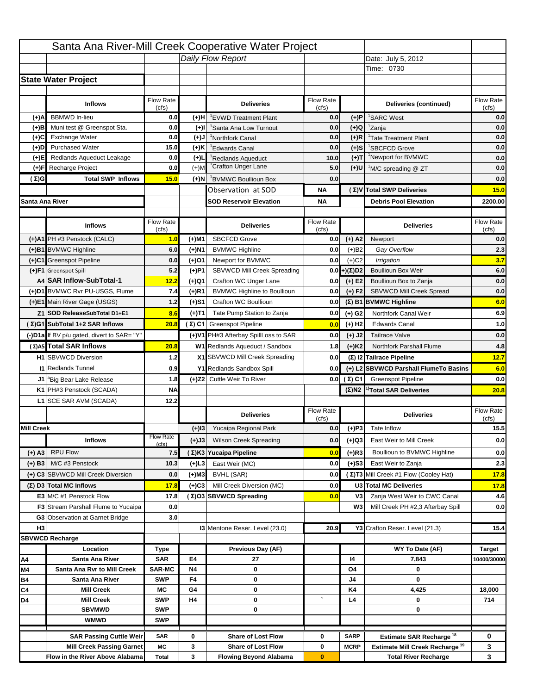|                   |                                            |                    |           | Santa Ana River-Mill Creek Cooperative Water Project |                  |                       |                                                                                   |                               |
|-------------------|--------------------------------------------|--------------------|-----------|------------------------------------------------------|------------------|-----------------------|-----------------------------------------------------------------------------------|-------------------------------|
|                   |                                            |                    |           | Daily Flow Report                                    |                  |                       | Date: July 5, 2012                                                                |                               |
|                   |                                            |                    |           |                                                      |                  |                       | Time: 0730                                                                        |                               |
|                   | <b>State Water Project</b>                 |                    |           |                                                      |                  |                       |                                                                                   |                               |
|                   |                                            |                    |           |                                                      |                  |                       |                                                                                   |                               |
|                   | <b>Inflows</b>                             | Flow Rate          |           | <b>Deliveries</b>                                    | <b>Flow Rate</b> |                       | Deliveries (continued)                                                            | Flow Rate                     |
| (+)A              | <b>BBMWD</b> In-lieu                       | (cts)<br>0.0       | (+)H      | 'EVWD Treatment Plant                                | (cfs)<br>0.0     | (+)P                  | <sup>1</sup> SARC West                                                            | (cfs)<br>0.0                  |
| (+)B              | Muni test @ Greenspot Sta.                 | 0.0                | (+)I      | 'Santa Ana Low Turnout                               | 0.0              | (+)Q                  | <sup>1</sup> Zanja                                                                | 0.0                           |
| (+)C              | Exchange Water                             | 0.0                | (+)J      | <sup>1</sup> Northfork Canal                         | 0.0              | $(+)R$                | <sup>1</sup> Tate Treatment Plant                                                 | 0.0                           |
| (+)D              | <b>Purchased Water</b>                     | 15.0               | (+)K      | <sup>1</sup> Edwards Canal                           | 0.0              | $(+)S$                | <sup>1</sup> SBCFCD Grove                                                         | 0.0                           |
| (+)E              | Redlands Aqueduct Leakage                  | $0.0\,$            | $(+)$ L   | <sup>1</sup> Redlands Aqueduct                       | 10.0             | (+)T                  | <sup>1</sup> Newport for BVMWC                                                    | 0.0                           |
| (+)F              | Recharge Project                           | 0.0                | $(+)$ M   | <sup>1</sup> Crafton Unger Lane                      | 5.0              | (+)U                  | <sup>1</sup> M/C spreading @ ZT                                                   | 0.0                           |
| ( Σ)G             | <b>Total SWP Inflows</b>                   | 15.0               | (+)N      | BVMWC Boullioun Box                                  | 0.0              |                       |                                                                                   | 0.0                           |
|                   |                                            |                    |           | Observation at SOD                                   | ΝA               |                       | (Σ) V Total SWP Deliveries                                                        | 15.0                          |
| Santa Ana River   |                                            |                    |           | <b>SOD Reservoir Elevation</b>                       | NA               |                       | <b>Debris Pool Elevation</b>                                                      | 2200.00                       |
|                   |                                            |                    |           |                                                      |                  |                       |                                                                                   |                               |
|                   | <b>Inflows</b>                             | Flow Rate          |           | <b>Deliveries</b>                                    | <b>Flow Rate</b> |                       | <b>Deliveries</b>                                                                 | Flow Rate                     |
|                   |                                            | (cts)              |           |                                                      | (cts)            |                       |                                                                                   | (cfs)                         |
|                   | (+)A1 PH #3 Penstock (CALC)                | 1.0                | (+)M1     | <b>SBCFCD Grove</b>                                  | 0.0              | $(+)$ A2              | Newport                                                                           | 0.0                           |
|                   | (+)B1 BVMWC Highline                       | 6.0                | (+)N1     | <b>BVMWC Highline</b>                                | 0.0              | $(+)B2$               | Gay Overflow                                                                      | 2.3                           |
|                   | (+)C1 Greenspot Pipeline                   | 0.0                | (+)O1     | Newport for BVMWC                                    | 0.0              | $(+)$ C2              | Irrigation                                                                        | 3.7                           |
|                   | (+)F1 Greenspot Spill                      | 5.2                | (+)P1     | SBVWCD Mill Creek Spreading                          |                  | $0.0$ + $(\Sigma)$ D2 | <b>Boullioun Box Weir</b>                                                         | 6.0                           |
|                   | A4 SAR Inflow-SubTotal-1                   | 12.2               | (+)Q1     | Crafton WC Unger Lane                                | 0.0              | $(+)$ E2              | Boullioun Box to Zanja                                                            | 0.0                           |
|                   | (+)D1 BVMWC Rvr PU-USGS, Flume             | 7.4                | $(+)R1$   | <b>BVMWC Highline to Boullioun</b>                   | 0.0              | $(+) F2$              | SBVWCD Mill Creek Spread                                                          | 0.0                           |
|                   | (+)E1 Main River Gage (USGS)               | 1.2                | (+)S1     | Crafton WC Boullioun                                 | 0.0              |                       | $(\Sigma)$ B1 BVMWC Highline                                                      | 6.0                           |
|                   | Z1 SOD ReleaseSubTotal D1+E1               | 8.6                | (+)T1     | Tate Pump Station to Zanja                           | 0.0              | (+) G2                | Northfork Canal Weir                                                              | 6.9                           |
|                   | (Σ)G1 SubTotal 1+2 SAR Inflows             | 20.8               |           | $(Σ) C1$ Greenspot Pipeline                          | 0.0              | $(+)$ H <sub>2</sub>  | <b>Edwards Canal</b>                                                              | 1.0                           |
|                   | (-)D1a If BV p/u gated, divert to SAR= "Y" |                    |           | (+)V1 PH#3 Afterbay SpillLoss to SAR                 | 0.0              | $(+)$ J2              | <b>Tailrace Valve</b>                                                             | 0.0                           |
|                   | (Σ) A5 Total SAR Inflows                   | 20.8               |           | W1 Redlands Aqueduct / Sandbox                       | 1.8              | $(+)$ K2              | Northfork Parshall Flume                                                          | 4.8                           |
|                   |                                            |                    |           |                                                      |                  |                       |                                                                                   |                               |
|                   | <b>H1</b> SBVWCD Diversion                 | 1.2                |           | X1 SBVWCD Mill Creek Spreading                       | 0.0              |                       | (Σ) I2 Tailrace Pipeline                                                          | 12.7                          |
|                   | <b>11 Redlands Tunnel</b>                  | 0.9                |           | Y1 Redlands Sandbox Spill                            | 0.0              |                       | (+) L2 SBVWCD Parshall Flume To Basins                                            | 6.0                           |
|                   | J1 <sup>a</sup> Big Bear Lake Release      | 1.8                |           | (+)Z2 Cuttle Weir To River                           | 0.0              | (Σ) C1                | <b>Greenspot Pipeline</b>                                                         | 0.0                           |
|                   | K1 PH#3 Penstock (SCADA)                   | <b>NA</b>          |           |                                                      |                  |                       | $(\Sigma)$ N2 <sup>1</sup> Total SAR Deliveries                                   | 20.8                          |
|                   | L1 SCE SAR AVM (SCADA)                     | 12.2               |           |                                                      |                  |                       |                                                                                   |                               |
|                   |                                            |                    |           |                                                      | <b>Flow Rate</b> |                       |                                                                                   | <b>Flow Rate</b>              |
|                   |                                            |                    |           | <b>Deliveries</b>                                    | (cts)            |                       | <b>Deliveries</b>                                                                 | (cts)                         |
| <b>Mill Creek</b> |                                            |                    | $(+)$  3  | Yucaipa Regional Park                                | 0.0              | $(+)$ P3              | Tate Inflow                                                                       |                               |
|                   | <b>Inflows</b>                             | Flow Rate<br>(cfs) | (+)J3     | <b>Wilson Creek Spreading</b>                        | 0.0              | (+)Q3                 | East Weir to Mill Creek                                                           |                               |
| $(+)$ A3          | <b>RPU Flow</b>                            | 7.5                |           | (Σ)K3 Yucaipa Pipeline                               | 0.0              | (+)R3                 | Boullioun to BVMWC Highline                                                       |                               |
| $(+)$ B3          | M/C #3 Penstock                            | 10.3               | $(+)$ L3  | East Weir (MC)                                       | 0.0              | $(+)$ S3              | East Weir to Zanja                                                                | 15.5<br>0.0<br>$0.0\,$<br>2.3 |
|                   | (+) C3 SBVWCD Mill Creek Diversion         | 0.0                | $(+)$ M3  | BVHL (SAR)                                           | 0.0              |                       | (Σ) T3 Mill Creek #1 Flow (Cooley Hat)                                            | 17.8                          |
|                   | $(\Sigma)$ D3 Total MC Inflows             | 17.8               | $(+)C3$   | Mill Creek Diversion (MC)                            | 0.0              |                       | U3 Total MC Deliveries                                                            | 17.8                          |
|                   | E3 M/C #1 Penstock Flow                    | 17.8               |           | (Σ)O3 SBVWCD Spreading                               | 0.0              | V <sub>3</sub>        | Zanja West Weir to CWC Canal                                                      | 4.6                           |
|                   | <b>F3</b> Stream Parshall Flume to Yucaipa | 0.0                |           |                                                      |                  | W3                    | Mill Creek PH #2,3 Afterbay Spill                                                 | 0.0                           |
|                   | <b>G3</b> Observation at Garnet Bridge     | 3.0                |           |                                                      |                  |                       |                                                                                   |                               |
| H <sub>3</sub>    |                                            |                    |           | <b>13 Mentone Reser. Level (23.0)</b>                | 20.9             |                       | Y3 Crafton Reser. Level (21.3)                                                    | 15.4                          |
|                   | <b>SBVWCD Recharge</b>                     |                    |           |                                                      |                  |                       |                                                                                   |                               |
|                   | Location                                   | Type               |           | Previous Day (AF)                                    |                  |                       | WY To Date (AF)                                                                   | <b>Target</b>                 |
| Α4                | Santa Ana River                            | <b>SAR</b>         | E4        | 27                                                   |                  | 14                    | 7,843                                                                             | 10400/30000                   |
| M4                | Santa Ana Rvr to Mill Creek                | <b>SAR-MC</b>      | <b>N4</b> | 0                                                    |                  | O4                    | 0                                                                                 |                               |
| Β4                | Santa Ana River                            | <b>SWP</b>         | F4        | 0                                                    |                  | J4                    | 0                                                                                 |                               |
| C4                | <b>Mill Creek</b>                          | МC                 | G4        | 0                                                    |                  | K4                    | 4,425                                                                             | 18,000                        |
| D4                | <b>Mill Creek</b>                          | <b>SWP</b>         | H4        | 0                                                    |                  | L4                    | 0                                                                                 | 714                           |
|                   | <b>SBVMWD</b>                              | <b>SWP</b>         |           | 0                                                    |                  |                       | 0                                                                                 |                               |
|                   | <b>WMWD</b>                                | <b>SWP</b>         |           |                                                      |                  |                       |                                                                                   |                               |
|                   | <b>SAR Passing Cuttle Weir</b>             | <b>SAR</b>         | 0         | <b>Share of Lost Flow</b>                            | 0                | <b>SARP</b>           |                                                                                   | 0                             |
|                   | <b>Mill Creek Passing Garnet</b>           | МC                 | 3         | <b>Share of Lost Flow</b>                            | 0                | <b>MCRP</b>           | Estimate SAR Recharge <sup>18</sup><br>Estimate Mill Creek Recharge <sup>19</sup> | 3                             |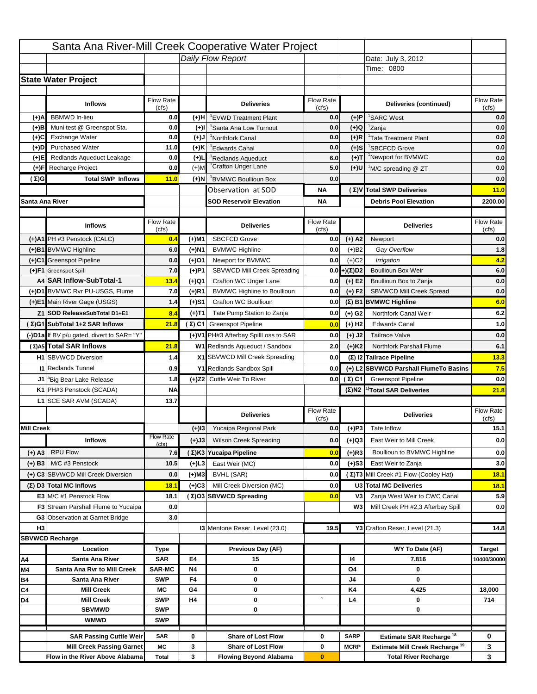|                   |                                                |                             |                 | Santa Ana River-Mill Creek Cooperative Water Project |                    |                      |                                                                                   |                                                  |
|-------------------|------------------------------------------------|-----------------------------|-----------------|------------------------------------------------------|--------------------|----------------------|-----------------------------------------------------------------------------------|--------------------------------------------------|
|                   |                                                |                             |                 | Daily Flow Report                                    |                    |                      | Date: July 3, 2012                                                                |                                                  |
|                   |                                                |                             |                 |                                                      |                    |                      | Time: 0800                                                                        |                                                  |
|                   | <b>State Water Project</b>                     |                             |                 |                                                      |                    |                      |                                                                                   |                                                  |
|                   |                                                |                             |                 |                                                      |                    |                      |                                                                                   |                                                  |
|                   | <b>Inflows</b>                                 | Flow Rate                   |                 | <b>Deliveries</b>                                    | <b>Flow Rate</b>   |                      | Deliveries (continued)                                                            | Flow Rate                                        |
| (+)A              | <b>BBMWD</b> In-lieu                           | (cfs)<br>0.0                | (+)H            | 'EVWD Treatment Plant                                | (cfs)<br>0.0       | (+)P                 | <sup>1</sup> SARC West                                                            | (cfs)<br>0.0                                     |
| (+)B              | Muni test @ Greenspot Sta.                     | 0.0                         | $(+)$ l         | 'Santa Ana Low Turnout                               | 0.0                | $(+)Q$               | <sup>1</sup> Zanja                                                                | 0.0                                              |
| (+)C              | Exchange Water                                 | 0.0                         | $(L(+)$         | <sup>1</sup> Northfork Canal                         | 0.0                | $(+)R$               | <sup>1</sup> Tate Treatment Plant                                                 | 0.0                                              |
| (+)D              | <b>Purchased Water</b>                         | 11.0                        | (+)K            | <sup>1</sup> Edwards Canal                           | 0.0                | $(+)$ S              | <sup>1</sup> SBCFCD Grove                                                         | 0.0                                              |
| (+)E              | Redlands Aqueduct Leakage                      | 0.0                         | $(+)1$          | <sup>1</sup> Redlands Aqueduct                       | 6.0                | $(+)T$               | <sup>1</sup> Newport for BVMWC                                                    | 0.0                                              |
| (+)F              | Recharge Project                               | 0.0                         | $(+)$ M         | <sup>1</sup> Crafton Unger Lane                      | 5.0                | $(+)$ U              | <sup>1</sup> M/C spreading @ ZT                                                   | 0.0                                              |
| (Σ)G              | <b>Total SWP Inflows</b>                       | 11.0                        | (+)N            | <sup>1</sup> BVMWC Boullioun Box                     | 0.0                |                      |                                                                                   | 0.0                                              |
|                   |                                                |                             |                 | Observation at SOD                                   | ΝA                 |                      | (Σ) V Total SWP Deliveries                                                        | 11.0                                             |
| Santa Ana River   |                                                |                             |                 | <b>SOD Reservoir Elevation</b>                       | ΝA                 |                      | <b>Debris Pool Elevation</b>                                                      | 2200.00                                          |
|                   |                                                |                             |                 |                                                      |                    |                      |                                                                                   |                                                  |
|                   | <b>Inflows</b>                                 | Flow Rate<br>(cfs)          |                 | <b>Deliveries</b>                                    | Flow Rate<br>(cfs) |                      | <b>Deliveries</b>                                                                 | Flow Rate<br>(cfs)                               |
|                   | (+)A1 PH #3 Penstock (CALC)                    | 0.4                         | (+)M1           | <b>SBCFCD Grove</b>                                  | 0.0                | $(+)$ A2             | Newport                                                                           | 0.0                                              |
|                   | (+)B1 BVMWC Highline                           | 6.0                         | (+)N1           | <b>BVMWC Highline</b>                                | 0.0                | $(+)B2$              | Gay Overflow                                                                      | 1.8                                              |
|                   | (+)C1 Greenspot Pipeline                       | 0.0                         | (+)01           | Newport for BVMWC                                    | 0.0                | $(+)$ C <sub>2</sub> | Irrigation                                                                        | 4.2                                              |
|                   | (+)F1 Greenspot Spill                          | 7.0                         | (+)P1           | SBVWCD Mill Creek Spreading                          | 0.0                | (+)(Σ)D2             | <b>Boullioun Box Weir</b>                                                         | 6.0                                              |
|                   | A4 SAR Inflow-SubTotal-1                       | 13.4                        | (+)Q1           | Crafton WC Unger Lane                                | 0.0                | $(+) E2$             | Boullioun Box to Zanja                                                            | 0.0                                              |
|                   | (+)D1 BVMWC Rvr PU-USGS, Flume                 | 7.0                         | $(+)$ R1        | <b>BVMWC Highline to Boullioun</b>                   | 0.0                | $(+) F2$             | SBVWCD Mill Creek Spread                                                          | 0.0                                              |
|                   | (+)E1 Main River Gage (USGS)                   | 1.4                         | (+)S1           | Crafton WC Boullioun                                 | 0.0                |                      | $(\Sigma)$ B1 BVMWC Highline                                                      | 6.0                                              |
|                   | Z1 SOD ReleaseSubTotal D1+E1                   | 8.4                         | (+)T1           | Tate Pump Station to Zanja                           | 0.0                | (+) G2               | Northfork Canal Weir                                                              | 6.2                                              |
|                   | (Σ)G1 SubTotal 1+2 SAR Inflows                 | 21.8                        |                 | (Σ) C1 Greenspot Pipeline                            | 0.0                | $(+)$ H <sub>2</sub> | <b>Edwards Canal</b>                                                              | 1.0                                              |
|                   | (-)D1a If BV p/u gated, divert to SAR= "Y"     |                             |                 | (+)V1 PH#3 Afterbay SpillLoss to SAR                 | 0.0                | $(+)$ J2             | <b>Tailrace Valve</b>                                                             | 0.0                                              |
|                   | (Σ) A5 Total SAR Inflows                       | 21.8                        |                 | W1 Redlands Aqueduct / Sandbox                       |                    |                      | <b>Northfork Parshall Flume</b>                                                   | 6.1                                              |
|                   |                                                |                             |                 |                                                      | 2.0                | $(+)$ K <sub>2</sub> |                                                                                   |                                                  |
|                   |                                                |                             |                 |                                                      |                    |                      |                                                                                   |                                                  |
|                   | <b>H1</b> SBVWCD Diversion                     | 1.4                         |                 | X1 SBVWCD Mill Creek Spreading                       | 0.0                |                      | (Σ) I2 Tailrace Pipeline                                                          |                                                  |
|                   | <b>11 Redlands Tunnel</b>                      | 0.9                         |                 | Y1 Redlands Sandbox Spill                            | 0.0                |                      | (+) L2 SBVWCD Parshall FlumeTo Basins                                             |                                                  |
|                   | J1 <sup>a</sup> Big Bear Lake Release          | 1.8                         |                 | (+)Z2 Cuttle Weir To River                           |                    | 0.0 $(\Sigma)$ C1    | <b>Greenspot Pipeline</b>                                                         |                                                  |
|                   | K1 PH#3 Penstock (SCADA)                       | <b>NA</b>                   |                 |                                                      |                    |                      | $(\Sigma)$ N2 <sup>1)</sup> Total SAR Deliveries                                  |                                                  |
|                   | L1 SCE SAR AVM (SCADA)                         | 13.7                        |                 |                                                      |                    |                      |                                                                                   |                                                  |
|                   |                                                |                             |                 | <b>Deliveries</b>                                    | <b>Flow Rate</b>   |                      | <b>Deliveries</b>                                                                 | Flow Rate                                        |
| <b>Mill Creek</b> |                                                |                             | $(+)$ 13        | Yucaipa Regional Park                                | (cfs)<br>0.0       |                      | Tate Inflow                                                                       | (cts)                                            |
|                   |                                                | <b>Flow Rate</b>            |                 |                                                      |                    | $(+)P3$              | East Weir to Mill Creek                                                           |                                                  |
|                   | <b>Inflows</b>                                 | (cfs)                       | (+)J3           | <b>Wilson Creek Spreading</b>                        | 0.0                | (+)Q3                |                                                                                   |                                                  |
| $(+)$ A3          | <b>RPU Flow</b>                                | 7.6                         |                 | (Σ)K3 Yucaipa Pipeline                               | 0.0                | $(+)$ R3             | Boullioun to BVMWC Highline                                                       | 13.3<br>7.5<br>0.0<br>21.8<br>15.1<br>0.0<br>0.0 |
| $(+)$ B3          | M/C #3 Penstock                                | 10.5                        | $(+)$ L3        | East Weir (MC)                                       | 0.0                | $(+)$ S3             | East Weir to Zanja                                                                | 3.0                                              |
|                   | (+) C3 SBVWCD Mill Creek Diversion             | 0.0                         | (+)M3           | BVHL (SAR)                                           | 0.0                |                      | (Σ) T3 Mill Creek #1 Flow (Cooley Hat)                                            | 18.1                                             |
|                   | (Σ) D3 Total MC Inflows                        | 18.1                        | $(+)C3$         | Mill Creek Diversion (MC)                            | 0.0                |                      | U3 Total MC Deliveries                                                            | 18.1                                             |
|                   | E3 M/C #1 Penstock Flow                        | 18.1                        |                 | (Σ)O3 SBVWCD Spreading                               | 0.0                | V3                   | Zanja West Weir to CWC Canal                                                      |                                                  |
|                   | <b>F3</b> Stream Parshall Flume to Yucaipa     | 0.0                         |                 |                                                      |                    | W <sub>3</sub>       | Mill Creek PH #2,3 Afterbay Spill                                                 |                                                  |
|                   | G3 Observation at Garnet Bridge                | 3.0                         |                 |                                                      |                    |                      |                                                                                   | 5.9<br>0.0                                       |
| H <sub>3</sub>    |                                                |                             |                 | <b>13 Mentone Reser. Level (23.0)</b>                | 19.5               |                      | Y3 Crafton Reser. Level (21.3)                                                    | 14.8                                             |
|                   | <b>SBVWCD Recharge</b>                         |                             |                 |                                                      |                    |                      |                                                                                   |                                                  |
|                   | Location                                       | Type                        |                 | Previous Day (AF)                                    |                    |                      | WY To Date (AF)                                                                   | <b>Target</b>                                    |
| Α4                | Santa Ana River<br>Santa Ana Rvr to Mill Creek | <b>SAR</b><br><b>SAR-MC</b> | E4<br><b>N4</b> | 15<br>0                                              |                    | 14<br>O4             | 7,816<br>0                                                                        |                                                  |
| M4<br>Β4          | Santa Ana River                                | <b>SWP</b>                  | F4              | 0                                                    |                    | J4                   | 0                                                                                 |                                                  |
| C4                | <b>Mill Creek</b>                              | МC                          | G4              | 0                                                    |                    | K4                   | 4,425                                                                             | 18,000                                           |
| D4                | <b>Mill Creek</b>                              | <b>SWP</b>                  | H4              | 0                                                    |                    | L4                   | 0                                                                                 | 714                                              |
|                   | <b>SBVMWD</b>                                  | <b>SWP</b>                  |                 | 0                                                    |                    |                      | 0                                                                                 | 10400/30000                                      |
|                   | <b>WMWD</b>                                    | <b>SWP</b>                  |                 |                                                      |                    |                      |                                                                                   |                                                  |
|                   | <b>SAR Passing Cuttle Weir</b>                 | <b>SAR</b>                  | 0               | <b>Share of Lost Flow</b>                            | 0                  | <b>SARP</b>          |                                                                                   | 0                                                |
|                   | <b>Mill Creek Passing Garnet</b>               | МC                          | 3               | <b>Share of Lost Flow</b>                            | 0                  | <b>MCRP</b>          | Estimate SAR Recharge <sup>18</sup><br>Estimate Mill Creek Recharge <sup>19</sup> | 3                                                |